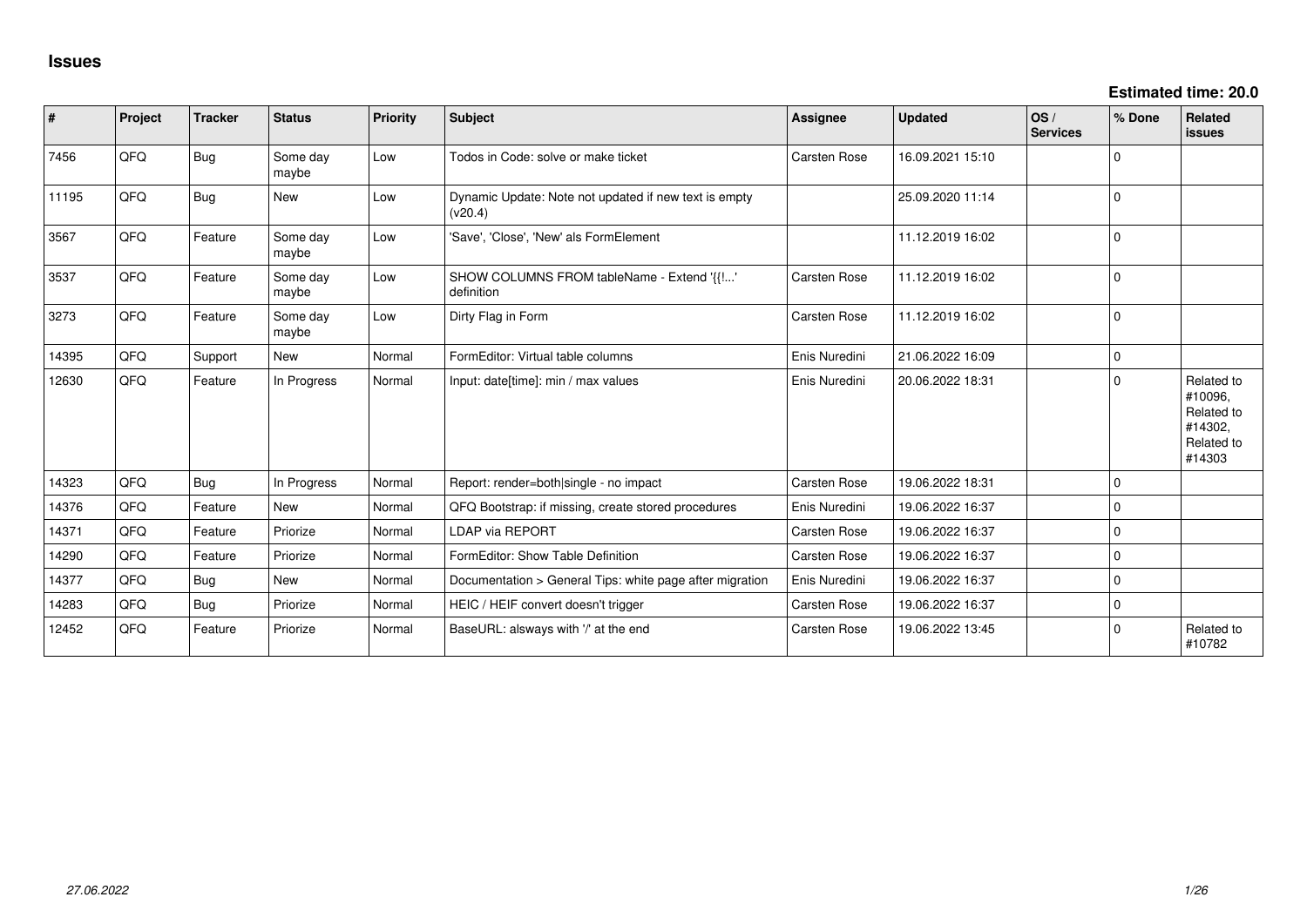| #     | Project | <b>Tracker</b> | <b>Status</b>     | <b>Priority</b> | <b>Subject</b>                                                   | Assignee            | <b>Updated</b>   | OS/<br><b>Services</b> | % Done      | Related<br>issues                                                      |
|-------|---------|----------------|-------------------|-----------------|------------------------------------------------------------------|---------------------|------------------|------------------------|-------------|------------------------------------------------------------------------|
| 7456  | QFQ     | <b>Bug</b>     | Some day<br>maybe | Low             | Todos in Code: solve or make ticket                              | <b>Carsten Rose</b> | 16.09.2021 15:10 |                        | $\Omega$    |                                                                        |
| 11195 | QFQ     | <b>Bug</b>     | New               | Low             | Dynamic Update: Note not updated if new text is empty<br>(v20.4) |                     | 25.09.2020 11:14 |                        | $\mathbf 0$ |                                                                        |
| 3567  | QFQ     | Feature        | Some day<br>maybe | Low             | 'Save', 'Close', 'New' als FormElement                           |                     | 11.12.2019 16:02 |                        | $\mathbf 0$ |                                                                        |
| 3537  | QFQ     | Feature        | Some day<br>maybe | Low             | SHOW COLUMNS FROM tableName - Extend '{{!'<br>definition         | Carsten Rose        | 11.12.2019 16:02 |                        | $\Omega$    |                                                                        |
| 3273  | QFQ     | Feature        | Some day<br>maybe | Low             | Dirty Flag in Form                                               | Carsten Rose        | 11.12.2019 16:02 |                        | $\mathbf 0$ |                                                                        |
| 14395 | QFQ     | Support        | New               | Normal          | FormEditor: Virtual table columns                                | Enis Nuredini       | 21.06.2022 16:09 |                        | $\mathbf 0$ |                                                                        |
| 12630 | QFQ     | Feature        | In Progress       | Normal          | Input: date[time]: min / max values                              | Enis Nuredini       | 20.06.2022 18:31 |                        | $\Omega$    | Related to<br>#10096,<br>Related to<br>#14302,<br>Related to<br>#14303 |
| 14323 | QFQ     | Bug            | In Progress       | Normal          | Report: render=both single - no impact                           | <b>Carsten Rose</b> | 19.06.2022 18:31 |                        | $\mathbf 0$ |                                                                        |
| 14376 | QFQ     | Feature        | New               | Normal          | QFQ Bootstrap: if missing, create stored procedures              | Enis Nuredini       | 19.06.2022 16:37 |                        | 0           |                                                                        |
| 14371 | QFQ     | Feature        | Priorize          | Normal          | <b>LDAP via REPORT</b>                                           | Carsten Rose        | 19.06.2022 16:37 |                        | 0           |                                                                        |
| 14290 | QFQ     | Feature        | Priorize          | Normal          | FormEditor: Show Table Definition                                | Carsten Rose        | 19.06.2022 16:37 |                        | $\mathbf 0$ |                                                                        |
| 14377 | QFQ     | Bug            | New               | Normal          | Documentation > General Tips: white page after migration         | Enis Nuredini       | 19.06.2022 16:37 |                        | $\mathbf 0$ |                                                                        |
| 14283 | QFQ     | <b>Bug</b>     | Priorize          | Normal          | HEIC / HEIF convert doesn't trigger                              | <b>Carsten Rose</b> | 19.06.2022 16:37 |                        | $\mathbf 0$ |                                                                        |
| 12452 | QFQ     | Feature        | Priorize          | Normal          | BaseURL: alsways with '/' at the end                             | <b>Carsten Rose</b> | 19.06.2022 13:45 |                        | $\Omega$    | Related to<br>#10782                                                   |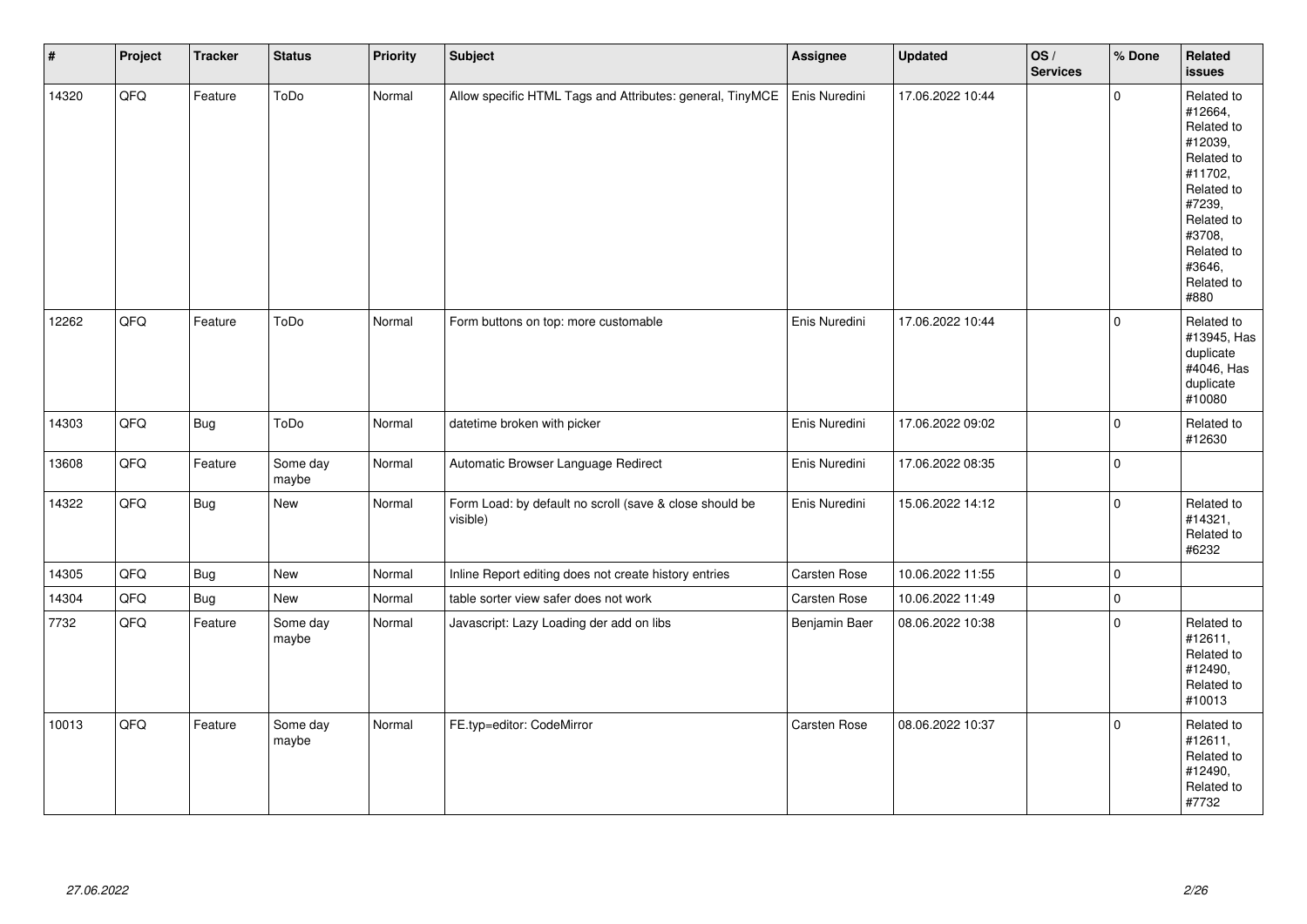| $\vert$ # | Project | <b>Tracker</b> | <b>Status</b>     | <b>Priority</b> | Subject                                                             | Assignee      | <b>Updated</b>   | OS/<br><b>Services</b> | % Done         | Related<br><b>issues</b>                                                                                                                                              |
|-----------|---------|----------------|-------------------|-----------------|---------------------------------------------------------------------|---------------|------------------|------------------------|----------------|-----------------------------------------------------------------------------------------------------------------------------------------------------------------------|
| 14320     | QFQ     | Feature        | ToDo              | Normal          | Allow specific HTML Tags and Attributes: general, TinyMCE           | Enis Nuredini | 17.06.2022 10:44 |                        | $\Omega$       | Related to<br>#12664,<br>Related to<br>#12039,<br>Related to<br>#11702,<br>Related to<br>#7239,<br>Related to<br>#3708,<br>Related to<br>#3646,<br>Related to<br>#880 |
| 12262     | QFQ     | Feature        | ToDo              | Normal          | Form buttons on top: more customable                                | Enis Nuredini | 17.06.2022 10:44 |                        | $\Omega$       | Related to<br>#13945, Has<br>duplicate<br>#4046, Has<br>duplicate<br>#10080                                                                                           |
| 14303     | QFQ     | Bug            | ToDo              | Normal          | datetime broken with picker                                         | Enis Nuredini | 17.06.2022 09:02 |                        | $\mathbf 0$    | Related to<br>#12630                                                                                                                                                  |
| 13608     | QFQ     | Feature        | Some day<br>maybe | Normal          | Automatic Browser Language Redirect                                 | Enis Nuredini | 17.06.2022 08:35 |                        | $\overline{0}$ |                                                                                                                                                                       |
| 14322     | QFQ     | <b>Bug</b>     | New               | Normal          | Form Load: by default no scroll (save & close should be<br>visible) | Enis Nuredini | 15.06.2022 14:12 |                        | $\mathbf 0$    | Related to<br>#14321,<br>Related to<br>#6232                                                                                                                          |
| 14305     | QFQ     | <b>Bug</b>     | <b>New</b>        | Normal          | Inline Report editing does not create history entries               | Carsten Rose  | 10.06.2022 11:55 |                        | $\mathbf 0$    |                                                                                                                                                                       |
| 14304     | QFQ     | Bug            | New               | Normal          | table sorter view safer does not work                               | Carsten Rose  | 10.06.2022 11:49 |                        | $\pmb{0}$      |                                                                                                                                                                       |
| 7732      | QFQ     | Feature        | Some day<br>maybe | Normal          | Javascript: Lazy Loading der add on libs                            | Benjamin Baer | 08.06.2022 10:38 |                        | $\mathbf 0$    | Related to<br>#12611,<br>Related to<br>#12490,<br>Related to<br>#10013                                                                                                |
| 10013     | QFQ     | Feature        | Some day<br>maybe | Normal          | FE.typ=editor: CodeMirror                                           | Carsten Rose  | 08.06.2022 10:37 |                        | $\mathbf 0$    | Related to<br>#12611,<br>Related to<br>#12490,<br>Related to<br>#7732                                                                                                 |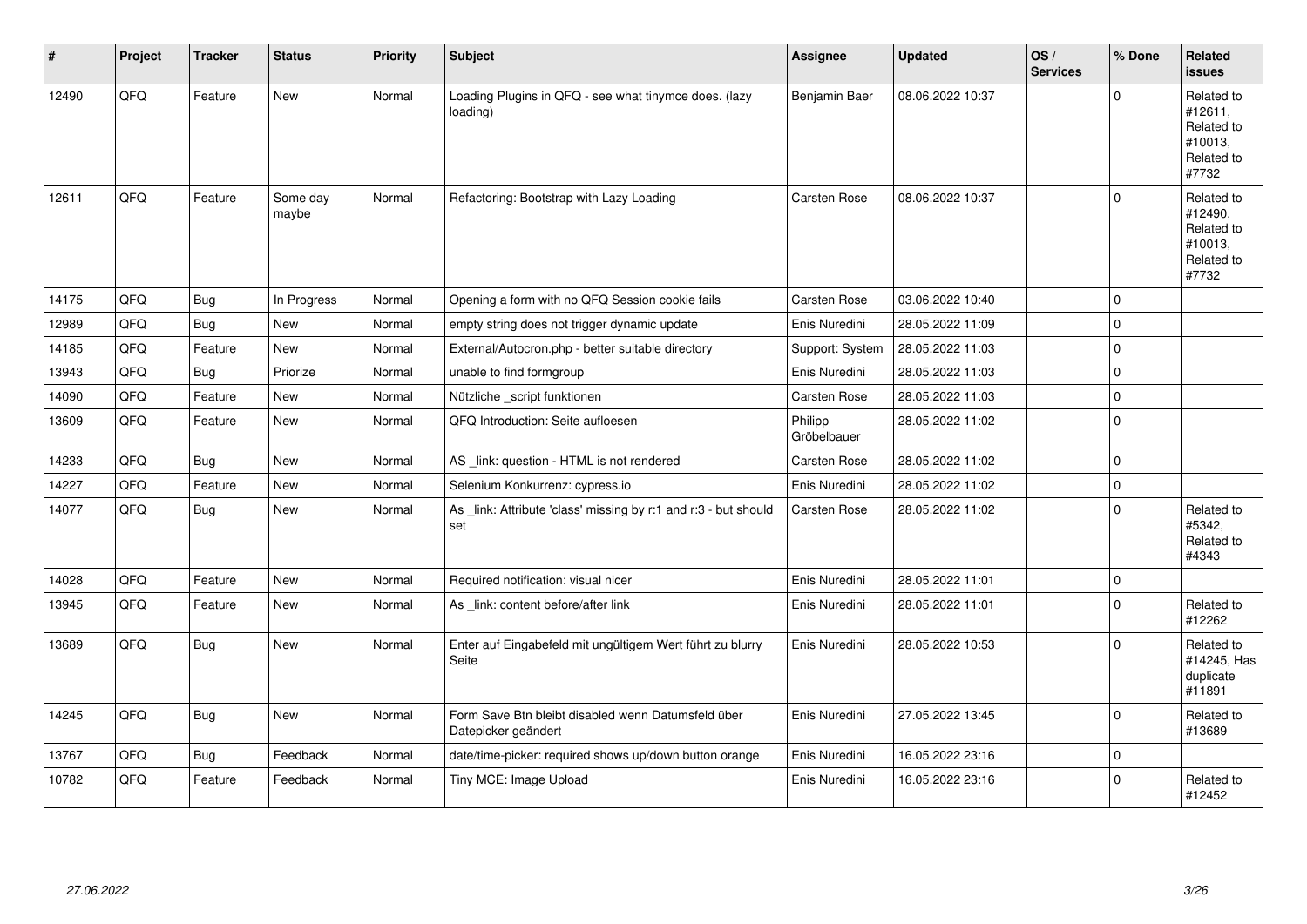| #     | Project | <b>Tracker</b> | <b>Status</b>     | <b>Priority</b> | <b>Subject</b>                                                            | Assignee               | <b>Updated</b>   | OS/<br><b>Services</b> | % Done         | Related<br><b>issues</b>                                              |
|-------|---------|----------------|-------------------|-----------------|---------------------------------------------------------------------------|------------------------|------------------|------------------------|----------------|-----------------------------------------------------------------------|
| 12490 | QFQ     | Feature        | <b>New</b>        | Normal          | Loading Plugins in QFQ - see what tinymce does. (lazy<br>loading)         | Benjamin Baer          | 08.06.2022 10:37 |                        | $\Omega$       | Related to<br>#12611,<br>Related to<br>#10013,<br>Related to<br>#7732 |
| 12611 | QFQ     | Feature        | Some day<br>maybe | Normal          | Refactoring: Bootstrap with Lazy Loading                                  | Carsten Rose           | 08.06.2022 10:37 |                        | $\Omega$       | Related to<br>#12490.<br>Related to<br>#10013.<br>Related to<br>#7732 |
| 14175 | QFQ     | <b>Bug</b>     | In Progress       | Normal          | Opening a form with no QFQ Session cookie fails                           | Carsten Rose           | 03.06.2022 10:40 |                        | $\Omega$       |                                                                       |
| 12989 | QFQ     | Bug            | <b>New</b>        | Normal          | empty string does not trigger dynamic update                              | Enis Nuredini          | 28.05.2022 11:09 |                        | $\mathbf 0$    |                                                                       |
| 14185 | QFQ     | Feature        | New               | Normal          | External/Autocron.php - better suitable directory                         | Support: System        | 28.05.2022 11:03 |                        | $\overline{0}$ |                                                                       |
| 13943 | QFQ     | Bug            | Priorize          | Normal          | unable to find formgroup                                                  | Enis Nuredini          | 28.05.2022 11:03 |                        | $\Omega$       |                                                                       |
| 14090 | QFQ     | Feature        | <b>New</b>        | Normal          | Nützliche _script funktionen                                              | Carsten Rose           | 28.05.2022 11:03 |                        | $\mathbf 0$    |                                                                       |
| 13609 | QFQ     | Feature        | <b>New</b>        | Normal          | QFQ Introduction: Seite aufloesen                                         | Philipp<br>Gröbelbauer | 28.05.2022 11:02 |                        | 0 l            |                                                                       |
| 14233 | QFQ     | Bug            | <b>New</b>        | Normal          | AS link: question - HTML is not rendered                                  | Carsten Rose           | 28.05.2022 11:02 |                        | $\overline{0}$ |                                                                       |
| 14227 | QFQ     | Feature        | New               | Normal          | Selenium Konkurrenz: cypress.io                                           | Enis Nuredini          | 28.05.2022 11:02 |                        | $\mathbf 0$    |                                                                       |
| 14077 | QFQ     | Bug            | <b>New</b>        | Normal          | As _link: Attribute 'class' missing by r:1 and r:3 - but should<br>set    | Carsten Rose           | 28.05.2022 11:02 |                        | $\Omega$       | Related to<br>#5342,<br>Related to<br>#4343                           |
| 14028 | QFQ     | Feature        | <b>New</b>        | Normal          | Required notification: visual nicer                                       | Enis Nuredini          | 28.05.2022 11:01 |                        | $\mathbf 0$    |                                                                       |
| 13945 | QFQ     | Feature        | <b>New</b>        | Normal          | As link: content before/after link                                        | Enis Nuredini          | 28.05.2022 11:01 |                        | $\Omega$       | Related to<br>#12262                                                  |
| 13689 | QFQ     | Bug            | <b>New</b>        | Normal          | Enter auf Eingabefeld mit ungültigem Wert führt zu blurry<br>Seite        | Enis Nuredini          | 28.05.2022 10:53 |                        | $\Omega$       | Related to<br>#14245, Has<br>duplicate<br>#11891                      |
| 14245 | QFQ     | <b>Bug</b>     | <b>New</b>        | Normal          | Form Save Btn bleibt disabled wenn Datumsfeld über<br>Datepicker geändert | Enis Nuredini          | 27.05.2022 13:45 |                        | $\overline{0}$ | Related to<br>#13689                                                  |
| 13767 | QFQ     | <b>Bug</b>     | Feedback          | Normal          | date/time-picker: required shows up/down button orange                    | Enis Nuredini          | 16.05.2022 23:16 |                        | $\mathbf 0$    |                                                                       |
| 10782 | QFQ     | Feature        | Feedback          | Normal          | Tiny MCE: Image Upload                                                    | Enis Nuredini          | 16.05.2022 23:16 |                        | $\Omega$       | Related to<br>#12452                                                  |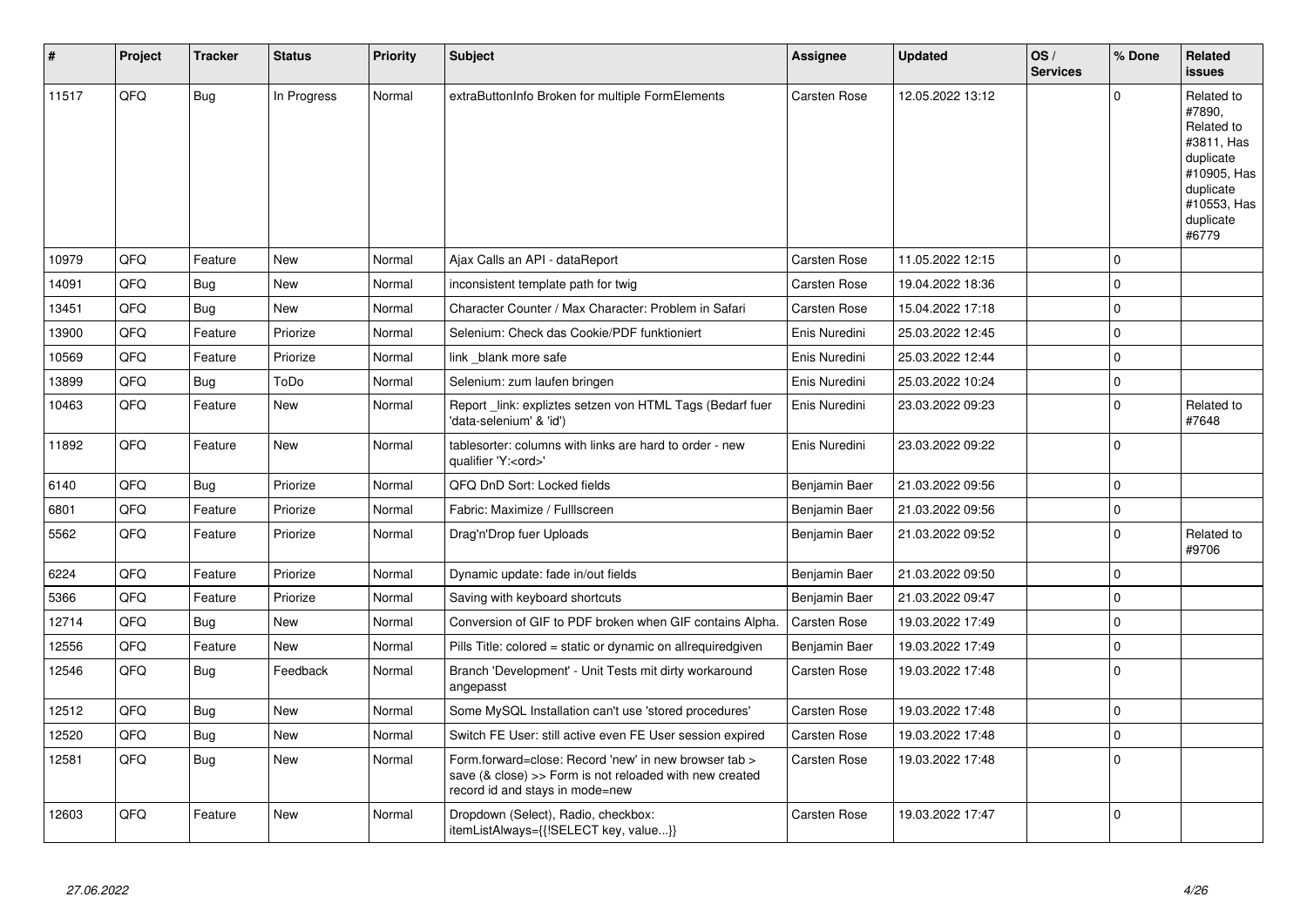| #     | Project | <b>Tracker</b> | <b>Status</b> | <b>Priority</b> | <b>Subject</b>                                                                                                                                                | Assignee            | <b>Updated</b>   | OS/<br><b>Services</b> | % Done      | Related<br>issues                                                                                                              |
|-------|---------|----------------|---------------|-----------------|---------------------------------------------------------------------------------------------------------------------------------------------------------------|---------------------|------------------|------------------------|-------------|--------------------------------------------------------------------------------------------------------------------------------|
| 11517 | QFQ     | Bug            | In Progress   | Normal          | extraButtonInfo Broken for multiple FormElements                                                                                                              | Carsten Rose        | 12.05.2022 13:12 |                        | $\Omega$    | Related to<br>#7890,<br>Related to<br>#3811, Has<br>duplicate<br>#10905, Has<br>duplicate<br>#10553, Has<br>duplicate<br>#6779 |
| 10979 | QFQ     | Feature        | New           | Normal          | Ajax Calls an API - dataReport                                                                                                                                | <b>Carsten Rose</b> | 11.05.2022 12:15 |                        | $\Omega$    |                                                                                                                                |
| 14091 | QFQ     | <b>Bug</b>     | <b>New</b>    | Normal          | inconsistent template path for twig                                                                                                                           | Carsten Rose        | 19.04.2022 18:36 |                        | $\Omega$    |                                                                                                                                |
| 13451 | QFQ     | <b>Bug</b>     | New           | Normal          | Character Counter / Max Character: Problem in Safari                                                                                                          | Carsten Rose        | 15.04.2022 17:18 |                        | $\Omega$    |                                                                                                                                |
| 13900 | QFQ     | Feature        | Priorize      | Normal          | Selenium: Check das Cookie/PDF funktioniert                                                                                                                   | Enis Nuredini       | 25.03.2022 12:45 |                        | $\Omega$    |                                                                                                                                |
| 10569 | QFQ     | Feature        | Priorize      | Normal          | link _blank more safe                                                                                                                                         | Enis Nuredini       | 25.03.2022 12:44 |                        | $\mathbf 0$ |                                                                                                                                |
| 13899 | QFQ     | Bug            | ToDo          | Normal          | Selenium: zum laufen bringen                                                                                                                                  | Enis Nuredini       | 25.03.2022 10:24 |                        | $\Omega$    |                                                                                                                                |
| 10463 | QFQ     | Feature        | New           | Normal          | Report _link: expliztes setzen von HTML Tags (Bedarf fuer<br>'data-selenium' & 'id')                                                                          | Enis Nuredini       | 23.03.2022 09:23 |                        | $\Omega$    | Related to<br>#7648                                                                                                            |
| 11892 | QFQ     | Feature        | New           | Normal          | tablesorter: columns with links are hard to order - new<br>qualifier 'Y: <ord>'</ord>                                                                         | Enis Nuredini       | 23.03.2022 09:22 |                        | $\Omega$    |                                                                                                                                |
| 6140  | QFQ     | Bug            | Priorize      | Normal          | QFQ DnD Sort: Locked fields                                                                                                                                   | Benjamin Baer       | 21.03.2022 09:56 |                        | $\Omega$    |                                                                                                                                |
| 6801  | QFQ     | Feature        | Priorize      | Normal          | Fabric: Maximize / FullIscreen                                                                                                                                | Benjamin Baer       | 21.03.2022 09:56 |                        | $\Omega$    |                                                                                                                                |
| 5562  | QFQ     | Feature        | Priorize      | Normal          | Drag'n'Drop fuer Uploads                                                                                                                                      | Benjamin Baer       | 21.03.2022 09:52 |                        | $\Omega$    | Related to<br>#9706                                                                                                            |
| 6224  | QFQ     | Feature        | Priorize      | Normal          | Dynamic update: fade in/out fields                                                                                                                            | Benjamin Baer       | 21.03.2022 09:50 |                        | $\Omega$    |                                                                                                                                |
| 5366  | QFQ     | Feature        | Priorize      | Normal          | Saving with keyboard shortcuts                                                                                                                                | Benjamin Baer       | 21.03.2022 09:47 |                        | $\Omega$    |                                                                                                                                |
| 12714 | QFQ     | Bug            | New           | Normal          | Conversion of GIF to PDF broken when GIF contains Alpha.                                                                                                      | Carsten Rose        | 19.03.2022 17:49 |                        | $\Omega$    |                                                                                                                                |
| 12556 | QFQ     | Feature        | New           | Normal          | Pills Title: colored = static or dynamic on allrequiredgiven                                                                                                  | Benjamin Baer       | 19.03.2022 17:49 |                        | 0           |                                                                                                                                |
| 12546 | QFQ     | <b>Bug</b>     | Feedback      | Normal          | Branch 'Development' - Unit Tests mit dirty workaround<br>angepasst                                                                                           | <b>Carsten Rose</b> | 19.03.2022 17:48 |                        | $\Omega$    |                                                                                                                                |
| 12512 | QFQ     | Bug            | New           | Normal          | Some MySQL Installation can't use 'stored procedures'                                                                                                         | <b>Carsten Rose</b> | 19.03.2022 17:48 |                        | 0           |                                                                                                                                |
| 12520 | QFQ     | <b>Bug</b>     | <b>New</b>    | Normal          | Switch FE User: still active even FE User session expired                                                                                                     | <b>Carsten Rose</b> | 19.03.2022 17:48 |                        | $\mathbf 0$ |                                                                                                                                |
| 12581 | QFQ     | Bug            | New           | Normal          | Form.forward=close: Record 'new' in new browser tab ><br>save $(8 \text{ close}) >>$ Form is not reloaded with new created<br>record id and stays in mode=new | <b>Carsten Rose</b> | 19.03.2022 17:48 |                        | $\Omega$    |                                                                                                                                |
| 12603 | QFQ     | Feature        | New           | Normal          | Dropdown (Select), Radio, checkbox:<br>itemListAlways={{!SELECT key, value}}                                                                                  | <b>Carsten Rose</b> | 19.03.2022 17:47 |                        | $\Omega$    |                                                                                                                                |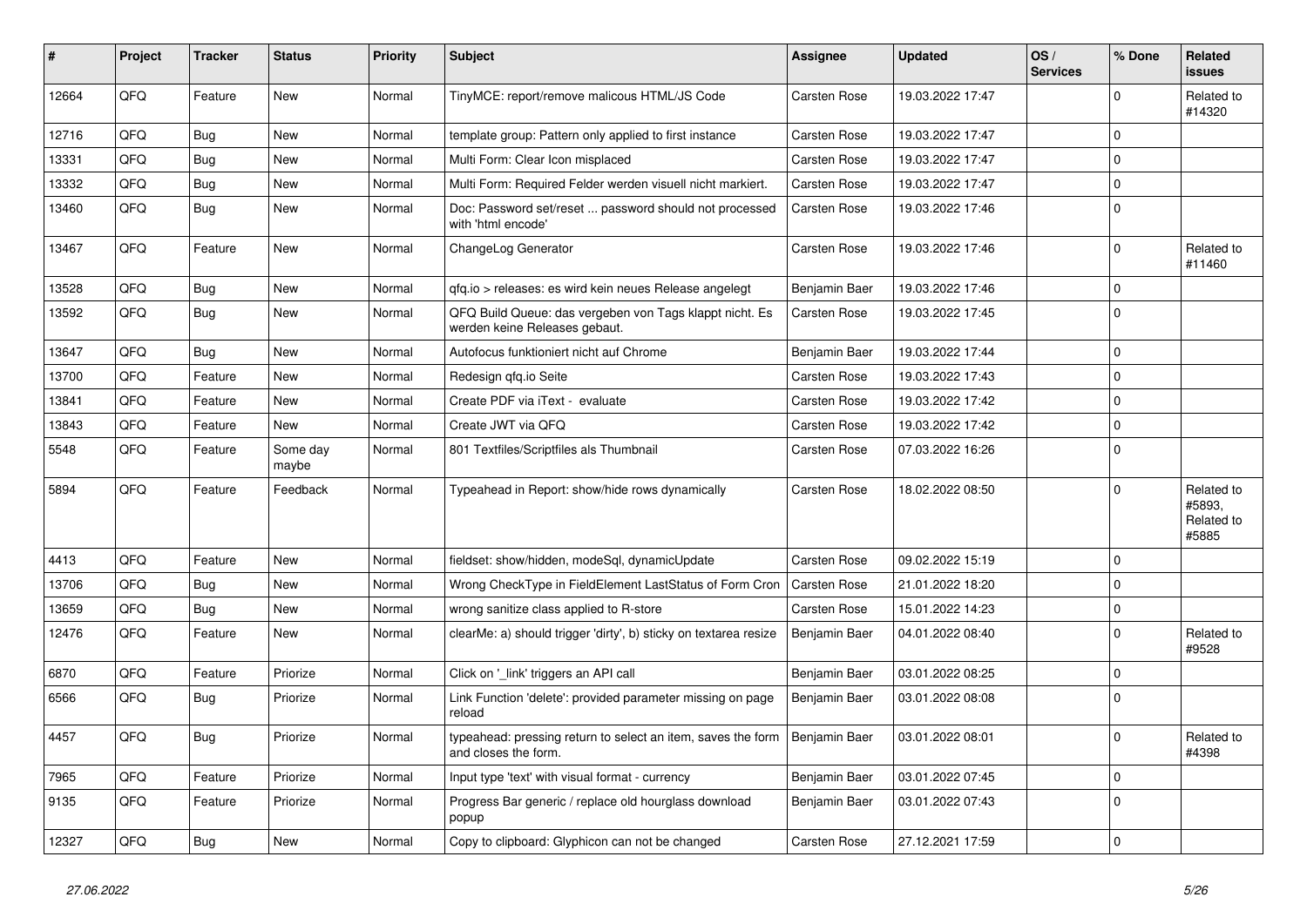| #     | Project | <b>Tracker</b> | <b>Status</b>     | <b>Priority</b> | <b>Subject</b>                                                                           | Assignee            | <b>Updated</b>   | OS/<br><b>Services</b> | % Done      | Related<br>issues                           |
|-------|---------|----------------|-------------------|-----------------|------------------------------------------------------------------------------------------|---------------------|------------------|------------------------|-------------|---------------------------------------------|
| 12664 | QFQ     | Feature        | <b>New</b>        | Normal          | TinyMCE: report/remove malicous HTML/JS Code                                             | Carsten Rose        | 19.03.2022 17:47 |                        | $\Omega$    | Related to<br>#14320                        |
| 12716 | QFQ     | Bug            | <b>New</b>        | Normal          | template group: Pattern only applied to first instance                                   | Carsten Rose        | 19.03.2022 17:47 |                        | $\Omega$    |                                             |
| 13331 | QFQ     | <b>Bug</b>     | <b>New</b>        | Normal          | Multi Form: Clear Icon misplaced                                                         | <b>Carsten Rose</b> | 19.03.2022 17:47 |                        | $\Omega$    |                                             |
| 13332 | QFQ     | <b>Bug</b>     | <b>New</b>        | Normal          | Multi Form: Required Felder werden visuell nicht markiert.                               | <b>Carsten Rose</b> | 19.03.2022 17:47 |                        | $\Omega$    |                                             |
| 13460 | QFQ     | Bug            | New               | Normal          | Doc: Password set/reset  password should not processed<br>with 'html encode'             | <b>Carsten Rose</b> | 19.03.2022 17:46 |                        | 0           |                                             |
| 13467 | QFQ     | Feature        | New               | Normal          | ChangeLog Generator                                                                      | Carsten Rose        | 19.03.2022 17:46 |                        | $\Omega$    | Related to<br>#11460                        |
| 13528 | QFQ     | <b>Bug</b>     | <b>New</b>        | Normal          | gfg.io > releases: es wird kein neues Release angelegt                                   | Benjamin Baer       | 19.03.2022 17:46 |                        | $\Omega$    |                                             |
| 13592 | QFQ     | <b>Bug</b>     | <b>New</b>        | Normal          | QFQ Build Queue: das vergeben von Tags klappt nicht. Es<br>werden keine Releases gebaut. | <b>Carsten Rose</b> | 19.03.2022 17:45 |                        | $\Omega$    |                                             |
| 13647 | QFQ     | Bug            | <b>New</b>        | Normal          | Autofocus funktioniert nicht auf Chrome                                                  | Benjamin Baer       | 19.03.2022 17:44 |                        | $\Omega$    |                                             |
| 13700 | QFQ     | Feature        | <b>New</b>        | Normal          | Redesign gfg.io Seite                                                                    | <b>Carsten Rose</b> | 19.03.2022 17:43 |                        | $\mathbf 0$ |                                             |
| 13841 | QFQ     | Feature        | New               | Normal          | Create PDF via iText - evaluate                                                          | Carsten Rose        | 19.03.2022 17:42 |                        | $\mathbf 0$ |                                             |
| 13843 | QFQ     | Feature        | New               | Normal          | Create JWT via QFQ                                                                       | Carsten Rose        | 19.03.2022 17:42 |                        | $\mathbf 0$ |                                             |
| 5548  | QFQ     | Feature        | Some day<br>maybe | Normal          | 801 Textfiles/Scriptfiles als Thumbnail                                                  | <b>Carsten Rose</b> | 07.03.2022 16:26 |                        | $\Omega$    |                                             |
| 5894  | QFQ     | Feature        | Feedback          | Normal          | Typeahead in Report: show/hide rows dynamically                                          | <b>Carsten Rose</b> | 18.02.2022 08:50 |                        | $\Omega$    | Related to<br>#5893,<br>Related to<br>#5885 |
| 4413  | QFQ     | Feature        | <b>New</b>        | Normal          | fieldset: show/hidden, modeSql, dynamicUpdate                                            | Carsten Rose        | 09.02.2022 15:19 |                        | $\Omega$    |                                             |
| 13706 | QFQ     | <b>Bug</b>     | New               | Normal          | Wrong CheckType in FieldElement LastStatus of Form Cron                                  | <b>Carsten Rose</b> | 21.01.2022 18:20 |                        | $\Omega$    |                                             |
| 13659 | QFQ     | Bug            | New               | Normal          | wrong sanitize class applied to R-store                                                  | Carsten Rose        | 15.01.2022 14:23 |                        | $\mathbf 0$ |                                             |
| 12476 | QFQ     | Feature        | New               | Normal          | clearMe: a) should trigger 'dirty', b) sticky on textarea resize                         | Benjamin Baer       | 04.01.2022 08:40 |                        | $\Omega$    | Related to<br>#9528                         |
| 6870  | QFQ     | Feature        | Priorize          | Normal          | Click on '_link' triggers an API call                                                    | Benjamin Baer       | 03.01.2022 08:25 |                        | $\mathbf 0$ |                                             |
| 6566  | QFQ     | <b>Bug</b>     | Priorize          | Normal          | Link Function 'delete': provided parameter missing on page<br>reload                     | Benjamin Baer       | 03.01.2022 08:08 |                        | $\Omega$    |                                             |
| 4457  | QFQ     | <b>Bug</b>     | Priorize          | Normal          | typeahead: pressing return to select an item, saves the form<br>and closes the form.     | Benjamin Baer       | 03.01.2022 08:01 |                        | $\Omega$    | Related to<br>#4398                         |
| 7965  | QFQ     | Feature        | Priorize          | Normal          | Input type 'text' with visual format - currency                                          | Benjamin Baer       | 03.01.2022 07:45 |                        | $\mathbf 0$ |                                             |
| 9135  | QFQ     | Feature        | Priorize          | Normal          | Progress Bar generic / replace old hourglass download<br>popup                           | Benjamin Baer       | 03.01.2022 07:43 |                        | $\mathbf 0$ |                                             |
| 12327 | QFQ     | <b>Bug</b>     | New               | Normal          | Copy to clipboard: Glyphicon can not be changed                                          | <b>Carsten Rose</b> | 27.12.2021 17:59 |                        | $\Omega$    |                                             |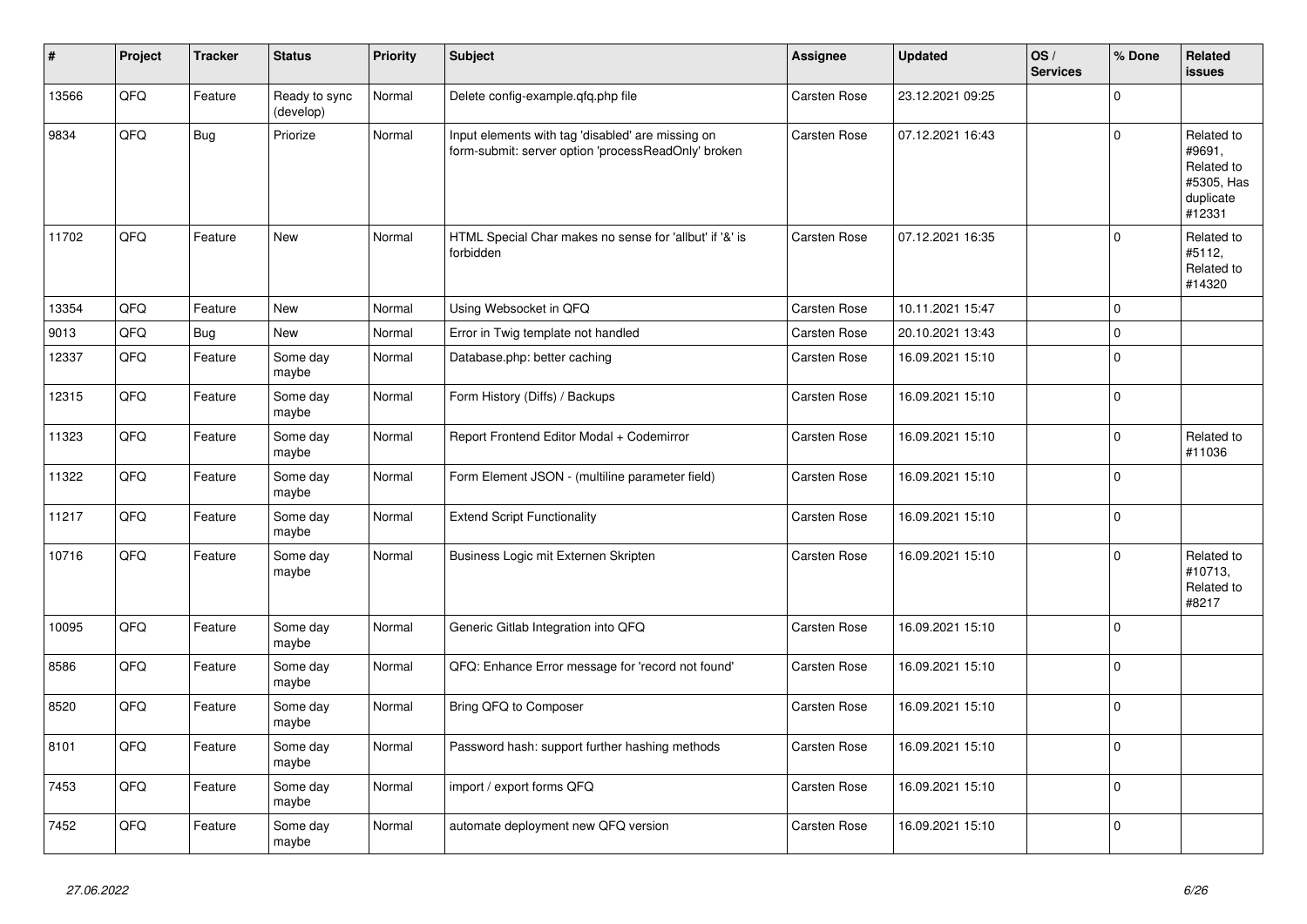| ∦     | Project | <b>Tracker</b> | <b>Status</b>              | <b>Priority</b> | <b>Subject</b>                                                                                           | Assignee     | <b>Updated</b>   | OS/<br><b>Services</b> | % Done         | Related<br><b>issues</b>                                                |
|-------|---------|----------------|----------------------------|-----------------|----------------------------------------------------------------------------------------------------------|--------------|------------------|------------------------|----------------|-------------------------------------------------------------------------|
| 13566 | QFQ     | Feature        | Ready to sync<br>(develop) | Normal          | Delete config-example.gfg.php file                                                                       | Carsten Rose | 23.12.2021 09:25 |                        | $\Omega$       |                                                                         |
| 9834  | QFQ     | Bug            | Priorize                   | Normal          | Input elements with tag 'disabled' are missing on<br>form-submit: server option 'processReadOnly' broken | Carsten Rose | 07.12.2021 16:43 |                        | $\Omega$       | Related to<br>#9691,<br>Related to<br>#5305, Has<br>duplicate<br>#12331 |
| 11702 | QFQ     | Feature        | <b>New</b>                 | Normal          | HTML Special Char makes no sense for 'allbut' if '&' is<br>forbidden                                     | Carsten Rose | 07.12.2021 16:35 |                        | $\mathbf 0$    | Related to<br>#5112,<br>Related to<br>#14320                            |
| 13354 | QFQ     | Feature        | New                        | Normal          | Using Websocket in QFQ                                                                                   | Carsten Rose | 10.11.2021 15:47 |                        | $\Omega$       |                                                                         |
| 9013  | QFQ     | <b>Bug</b>     | <b>New</b>                 | Normal          | Error in Twig template not handled                                                                       | Carsten Rose | 20.10.2021 13:43 |                        | $\Omega$       |                                                                         |
| 12337 | QFQ     | Feature        | Some day<br>maybe          | Normal          | Database.php: better caching                                                                             | Carsten Rose | 16.09.2021 15:10 |                        | $\Omega$       |                                                                         |
| 12315 | QFQ     | Feature        | Some day<br>maybe          | Normal          | Form History (Diffs) / Backups                                                                           | Carsten Rose | 16.09.2021 15:10 |                        | $\overline{0}$ |                                                                         |
| 11323 | QFQ     | Feature        | Some day<br>maybe          | Normal          | Report Frontend Editor Modal + Codemirror                                                                | Carsten Rose | 16.09.2021 15:10 |                        | $\mathbf 0$    | Related to<br>#11036                                                    |
| 11322 | QFQ     | Feature        | Some day<br>maybe          | Normal          | Form Element JSON - (multiline parameter field)                                                          | Carsten Rose | 16.09.2021 15:10 |                        | $\Omega$       |                                                                         |
| 11217 | QFQ     | Feature        | Some day<br>maybe          | Normal          | <b>Extend Script Functionality</b>                                                                       | Carsten Rose | 16.09.2021 15:10 |                        | 0 l            |                                                                         |
| 10716 | QFQ     | Feature        | Some day<br>maybe          | Normal          | Business Logic mit Externen Skripten                                                                     | Carsten Rose | 16.09.2021 15:10 |                        | $\Omega$       | Related to<br>#10713,<br>Related to<br>#8217                            |
| 10095 | QFQ     | Feature        | Some day<br>maybe          | Normal          | Generic Gitlab Integration into QFQ                                                                      | Carsten Rose | 16.09.2021 15:10 |                        | $\Omega$       |                                                                         |
| 8586  | QFQ     | Feature        | Some day<br>maybe          | Normal          | QFQ: Enhance Error message for 'record not found'                                                        | Carsten Rose | 16.09.2021 15:10 |                        | $\pmb{0}$      |                                                                         |
| 8520  | QFQ     | Feature        | Some day<br>maybe          | Normal          | Bring QFQ to Composer                                                                                    | Carsten Rose | 16.09.2021 15:10 |                        | $\mathbf 0$    |                                                                         |
| 8101  | QFQ     | Feature        | Some day<br>maybe          | Normal          | Password hash: support further hashing methods                                                           | Carsten Rose | 16.09.2021 15:10 |                        | $\Omega$       |                                                                         |
| 7453  | QFQ     | Feature        | Some day<br>maybe          | Normal          | import / export forms QFQ                                                                                | Carsten Rose | 16.09.2021 15:10 |                        | $\mathbf 0$    |                                                                         |
| 7452  | QFQ     | Feature        | Some day<br>maybe          | Normal          | automate deployment new QFQ version                                                                      | Carsten Rose | 16.09.2021 15:10 |                        | $\Omega$       |                                                                         |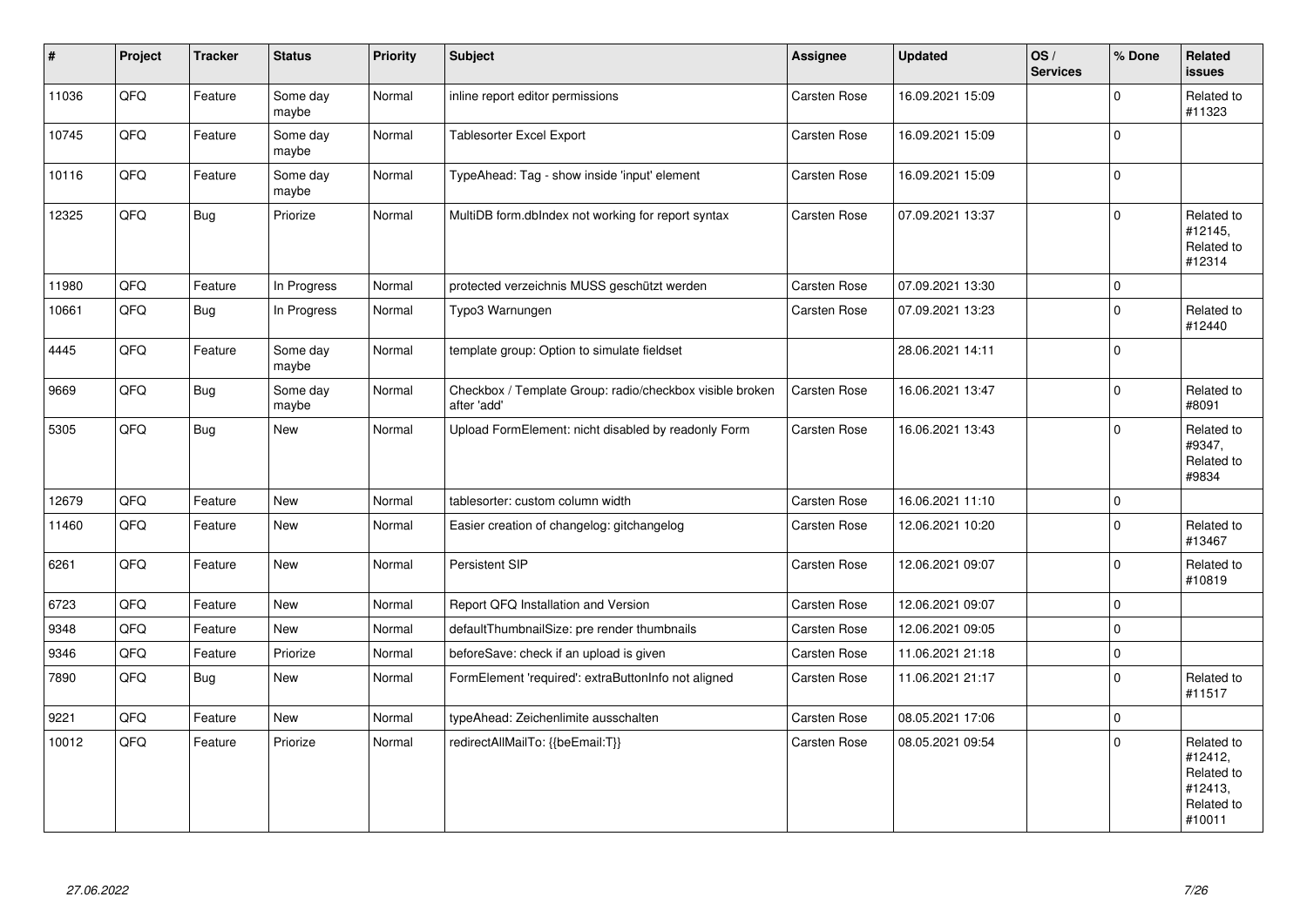| #     | Project | <b>Tracker</b> | <b>Status</b>     | <b>Priority</b> | <b>Subject</b>                                                          | <b>Assignee</b> | <b>Updated</b>   | OS/<br><b>Services</b> | % Done              | Related<br><b>issues</b>                                               |
|-------|---------|----------------|-------------------|-----------------|-------------------------------------------------------------------------|-----------------|------------------|------------------------|---------------------|------------------------------------------------------------------------|
| 11036 | QFQ     | Feature        | Some day<br>maybe | Normal          | inline report editor permissions                                        | Carsten Rose    | 16.09.2021 15:09 |                        | $\mathbf 0$         | Related to<br>#11323                                                   |
| 10745 | QFQ     | Feature        | Some day<br>maybe | Normal          | <b>Tablesorter Excel Export</b>                                         | Carsten Rose    | 16.09.2021 15:09 |                        | $\mathbf 0$         |                                                                        |
| 10116 | QFQ     | Feature        | Some day<br>maybe | Normal          | TypeAhead: Tag - show inside 'input' element                            | Carsten Rose    | 16.09.2021 15:09 |                        | $\mathbf 0$         |                                                                        |
| 12325 | QFQ     | <b>Bug</b>     | Priorize          | Normal          | MultiDB form.dbIndex not working for report syntax                      | Carsten Rose    | 07.09.2021 13:37 |                        | $\mathbf 0$         | Related to<br>#12145,<br>Related to<br>#12314                          |
| 11980 | QFQ     | Feature        | In Progress       | Normal          | protected verzeichnis MUSS geschützt werden                             | Carsten Rose    | 07.09.2021 13:30 |                        | $\mathbf 0$         |                                                                        |
| 10661 | QFQ     | Bug            | In Progress       | Normal          | Typo3 Warnungen                                                         | Carsten Rose    | 07.09.2021 13:23 |                        | $\mathsf{O}\xspace$ | Related to<br>#12440                                                   |
| 4445  | QFQ     | Feature        | Some day<br>maybe | Normal          | template group: Option to simulate fieldset                             |                 | 28.06.2021 14:11 |                        | $\Omega$            |                                                                        |
| 9669  | QFQ     | Bug            | Some day<br>maybe | Normal          | Checkbox / Template Group: radio/checkbox visible broken<br>after 'add' | Carsten Rose    | 16.06.2021 13:47 |                        | $\mathbf 0$         | Related to<br>#8091                                                    |
| 5305  | QFQ     | Bug            | New               | Normal          | Upload FormElement: nicht disabled by readonly Form                     | Carsten Rose    | 16.06.2021 13:43 |                        | $\mathbf 0$         | Related to<br>#9347,<br>Related to<br>#9834                            |
| 12679 | QFQ     | Feature        | New               | Normal          | tablesorter: custom column width                                        | Carsten Rose    | 16.06.2021 11:10 |                        | $\mathsf 0$         |                                                                        |
| 11460 | QFQ     | Feature        | <b>New</b>        | Normal          | Easier creation of changelog: gitchangelog                              | Carsten Rose    | 12.06.2021 10:20 |                        | $\mathbf 0$         | Related to<br>#13467                                                   |
| 6261  | QFQ     | Feature        | New               | Normal          | Persistent SIP                                                          | Carsten Rose    | 12.06.2021 09:07 |                        | $\mathbf 0$         | Related to<br>#10819                                                   |
| 6723  | QFQ     | Feature        | New               | Normal          | Report QFQ Installation and Version                                     | Carsten Rose    | 12.06.2021 09:07 |                        | $\mathbf 0$         |                                                                        |
| 9348  | QFQ     | Feature        | <b>New</b>        | Normal          | defaultThumbnailSize: pre render thumbnails                             | Carsten Rose    | 12.06.2021 09:05 |                        | $\mathsf 0$         |                                                                        |
| 9346  | QFQ     | Feature        | Priorize          | Normal          | beforeSave: check if an upload is given                                 | Carsten Rose    | 11.06.2021 21:18 |                        | $\mathsf 0$         |                                                                        |
| 7890  | QFQ     | <b>Bug</b>     | New               | Normal          | FormElement 'required': extraButtonInfo not aligned                     | Carsten Rose    | 11.06.2021 21:17 |                        | $\mathbf 0$         | Related to<br>#11517                                                   |
| 9221  | QFQ     | Feature        | <b>New</b>        | Normal          | typeAhead: Zeichenlimite ausschalten                                    | Carsten Rose    | 08.05.2021 17:06 |                        | $\mathsf 0$         |                                                                        |
| 10012 | QFQ     | Feature        | Priorize          | Normal          | redirectAllMailTo: {{beEmail:T}}                                        | Carsten Rose    | 08.05.2021 09:54 |                        | $\mathbf 0$         | Related to<br>#12412,<br>Related to<br>#12413,<br>Related to<br>#10011 |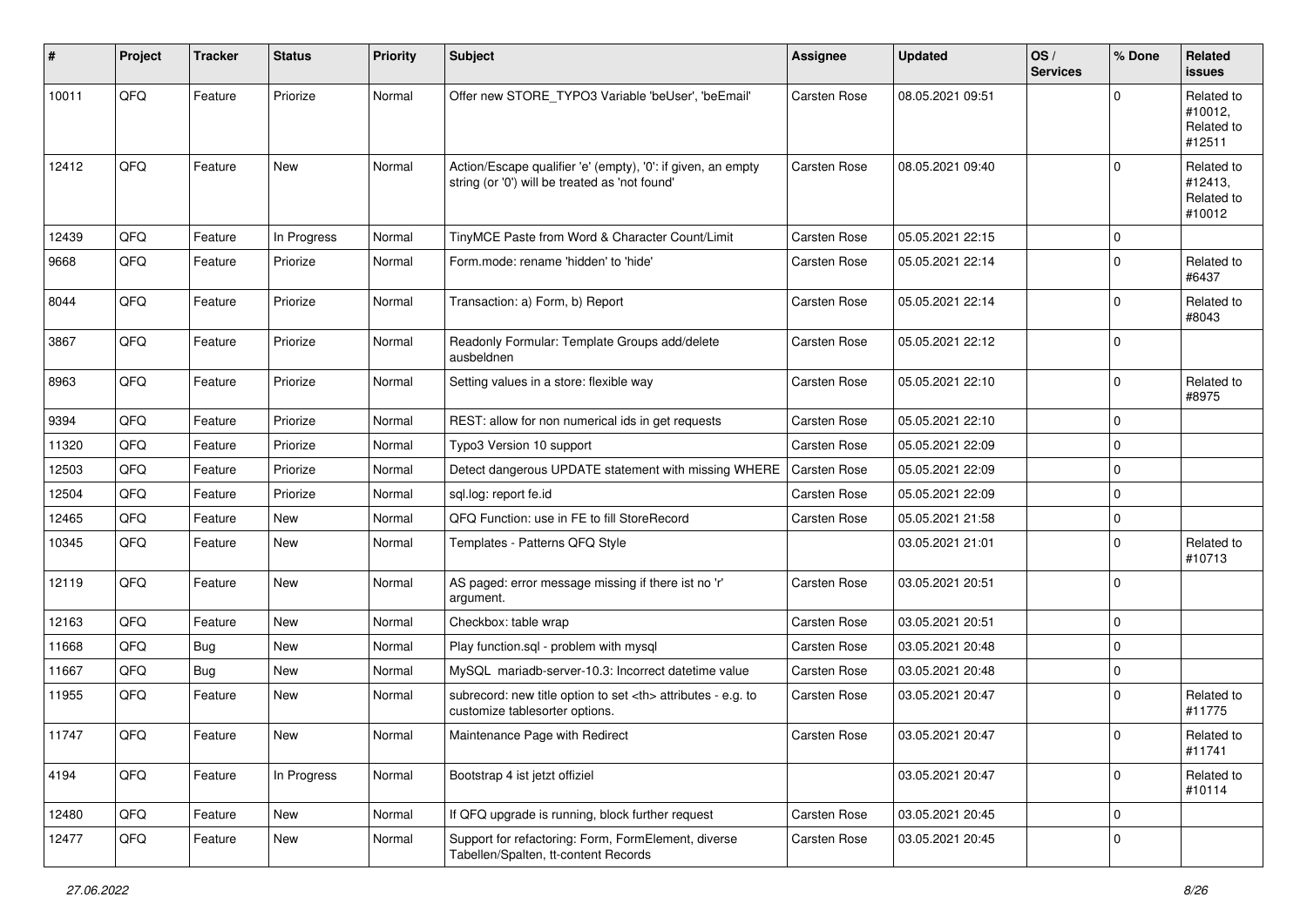| #     | Project | <b>Tracker</b> | <b>Status</b> | <b>Priority</b> | <b>Subject</b>                                                                                                 | <b>Assignee</b>                                        | <b>Updated</b>   | OS/<br><b>Services</b> | % Done      | Related<br><b>issues</b>                      |                      |
|-------|---------|----------------|---------------|-----------------|----------------------------------------------------------------------------------------------------------------|--------------------------------------------------------|------------------|------------------------|-------------|-----------------------------------------------|----------------------|
| 10011 | QFQ     | Feature        | Priorize      | Normal          | Offer new STORE_TYPO3 Variable 'beUser', 'beEmail'                                                             | Carsten Rose                                           | 08.05.2021 09:51 |                        | $\Omega$    | Related to<br>#10012,<br>Related to<br>#12511 |                      |
| 12412 | QFQ     | Feature        | New           | Normal          | Action/Escape qualifier 'e' (empty), '0': if given, an empty<br>string (or '0') will be treated as 'not found' | Carsten Rose                                           | 08.05.2021 09:40 |                        | $\Omega$    | Related to<br>#12413,<br>Related to<br>#10012 |                      |
| 12439 | QFQ     | Feature        | In Progress   | Normal          | TinyMCE Paste from Word & Character Count/Limit                                                                | Carsten Rose                                           | 05.05.2021 22:15 |                        | $\mathbf 0$ |                                               |                      |
| 9668  | QFQ     | Feature        | Priorize      | Normal          | Form.mode: rename 'hidden' to 'hide'                                                                           | Carsten Rose                                           | 05.05.2021 22:14 |                        | $\mathbf 0$ | Related to<br>#6437                           |                      |
| 8044  | QFQ     | Feature        | Priorize      | Normal          | Transaction: a) Form, b) Report                                                                                | Carsten Rose                                           | 05.05.2021 22:14 |                        | $\mathbf 0$ | Related to<br>#8043                           |                      |
| 3867  | QFQ     | Feature        | Priorize      | Normal          | Readonly Formular: Template Groups add/delete<br>ausbeldnen                                                    | Carsten Rose                                           | 05.05.2021 22:12 |                        | $\Omega$    |                                               |                      |
| 8963  | QFQ     | Feature        | Priorize      | Normal          | Setting values in a store: flexible way                                                                        | Carsten Rose                                           | 05.05.2021 22:10 |                        | 0           | Related to<br>#8975                           |                      |
| 9394  | QFQ     | Feature        | Priorize      | Normal          | REST: allow for non numerical ids in get requests                                                              | Carsten Rose                                           | 05.05.2021 22:10 |                        | $\mathbf 0$ |                                               |                      |
| 11320 | QFQ     | Feature        | Priorize      | Normal          | Typo3 Version 10 support                                                                                       | Carsten Rose                                           | 05.05.2021 22:09 |                        | $\mathbf 0$ |                                               |                      |
| 12503 | QFQ     | Feature        | Priorize      | Normal          | Detect dangerous UPDATE statement with missing WHERE                                                           | Carsten Rose                                           | 05.05.2021 22:09 |                        | $\Omega$    |                                               |                      |
| 12504 | QFQ     | Feature        | Priorize      | Normal          | sql.log: report fe.id                                                                                          | Carsten Rose                                           | 05.05.2021 22:09 |                        | $\mathbf 0$ |                                               |                      |
| 12465 | QFQ     | Feature        | <b>New</b>    | Normal          | QFQ Function: use in FE to fill StoreRecord                                                                    | Carsten Rose                                           | 05.05.2021 21:58 |                        | $\mathbf 0$ |                                               |                      |
| 10345 | QFQ     | Feature        | New           | Normal          | Templates - Patterns QFQ Style                                                                                 |                                                        | 03.05.2021 21:01 |                        | $\mathbf 0$ | Related to<br>#10713                          |                      |
| 12119 | QFQ     | Feature        | New           | Normal          | AS paged: error message missing if there ist no 'r'<br>argument.                                               | Carsten Rose                                           | 03.05.2021 20:51 |                        | 0           |                                               |                      |
| 12163 | QFQ     | Feature        | New           | Normal          | Checkbox: table wrap                                                                                           | Carsten Rose                                           | 03.05.2021 20:51 |                        | $\Omega$    |                                               |                      |
| 11668 | QFQ     | Bug            | <b>New</b>    | Normal          | Play function.sql - problem with mysql                                                                         | Carsten Rose                                           | 03.05.2021 20:48 |                        | $\mathbf 0$ |                                               |                      |
| 11667 | QFQ     | Bug            | New           | Normal          | MySQL mariadb-server-10.3: Incorrect datetime value                                                            | Carsten Rose                                           | 03.05.2021 20:48 |                        | 0           |                                               |                      |
| 11955 | QFQ     | Feature        | <b>New</b>    | Normal          | subrecord: new title option to set <th> attributes - e.g. to<br/>customize tablesorter options.</th>           | attributes - e.g. to<br>customize tablesorter options. | Carsten Rose     | 03.05.2021 20:47       |             | $\Omega$                                      | Related to<br>#11775 |
| 11747 | QFQ     | Feature        | New           | Normal          | Maintenance Page with Redirect                                                                                 | Carsten Rose                                           | 03.05.2021 20:47 |                        | $\Omega$    | Related to<br>#11741                          |                      |
| 4194  | QFQ     | Feature        | In Progress   | Normal          | Bootstrap 4 ist jetzt offiziel                                                                                 |                                                        | 03.05.2021 20:47 |                        | $\Omega$    | Related to<br>#10114                          |                      |
| 12480 | QFQ     | Feature        | New           | Normal          | If QFQ upgrade is running, block further request                                                               | Carsten Rose                                           | 03.05.2021 20:45 |                        | 0           |                                               |                      |
| 12477 | QFQ     | Feature        | New           | Normal          | Support for refactoring: Form, FormElement, diverse<br>Tabellen/Spalten, tt-content Records                    | Carsten Rose                                           | 03.05.2021 20:45 |                        | 0           |                                               |                      |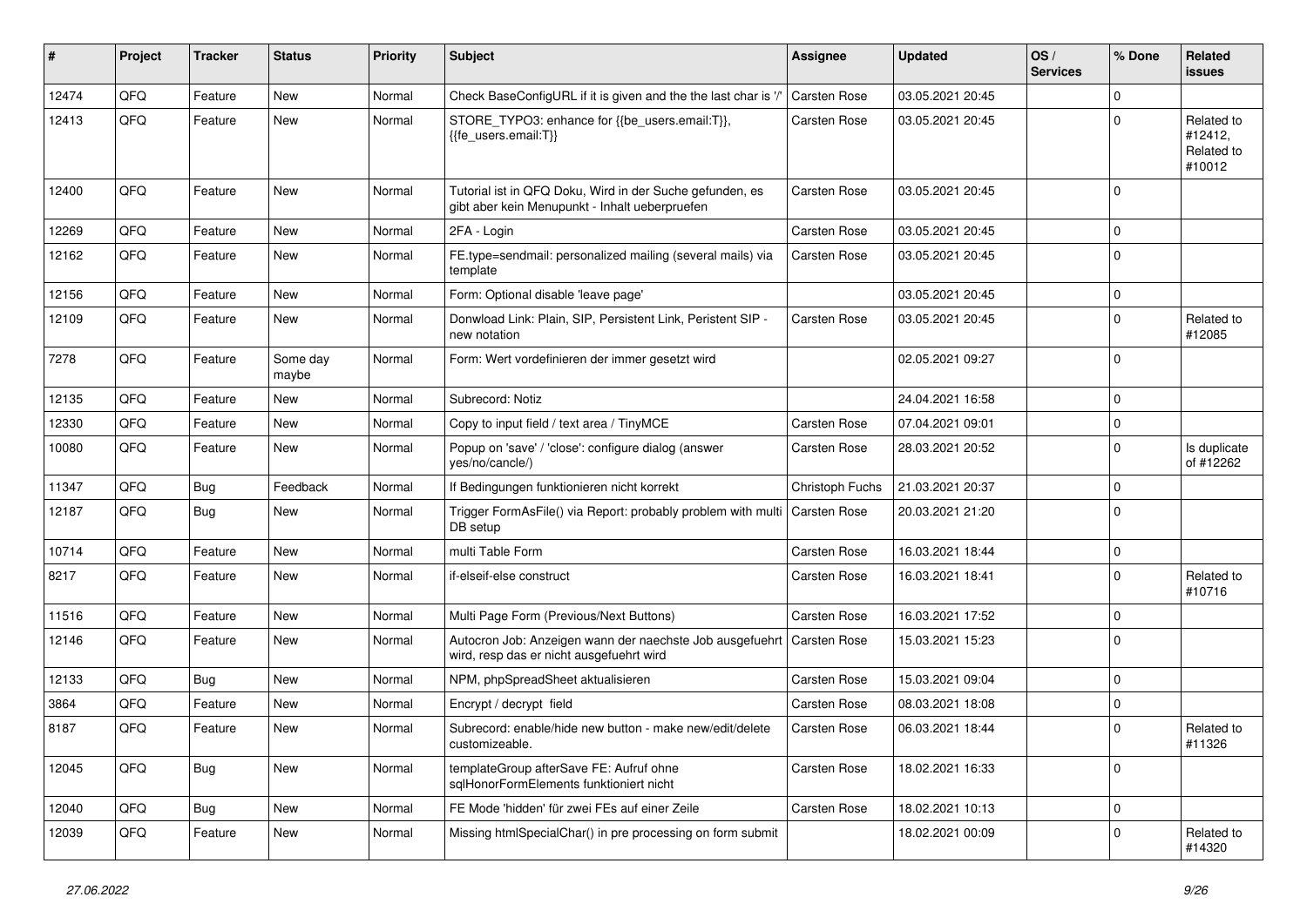| #     | Project | <b>Tracker</b> | <b>Status</b>     | <b>Priority</b> | Subject                                                                                                    | <b>Assignee</b>     | <b>Updated</b>   | OS/<br><b>Services</b> | % Done      | Related<br>issues                             |
|-------|---------|----------------|-------------------|-----------------|------------------------------------------------------------------------------------------------------------|---------------------|------------------|------------------------|-------------|-----------------------------------------------|
| 12474 | QFQ     | Feature        | <b>New</b>        | Normal          | Check BaseConfigURL if it is given and the the last char is '/                                             | Carsten Rose        | 03.05.2021 20:45 |                        | $\Omega$    |                                               |
| 12413 | QFQ     | Feature        | New               | Normal          | STORE_TYPO3: enhance for {{be_users.email:T}},<br>{{fe users.email:T}}                                     | Carsten Rose        | 03.05.2021 20:45 |                        | $\Omega$    | Related to<br>#12412.<br>Related to<br>#10012 |
| 12400 | QFQ     | Feature        | New               | Normal          | Tutorial ist in QFQ Doku, Wird in der Suche gefunden, es<br>gibt aber kein Menupunkt - Inhalt ueberpruefen | Carsten Rose        | 03.05.2021 20:45 |                        | $\mathbf 0$ |                                               |
| 12269 | QFQ     | Feature        | New               | Normal          | 2FA - Login                                                                                                | Carsten Rose        | 03.05.2021 20:45 |                        | $\Omega$    |                                               |
| 12162 | QFQ     | Feature        | <b>New</b>        | Normal          | FE.type=sendmail: personalized mailing (several mails) via<br>template                                     | Carsten Rose        | 03.05.2021 20:45 |                        | $\Omega$    |                                               |
| 12156 | QFQ     | Feature        | <b>New</b>        | Normal          | Form: Optional disable 'leave page'                                                                        |                     | 03.05.2021 20:45 |                        | $\Omega$    |                                               |
| 12109 | QFQ     | Feature        | New               | Normal          | Donwload Link: Plain, SIP, Persistent Link, Peristent SIP -<br>new notation                                | Carsten Rose        | 03.05.2021 20:45 |                        | $\mathbf 0$ | Related to<br>#12085                          |
| 7278  | QFQ     | Feature        | Some day<br>maybe | Normal          | Form: Wert vordefinieren der immer gesetzt wird                                                            |                     | 02.05.2021 09:27 |                        | $\mathbf 0$ |                                               |
| 12135 | QFQ     | Feature        | <b>New</b>        | Normal          | Subrecord: Notiz                                                                                           |                     | 24.04.2021 16:58 |                        | $\Omega$    |                                               |
| 12330 | QFQ     | Feature        | <b>New</b>        | Normal          | Copy to input field / text area / TinyMCE                                                                  | <b>Carsten Rose</b> | 07.04.2021 09:01 |                        | $\Omega$    |                                               |
| 10080 | QFQ     | Feature        | New               | Normal          | Popup on 'save' / 'close': configure dialog (answer<br>yes/no/cancle/)                                     | Carsten Rose        | 28.03.2021 20:52 |                        | $\Omega$    | Is duplicate<br>of #12262                     |
| 11347 | QFQ     | Bug            | Feedback          | Normal          | If Bedingungen funktionieren nicht korrekt                                                                 | Christoph Fuchs     | 21.03.2021 20:37 |                        | $\Omega$    |                                               |
| 12187 | QFQ     | Bug            | <b>New</b>        | Normal          | Trigger FormAsFile() via Report: probably problem with multi<br>DB setup                                   | <b>Carsten Rose</b> | 20.03.2021 21:20 |                        | $\Omega$    |                                               |
| 10714 | QFQ     | Feature        | <b>New</b>        | Normal          | multi Table Form                                                                                           | Carsten Rose        | 16.03.2021 18:44 |                        | $\mathbf 0$ |                                               |
| 8217  | QFQ     | Feature        | New               | Normal          | if-elseif-else construct                                                                                   | Carsten Rose        | 16.03.2021 18:41 |                        | $\Omega$    | Related to<br>#10716                          |
| 11516 | QFQ     | Feature        | <b>New</b>        | Normal          | Multi Page Form (Previous/Next Buttons)                                                                    | Carsten Rose        | 16.03.2021 17:52 |                        | $\mathbf 0$ |                                               |
| 12146 | QFQ     | Feature        | New               | Normal          | Autocron Job: Anzeigen wann der naechste Job ausgefuehrt<br>wird, resp das er nicht ausgefuehrt wird       | <b>Carsten Rose</b> | 15.03.2021 15:23 |                        | $\Omega$    |                                               |
| 12133 | QFQ     | Bug            | New               | Normal          | NPM, phpSpreadSheet aktualisieren                                                                          | Carsten Rose        | 15.03.2021 09:04 |                        | $\mathbf 0$ |                                               |
| 3864  | QFQ     | Feature        | New               | Normal          | Encrypt / decrypt field                                                                                    | Carsten Rose        | 08.03.2021 18:08 |                        | $\Omega$    |                                               |
| 8187  | QFQ     | Feature        | New               | Normal          | Subrecord: enable/hide new button - make new/edit/delete<br>customizeable.                                 | Carsten Rose        | 06.03.2021 18:44 |                        | $\Omega$    | Related to<br>#11326                          |
| 12045 | QFQ     | Bug            | New               | Normal          | templateGroup afterSave FE: Aufruf ohne<br>sqlHonorFormElements funktioniert nicht                         | Carsten Rose        | 18.02.2021 16:33 |                        | $\mathbf 0$ |                                               |
| 12040 | QFQ     | <b>Bug</b>     | New               | Normal          | FE Mode 'hidden' für zwei FEs auf einer Zeile                                                              | Carsten Rose        | 18.02.2021 10:13 |                        | $\mathbf 0$ |                                               |
| 12039 | QFQ     | Feature        | New               | Normal          | Missing htmlSpecialChar() in pre processing on form submit                                                 |                     | 18.02.2021 00:09 |                        | $\mathbf 0$ | Related to<br>#14320                          |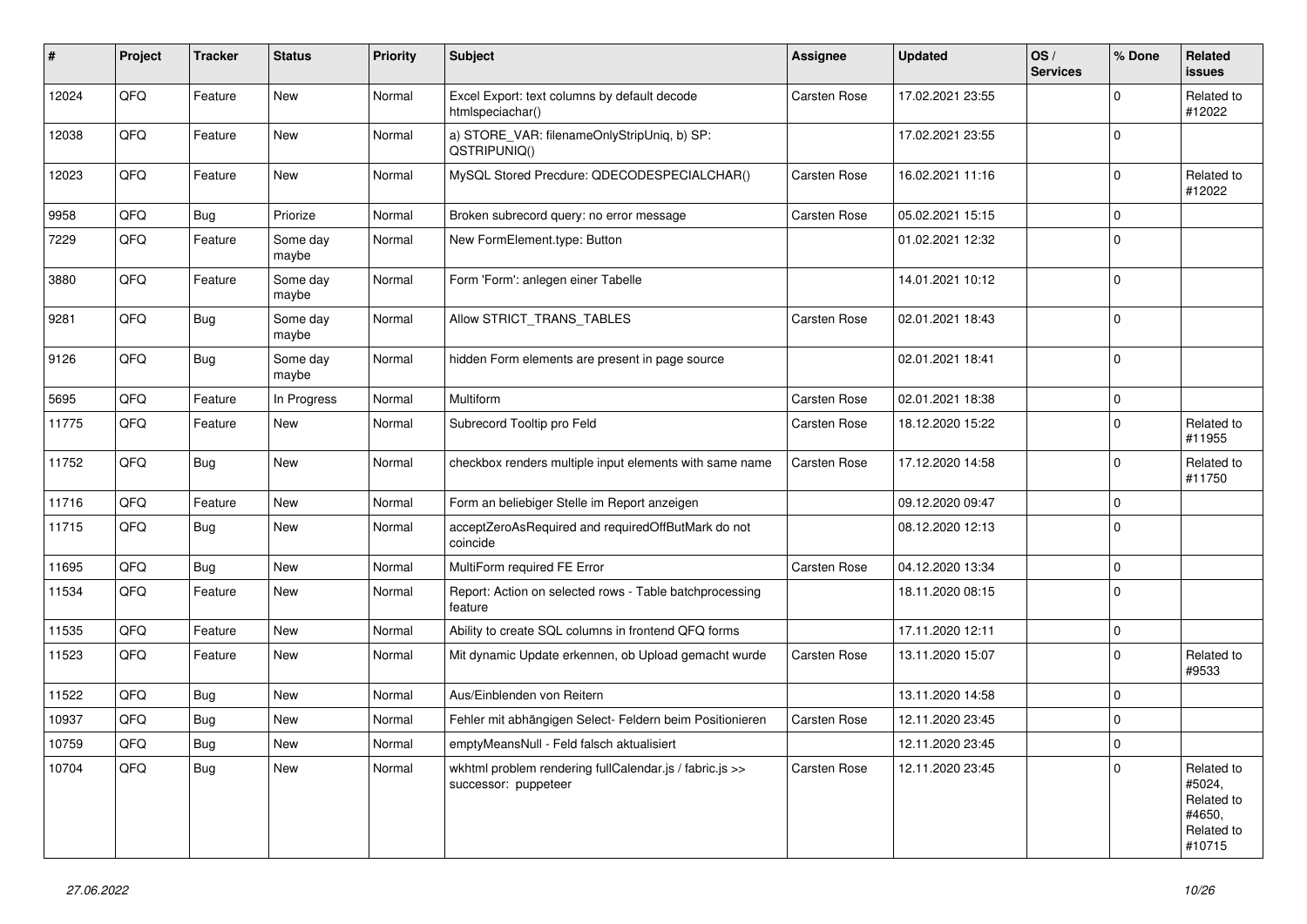| ∦     | Project | <b>Tracker</b> | <b>Status</b>     | <b>Priority</b> | <b>Subject</b>                                                                  | Assignee            | <b>Updated</b>   | OS/<br><b>Services</b> | % Done      | Related<br>issues                                                    |
|-------|---------|----------------|-------------------|-----------------|---------------------------------------------------------------------------------|---------------------|------------------|------------------------|-------------|----------------------------------------------------------------------|
| 12024 | QFQ     | Feature        | New               | Normal          | Excel Export: text columns by default decode<br>htmlspeciachar()                | <b>Carsten Rose</b> | 17.02.2021 23:55 |                        | $\Omega$    | Related to<br>#12022                                                 |
| 12038 | QFQ     | Feature        | New               | Normal          | a) STORE_VAR: filenameOnlyStripUniq, b) SP:<br>QSTRIPUNIQ()                     |                     | 17.02.2021 23:55 |                        | $\mathbf 0$ |                                                                      |
| 12023 | QFQ     | Feature        | <b>New</b>        | Normal          | MySQL Stored Precdure: QDECODESPECIALCHAR()                                     | Carsten Rose        | 16.02.2021 11:16 |                        | $\Omega$    | Related to<br>#12022                                                 |
| 9958  | QFQ     | Bug            | Priorize          | Normal          | Broken subrecord query: no error message                                        | <b>Carsten Rose</b> | 05.02.2021 15:15 |                        | $\Omega$    |                                                                      |
| 7229  | QFQ     | Feature        | Some day<br>maybe | Normal          | New FormElement.type: Button                                                    |                     | 01.02.2021 12:32 |                        | $\Omega$    |                                                                      |
| 3880  | QFQ     | Feature        | Some day<br>maybe | Normal          | Form 'Form': anlegen einer Tabelle                                              |                     | 14.01.2021 10:12 |                        | $\Omega$    |                                                                      |
| 9281  | QFQ     | Bug            | Some day<br>maybe | Normal          | Allow STRICT_TRANS_TABLES                                                       | <b>Carsten Rose</b> | 02.01.2021 18:43 |                        | $\Omega$    |                                                                      |
| 9126  | QFQ     | Bug            | Some day<br>maybe | Normal          | hidden Form elements are present in page source                                 |                     | 02.01.2021 18:41 |                        | $\Omega$    |                                                                      |
| 5695  | QFQ     | Feature        | In Progress       | Normal          | Multiform                                                                       | Carsten Rose        | 02.01.2021 18:38 |                        | $\Omega$    |                                                                      |
| 11775 | QFQ     | Feature        | <b>New</b>        | Normal          | Subrecord Tooltip pro Feld                                                      | <b>Carsten Rose</b> | 18.12.2020 15:22 |                        | $\Omega$    | Related to<br>#11955                                                 |
| 11752 | QFQ     | Bug            | New               | Normal          | checkbox renders multiple input elements with same name                         | Carsten Rose        | 17.12.2020 14:58 |                        | $\Omega$    | Related to<br>#11750                                                 |
| 11716 | QFQ     | Feature        | New               | Normal          | Form an beliebiger Stelle im Report anzeigen                                    |                     | 09.12.2020 09:47 |                        | $\mathbf 0$ |                                                                      |
| 11715 | QFQ     | Bug            | <b>New</b>        | Normal          | acceptZeroAsRequired and requiredOffButMark do not<br>coincide                  |                     | 08.12.2020 12:13 |                        | $\Omega$    |                                                                      |
| 11695 | QFQ     | <b>Bug</b>     | <b>New</b>        | Normal          | MultiForm required FE Error                                                     | Carsten Rose        | 04.12.2020 13:34 |                        | $\mathbf 0$ |                                                                      |
| 11534 | QFQ     | Feature        | New               | Normal          | Report: Action on selected rows - Table batchprocessing<br>feature              |                     | 18.11.2020 08:15 |                        | $\Omega$    |                                                                      |
| 11535 | QFQ     | Feature        | <b>New</b>        | Normal          | Ability to create SQL columns in frontend QFQ forms                             |                     | 17.11.2020 12:11 |                        | $\Omega$    |                                                                      |
| 11523 | QFQ     | Feature        | <b>New</b>        | Normal          | Mit dynamic Update erkennen, ob Upload gemacht wurde                            | Carsten Rose        | 13.11.2020 15:07 |                        | $\Omega$    | Related to<br>#9533                                                  |
| 11522 | QFQ     | Bug            | <b>New</b>        | Normal          | Aus/Einblenden von Reitern                                                      |                     | 13.11.2020 14:58 |                        | $\Omega$    |                                                                      |
| 10937 | QFQ     | Bug            | <b>New</b>        | Normal          | Fehler mit abhängigen Select- Feldern beim Positionieren                        | <b>Carsten Rose</b> | 12.11.2020 23:45 |                        | $\Omega$    |                                                                      |
| 10759 | QFQ     | Bug            | <b>New</b>        | Normal          | emptyMeansNull - Feld falsch aktualisiert                                       |                     | 12.11.2020 23:45 |                        | $\mathbf 0$ |                                                                      |
| 10704 | QFQ     | Bug            | <b>New</b>        | Normal          | wkhtml problem rendering fullCalendar.js / fabric.js >><br>successor: puppeteer | Carsten Rose        | 12.11.2020 23:45 |                        | $\Omega$    | Related to<br>#5024,<br>Related to<br>#4650,<br>Related to<br>#10715 |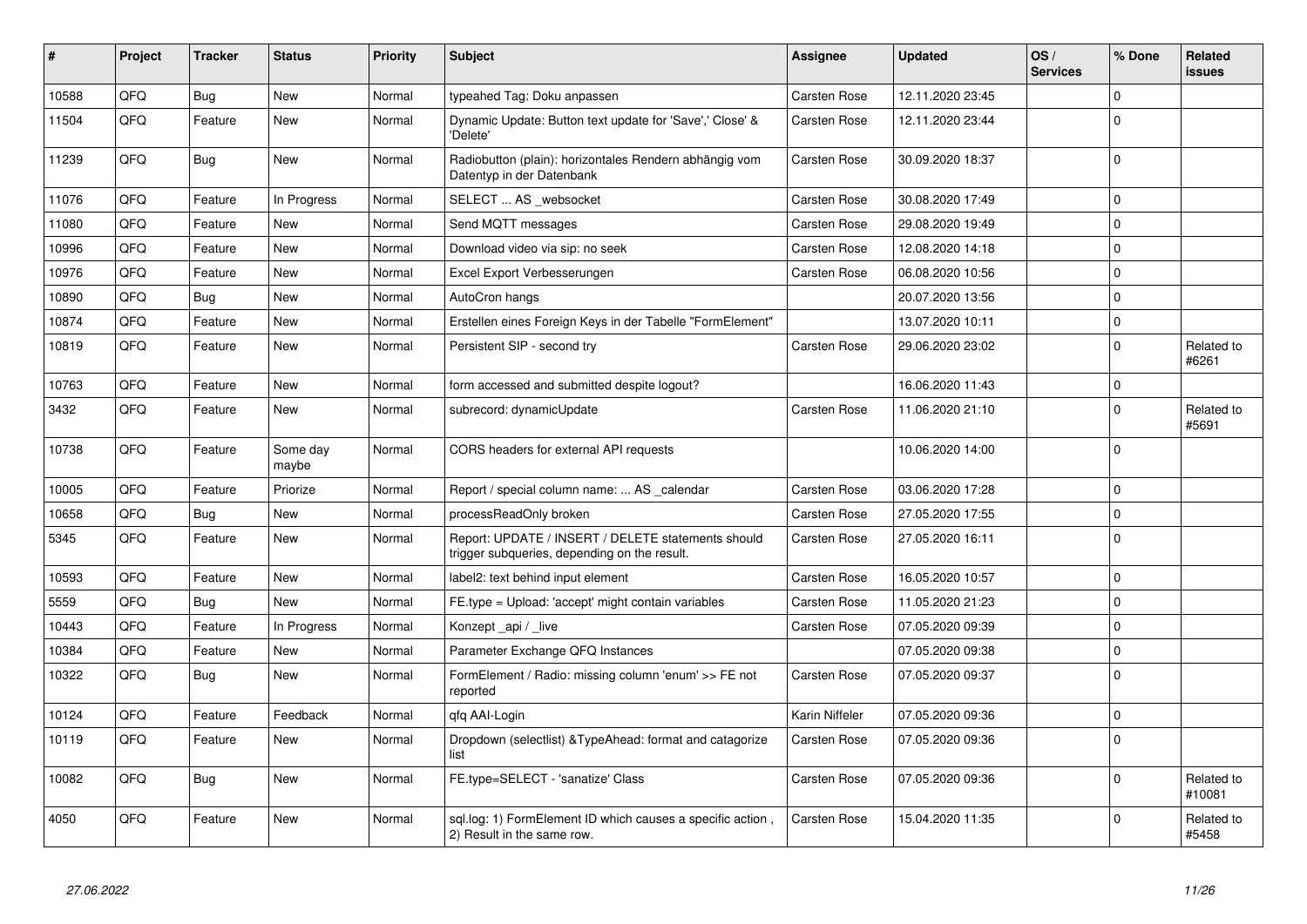| #     | Project | <b>Tracker</b> | <b>Status</b>     | <b>Priority</b> | <b>Subject</b>                                                                                     | Assignee            | <b>Updated</b>   | OS/<br><b>Services</b> | % Done      | Related<br>issues    |
|-------|---------|----------------|-------------------|-----------------|----------------------------------------------------------------------------------------------------|---------------------|------------------|------------------------|-------------|----------------------|
| 10588 | QFQ     | Bug            | <b>New</b>        | Normal          | typeahed Tag: Doku anpassen                                                                        | <b>Carsten Rose</b> | 12.11.2020 23:45 |                        | $\Omega$    |                      |
| 11504 | QFQ     | Feature        | New               | Normal          | Dynamic Update: Button text update for 'Save',' Close' &<br>'Delete'                               | Carsten Rose        | 12.11.2020 23:44 |                        | $\Omega$    |                      |
| 11239 | QFQ     | Bug            | New               | Normal          | Radiobutton (plain): horizontales Rendern abhängig vom<br>Datentyp in der Datenbank                | Carsten Rose        | 30.09.2020 18:37 |                        | $\Omega$    |                      |
| 11076 | QFQ     | Feature        | In Progress       | Normal          | SELECT  AS _websocket                                                                              | Carsten Rose        | 30.08.2020 17:49 |                        | 0           |                      |
| 11080 | QFQ     | Feature        | <b>New</b>        | Normal          | Send MQTT messages                                                                                 | <b>Carsten Rose</b> | 29.08.2020 19:49 |                        | $\mathbf 0$ |                      |
| 10996 | QFQ     | Feature        | New               | Normal          | Download video via sip: no seek                                                                    | Carsten Rose        | 12.08.2020 14:18 |                        | $\Omega$    |                      |
| 10976 | QFQ     | Feature        | New               | Normal          | Excel Export Verbesserungen                                                                        | Carsten Rose        | 06.08.2020 10:56 |                        | $\Omega$    |                      |
| 10890 | QFQ     | <b>Bug</b>     | New               | Normal          | AutoCron hangs                                                                                     |                     | 20.07.2020 13:56 |                        | $\mathbf 0$ |                      |
| 10874 | QFQ     | Feature        | <b>New</b>        | Normal          | Erstellen eines Foreign Keys in der Tabelle "FormElement"                                          |                     | 13.07.2020 10:11 |                        | $\Omega$    |                      |
| 10819 | QFQ     | Feature        | New               | Normal          | Persistent SIP - second try                                                                        | Carsten Rose        | 29.06.2020 23:02 |                        | $\Omega$    | Related to<br>#6261  |
| 10763 | QFQ     | Feature        | <b>New</b>        | Normal          | form accessed and submitted despite logout?                                                        |                     | 16.06.2020 11:43 |                        | $\mathbf 0$ |                      |
| 3432  | QFQ     | Feature        | New               | Normal          | subrecord: dynamicUpdate                                                                           | <b>Carsten Rose</b> | 11.06.2020 21:10 |                        | $\Omega$    | Related to<br>#5691  |
| 10738 | QFQ     | Feature        | Some day<br>maybe | Normal          | CORS headers for external API requests                                                             |                     | 10.06.2020 14:00 |                        | $\mathbf 0$ |                      |
| 10005 | QFQ     | Feature        | Priorize          | Normal          | Report / special column name:  AS _calendar                                                        | Carsten Rose        | 03.06.2020 17:28 |                        | $\mathbf 0$ |                      |
| 10658 | QFQ     | <b>Bug</b>     | New               | Normal          | processReadOnly broken                                                                             | Carsten Rose        | 27.05.2020 17:55 |                        | $\mathbf 0$ |                      |
| 5345  | QFQ     | Feature        | New               | Normal          | Report: UPDATE / INSERT / DELETE statements should<br>trigger subqueries, depending on the result. | Carsten Rose        | 27.05.2020 16:11 |                        | $\mathbf 0$ |                      |
| 10593 | QFQ     | Feature        | New               | Normal          | label2: text behind input element                                                                  | <b>Carsten Rose</b> | 16.05.2020 10:57 |                        | $\mathbf 0$ |                      |
| 5559  | QFQ     | Bug            | New               | Normal          | FE.type = Upload: 'accept' might contain variables                                                 | Carsten Rose        | 11.05.2020 21:23 |                        | $\Omega$    |                      |
| 10443 | QFQ     | Feature        | In Progress       | Normal          | Konzept api / live                                                                                 | Carsten Rose        | 07.05.2020 09:39 |                        | $\mathbf 0$ |                      |
| 10384 | QFQ     | Feature        | New               | Normal          | Parameter Exchange QFQ Instances                                                                   |                     | 07.05.2020 09:38 |                        | 0           |                      |
| 10322 | QFQ     | <b>Bug</b>     | New               | Normal          | FormElement / Radio: missing column 'enum' >> FE not<br>reported                                   | Carsten Rose        | 07.05.2020 09:37 |                        | $\Omega$    |                      |
| 10124 | QFQ     | Feature        | Feedback          | Normal          | gfg AAI-Login                                                                                      | Karin Niffeler      | 07.05.2020 09:36 |                        | $\mathbf 0$ |                      |
| 10119 | QFQ     | Feature        | New               | Normal          | Dropdown (selectlist) & Type Ahead: format and catagorize<br>list                                  | <b>Carsten Rose</b> | 07.05.2020 09:36 |                        | $\Omega$    |                      |
| 10082 | QFQ     | Bug            | New               | Normal          | FE.type=SELECT - 'sanatize' Class                                                                  | Carsten Rose        | 07.05.2020 09:36 |                        | $\Omega$    | Related to<br>#10081 |
| 4050  | QFQ     | Feature        | New               | Normal          | sql.log: 1) FormElement ID which causes a specific action,<br>2) Result in the same row.           | Carsten Rose        | 15.04.2020 11:35 |                        | $\Omega$    | Related to<br>#5458  |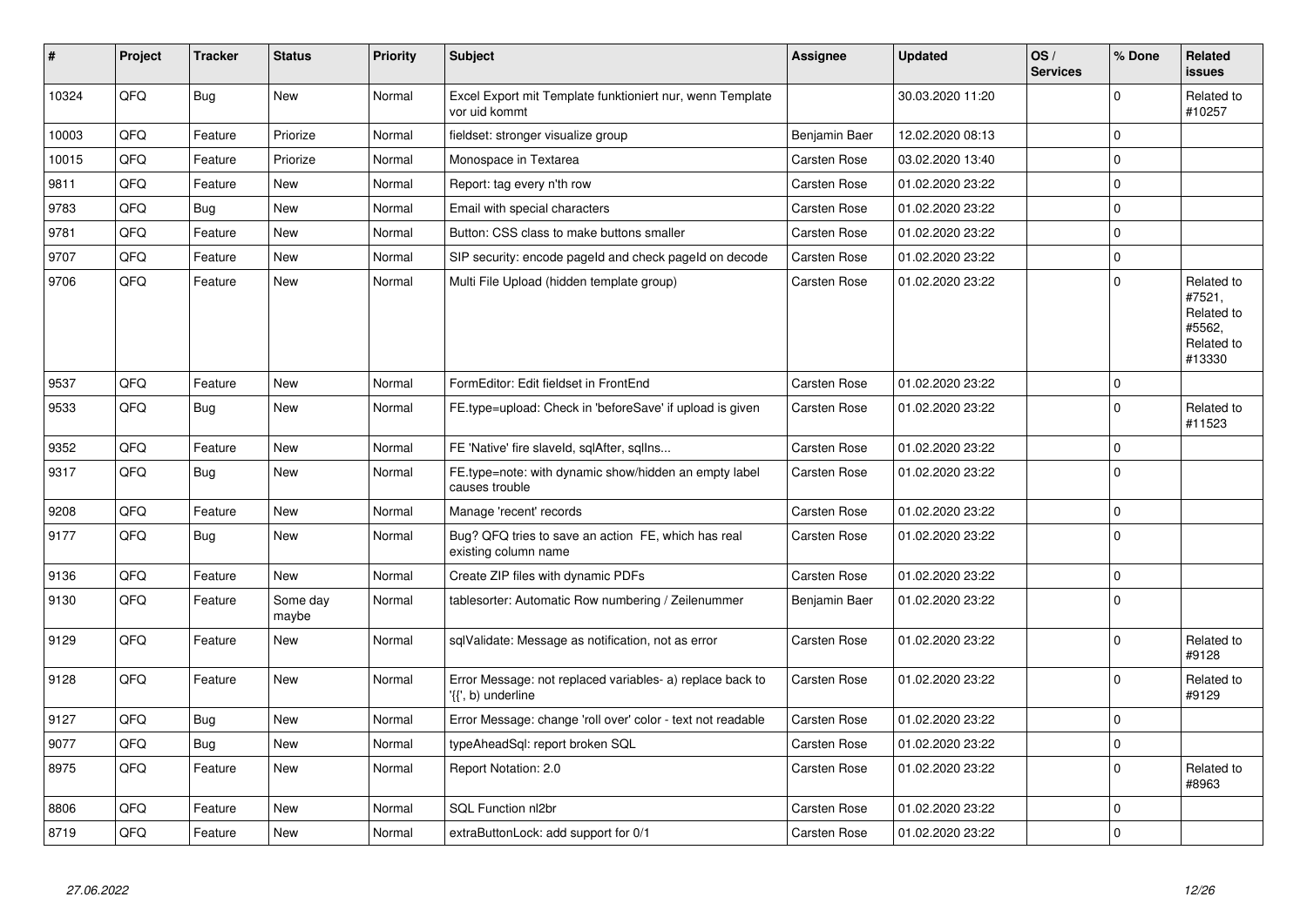| #     | Project | <b>Tracker</b> | <b>Status</b>     | <b>Priority</b> | <b>Subject</b>                                                                  | Assignee            | Updated          | OS/<br><b>Services</b> | % Done       | Related<br>issues                                                    |
|-------|---------|----------------|-------------------|-----------------|---------------------------------------------------------------------------------|---------------------|------------------|------------------------|--------------|----------------------------------------------------------------------|
| 10324 | QFQ     | Bug            | <b>New</b>        | Normal          | Excel Export mit Template funktioniert nur, wenn Template<br>vor uid kommt      |                     | 30.03.2020 11:20 |                        | $\Omega$     | Related to<br>#10257                                                 |
| 10003 | QFQ     | Feature        | Priorize          | Normal          | fieldset: stronger visualize group                                              | Benjamin Baer       | 12.02.2020 08:13 |                        | $\mathbf 0$  |                                                                      |
| 10015 | QFQ     | Feature        | Priorize          | Normal          | Monospace in Textarea                                                           | <b>Carsten Rose</b> | 03.02.2020 13:40 |                        | $\Omega$     |                                                                      |
| 9811  | QFQ     | Feature        | New               | Normal          | Report: tag every n'th row                                                      | Carsten Rose        | 01.02.2020 23:22 |                        | $\mathbf 0$  |                                                                      |
| 9783  | QFQ     | Bug            | New               | Normal          | Email with special characters                                                   | Carsten Rose        | 01.02.2020 23:22 |                        | $\Omega$     |                                                                      |
| 9781  | QFQ     | Feature        | <b>New</b>        | Normal          | Button: CSS class to make buttons smaller                                       | Carsten Rose        | 01.02.2020 23:22 |                        | $\mathbf 0$  |                                                                      |
| 9707  | QFQ     | Feature        | <b>New</b>        | Normal          | SIP security: encode pageld and check pageld on decode                          | <b>Carsten Rose</b> | 01.02.2020 23:22 |                        | $\Omega$     |                                                                      |
| 9706  | QFQ     | Feature        | <b>New</b>        | Normal          | Multi File Upload (hidden template group)                                       | Carsten Rose        | 01.02.2020 23:22 |                        | $\mathbf 0$  | Related to<br>#7521,<br>Related to<br>#5562,<br>Related to<br>#13330 |
| 9537  | QFQ     | Feature        | <b>New</b>        | Normal          | FormEditor: Edit fieldset in FrontEnd                                           | Carsten Rose        | 01.02.2020 23:22 |                        | $\Omega$     |                                                                      |
| 9533  | QFQ     | Bug            | <b>New</b>        | Normal          | FE.type=upload: Check in 'beforeSave' if upload is given                        | <b>Carsten Rose</b> | 01.02.2020 23:22 |                        | $\Omega$     | Related to<br>#11523                                                 |
| 9352  | QFQ     | Feature        | <b>New</b>        | Normal          | FE 'Native' fire slaveld, sqlAfter, sqllns                                      | <b>Carsten Rose</b> | 01.02.2020 23:22 |                        | $\Omega$     |                                                                      |
| 9317  | QFQ     | Bug            | <b>New</b>        | Normal          | FE.type=note: with dynamic show/hidden an empty label<br>causes trouble         | <b>Carsten Rose</b> | 01.02.2020 23:22 |                        | $\Omega$     |                                                                      |
| 9208  | QFQ     | Feature        | <b>New</b>        | Normal          | Manage 'recent' records                                                         | <b>Carsten Rose</b> | 01.02.2020 23:22 |                        | $\Omega$     |                                                                      |
| 9177  | QFQ     | Bug            | <b>New</b>        | Normal          | Bug? QFQ tries to save an action FE, which has real<br>existing column name     | <b>Carsten Rose</b> | 01.02.2020 23:22 |                        | $\mathbf 0$  |                                                                      |
| 9136  | QFQ     | Feature        | <b>New</b>        | Normal          | Create ZIP files with dynamic PDFs                                              | <b>Carsten Rose</b> | 01.02.2020 23:22 |                        | $\mathbf 0$  |                                                                      |
| 9130  | QFQ     | Feature        | Some day<br>maybe | Normal          | tablesorter: Automatic Row numbering / Zeilenummer                              | Benjamin Baer       | 01.02.2020 23:22 |                        | $\Omega$     |                                                                      |
| 9129  | QFQ     | Feature        | New               | Normal          | sqlValidate: Message as notification, not as error                              | Carsten Rose        | 01.02.2020 23:22 |                        | $\Omega$     | Related to<br>#9128                                                  |
| 9128  | QFQ     | Feature        | New               | Normal          | Error Message: not replaced variables- a) replace back to<br>'{{', b) underline | Carsten Rose        | 01.02.2020 23:22 |                        | $\Omega$     | Related to<br>#9129                                                  |
| 9127  | QFQ     | Bug            | <b>New</b>        | Normal          | Error Message: change 'roll over' color - text not readable                     | Carsten Rose        | 01.02.2020 23:22 |                        | $\Omega$     |                                                                      |
| 9077  | QFQ     | Bug            | <b>New</b>        | Normal          | typeAheadSql: report broken SQL                                                 | <b>Carsten Rose</b> | 01.02.2020 23:22 |                        | $\mathbf{0}$ |                                                                      |
| 8975  | QFQ     | Feature        | New               | Normal          | Report Notation: 2.0                                                            | Carsten Rose        | 01.02.2020 23:22 |                        | $\Omega$     | Related to<br>#8963                                                  |
| 8806  | QFQ     | Feature        | <b>New</b>        | Normal          | SQL Function nl2br                                                              | Carsten Rose        | 01.02.2020 23:22 |                        | $\Omega$     |                                                                      |
| 8719  | QFQ     | Feature        | New               | Normal          | extraButtonLock: add support for 0/1                                            | <b>Carsten Rose</b> | 01.02.2020 23:22 |                        | $\Omega$     |                                                                      |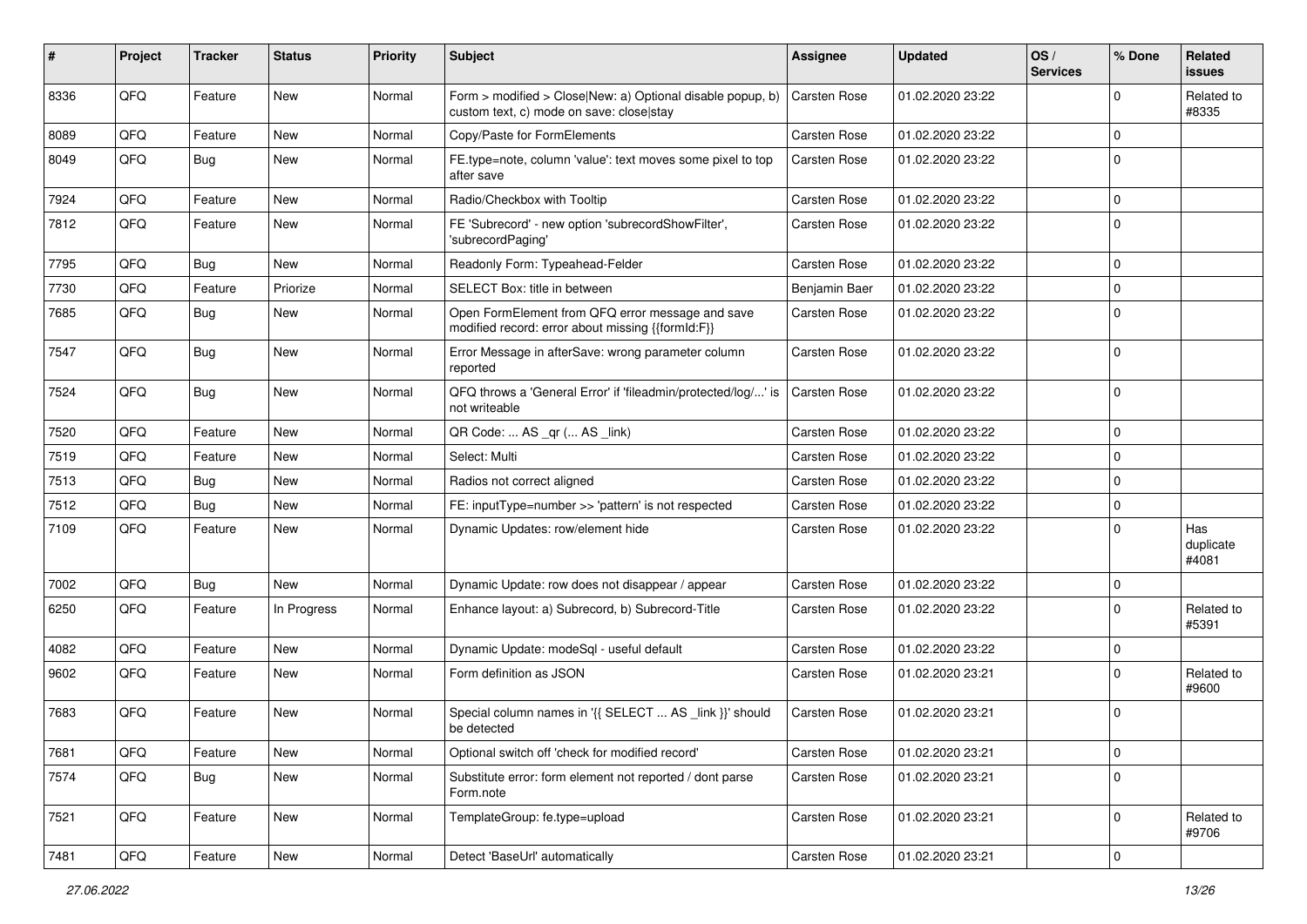| #    | Project | <b>Tracker</b> | <b>Status</b> | <b>Priority</b> | <b>Subject</b>                                                                                         | Assignee            | <b>Updated</b>   | OS/<br><b>Services</b> | % Done      | Related<br>issues         |
|------|---------|----------------|---------------|-----------------|--------------------------------------------------------------------------------------------------------|---------------------|------------------|------------------------|-------------|---------------------------|
| 8336 | QFQ     | Feature        | <b>New</b>    | Normal          | Form > modified > Close New: a) Optional disable popup, b)<br>custom text, c) mode on save: close stay | Carsten Rose        | 01.02.2020 23:22 |                        | O           | Related to<br>#8335       |
| 8089 | QFQ     | Feature        | <b>New</b>    | Normal          | Copy/Paste for FormElements                                                                            | Carsten Rose        | 01.02.2020 23:22 |                        | $\Omega$    |                           |
| 8049 | QFQ     | Bug            | <b>New</b>    | Normal          | FE.type=note, column 'value': text moves some pixel to top<br>after save                               | Carsten Rose        | 01.02.2020 23:22 |                        | $\Omega$    |                           |
| 7924 | QFQ     | Feature        | <b>New</b>    | Normal          | Radio/Checkbox with Tooltip                                                                            | Carsten Rose        | 01.02.2020 23:22 |                        | $\Omega$    |                           |
| 7812 | QFQ     | Feature        | New           | Normal          | FE 'Subrecord' - new option 'subrecordShowFilter',<br>'subrecordPaging'                                | Carsten Rose        | 01.02.2020 23:22 |                        | $\mathbf 0$ |                           |
| 7795 | QFQ     | Bug            | <b>New</b>    | Normal          | Readonly Form: Typeahead-Felder                                                                        | Carsten Rose        | 01.02.2020 23:22 |                        | $\mathbf 0$ |                           |
| 7730 | QFQ     | Feature        | Priorize      | Normal          | SELECT Box: title in between                                                                           | Benjamin Baer       | 01.02.2020 23:22 |                        | $\Omega$    |                           |
| 7685 | QFQ     | Bug            | New           | Normal          | Open FormElement from QFQ error message and save<br>modified record: error about missing {{formId:F}}  | Carsten Rose        | 01.02.2020 23:22 |                        | $\Omega$    |                           |
| 7547 | QFQ     | Bug            | <b>New</b>    | Normal          | Error Message in afterSave: wrong parameter column<br>reported                                         | Carsten Rose        | 01.02.2020 23:22 |                        | $\Omega$    |                           |
| 7524 | QFQ     | <b>Bug</b>     | New           | Normal          | QFQ throws a 'General Error' if 'fileadmin/protected/log/' is<br>not writeable                         | <b>Carsten Rose</b> | 01.02.2020 23:22 |                        | $\Omega$    |                           |
| 7520 | QFQ     | Feature        | <b>New</b>    | Normal          | QR Code:  AS _qr ( AS _link)                                                                           | Carsten Rose        | 01.02.2020 23:22 |                        | $\mathbf 0$ |                           |
| 7519 | QFQ     | Feature        | New           | Normal          | Select: Multi                                                                                          | Carsten Rose        | 01.02.2020 23:22 |                        | $\mathbf 0$ |                           |
| 7513 | QFQ     | <b>Bug</b>     | <b>New</b>    | Normal          | Radios not correct aligned                                                                             | Carsten Rose        | 01.02.2020 23:22 |                        | $\Omega$    |                           |
| 7512 | QFQ     | <b>Bug</b>     | <b>New</b>    | Normal          | FE: inputType=number >> 'pattern' is not respected                                                     | Carsten Rose        | 01.02.2020 23:22 |                        | $\mathbf 0$ |                           |
| 7109 | QFQ     | Feature        | New           | Normal          | Dynamic Updates: row/element hide                                                                      | Carsten Rose        | 01.02.2020 23:22 |                        | $\Omega$    | Has<br>duplicate<br>#4081 |
| 7002 | QFQ     | Bug            | New           | Normal          | Dynamic Update: row does not disappear / appear                                                        | Carsten Rose        | 01.02.2020 23:22 |                        | 0           |                           |
| 6250 | QFQ     | Feature        | In Progress   | Normal          | Enhance layout: a) Subrecord, b) Subrecord-Title                                                       | Carsten Rose        | 01.02.2020 23:22 |                        | $\Omega$    | Related to<br>#5391       |
| 4082 | QFQ     | Feature        | <b>New</b>    | Normal          | Dynamic Update: modeSql - useful default                                                               | Carsten Rose        | 01.02.2020 23:22 |                        | $\Omega$    |                           |
| 9602 | QFQ     | Feature        | New           | Normal          | Form definition as JSON                                                                                | Carsten Rose        | 01.02.2020 23:21 |                        | $\Omega$    | Related to<br>#9600       |
| 7683 | QFQ     | Feature        | New           | Normal          | Special column names in '{{ SELECT  AS _link }}' should<br>be detected                                 | Carsten Rose        | 01.02.2020 23:21 |                        | $\mathbf 0$ |                           |
| 7681 | QFQ     | Feature        | New           | Normal          | Optional switch off 'check for modified record'                                                        | Carsten Rose        | 01.02.2020 23:21 |                        | $\mathbf 0$ |                           |
| 7574 | QFQ     | Bug            | New           | Normal          | Substitute error: form element not reported / dont parse<br>Form.note                                  | Carsten Rose        | 01.02.2020 23:21 |                        | $\mathbf 0$ |                           |
| 7521 | QFQ     | Feature        | New           | Normal          | TemplateGroup: fe.type=upload                                                                          | Carsten Rose        | 01.02.2020 23:21 |                        | $\mathbf 0$ | Related to<br>#9706       |
| 7481 | QFQ     | Feature        | New           | Normal          | Detect 'BaseUrl' automatically                                                                         | Carsten Rose        | 01.02.2020 23:21 |                        | $\mathbf 0$ |                           |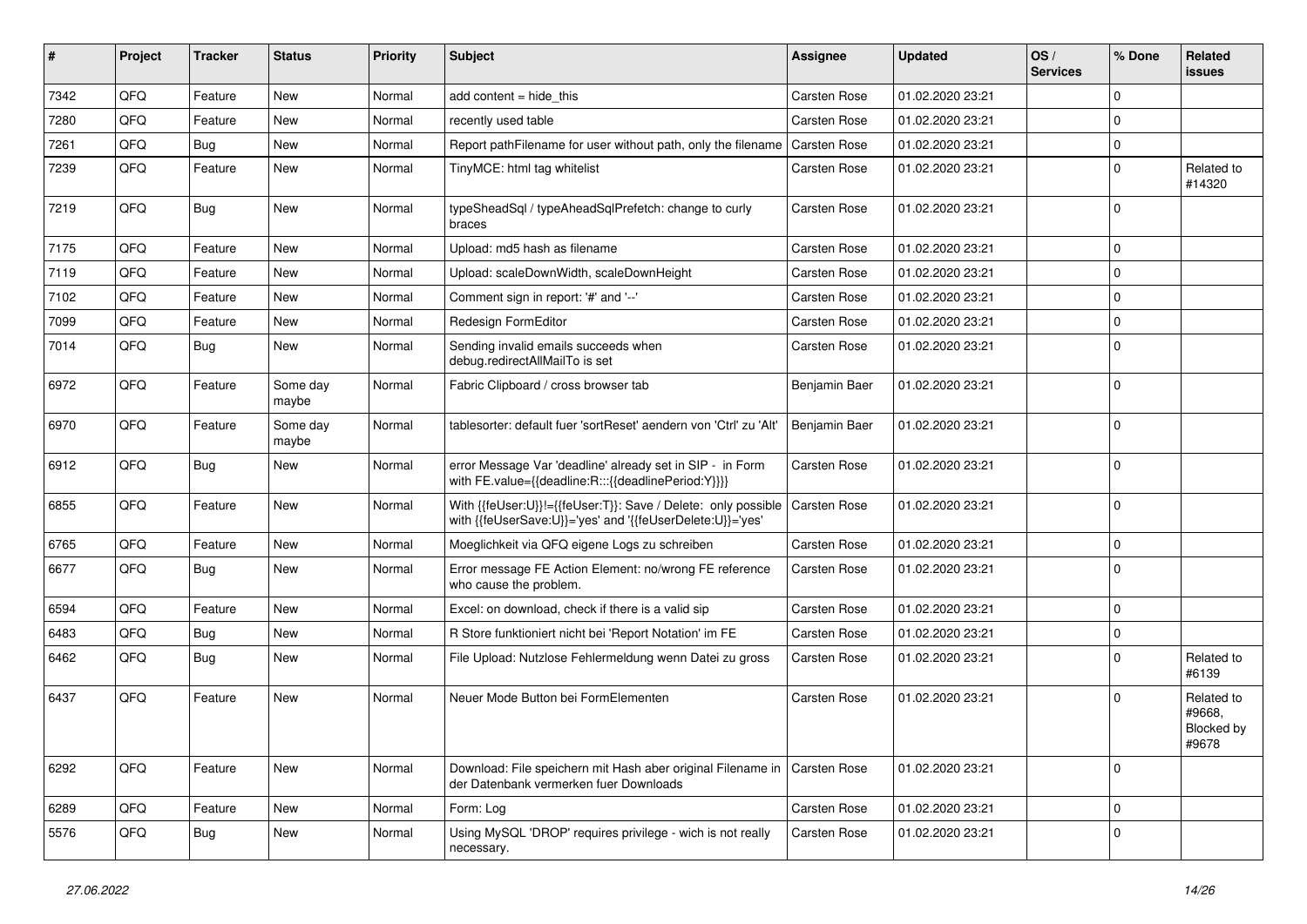| ∦    | Project | <b>Tracker</b> | <b>Status</b>     | <b>Priority</b> | Subject                                                                                                                    | Assignee            | <b>Updated</b>   | OS/<br><b>Services</b> | % Done      | Related<br>issues                           |
|------|---------|----------------|-------------------|-----------------|----------------------------------------------------------------------------------------------------------------------------|---------------------|------------------|------------------------|-------------|---------------------------------------------|
| 7342 | QFQ     | Feature        | New               | Normal          | add content $=$ hide this                                                                                                  | Carsten Rose        | 01.02.2020 23:21 |                        | $\Omega$    |                                             |
| 7280 | QFQ     | Feature        | New               | Normal          | recently used table                                                                                                        | Carsten Rose        | 01.02.2020 23:21 |                        | $\mathbf 0$ |                                             |
| 7261 | QFQ     | Bug            | New               | Normal          | Report pathFilename for user without path, only the filename                                                               | Carsten Rose        | 01.02.2020 23:21 |                        | $\Omega$    |                                             |
| 7239 | QFQ     | Feature        | New               | Normal          | TinyMCE: html tag whitelist                                                                                                | Carsten Rose        | 01.02.2020 23:21 |                        | $\Omega$    | Related to<br>#14320                        |
| 7219 | QFQ     | Bug            | New               | Normal          | typeSheadSql / typeAheadSqlPrefetch: change to curly<br>braces                                                             | Carsten Rose        | 01.02.2020 23:21 |                        | 0           |                                             |
| 7175 | QFQ     | Feature        | New               | Normal          | Upload: md5 hash as filename                                                                                               | Carsten Rose        | 01.02.2020 23:21 |                        | $\Omega$    |                                             |
| 7119 | QFQ     | Feature        | <b>New</b>        | Normal          | Upload: scaleDownWidth, scaleDownHeight                                                                                    | Carsten Rose        | 01.02.2020 23:21 |                        | $\Omega$    |                                             |
| 7102 | QFQ     | Feature        | New               | Normal          | Comment sign in report: '#' and '--'                                                                                       | Carsten Rose        | 01.02.2020 23:21 |                        | $\mathbf 0$ |                                             |
| 7099 | QFQ     | Feature        | New               | Normal          | Redesign FormEditor                                                                                                        | Carsten Rose        | 01.02.2020 23:21 |                        | $\Omega$    |                                             |
| 7014 | QFQ     | Bug            | New               | Normal          | Sending invalid emails succeeds when<br>debug.redirectAllMailTo is set                                                     | Carsten Rose        | 01.02.2020 23:21 |                        | $\Omega$    |                                             |
| 6972 | QFQ     | Feature        | Some day<br>maybe | Normal          | Fabric Clipboard / cross browser tab                                                                                       | Benjamin Baer       | 01.02.2020 23:21 |                        | $\Omega$    |                                             |
| 6970 | QFQ     | Feature        | Some day<br>maybe | Normal          | tablesorter: default fuer 'sortReset' aendern von 'Ctrl' zu 'Alt'                                                          | Benjamin Baer       | 01.02.2020 23:21 |                        | $\Omega$    |                                             |
| 6912 | QFQ     | Bug            | New               | Normal          | error Message Var 'deadline' already set in SIP - in Form<br>with FE.value={{deadline:R:::{{deadlinePeriod:Y}}}}           | Carsten Rose        | 01.02.2020 23:21 |                        | $\mathbf 0$ |                                             |
| 6855 | QFQ     | Feature        | New               | Normal          | With {{feUser:U}}!={{feUser:T}}: Save / Delete: only possible<br>with {{feUserSave:U}}='yes' and '{{feUserDelete:U}}='yes' | <b>Carsten Rose</b> | 01.02.2020 23:21 |                        | 0           |                                             |
| 6765 | QFQ     | Feature        | New               | Normal          | Moeglichkeit via QFQ eigene Logs zu schreiben                                                                              | Carsten Rose        | 01.02.2020 23:21 |                        | $\mathbf 0$ |                                             |
| 6677 | QFQ     | Bug            | New               | Normal          | Error message FE Action Element: no/wrong FE reference<br>who cause the problem.                                           | <b>Carsten Rose</b> | 01.02.2020 23:21 |                        | $\Omega$    |                                             |
| 6594 | QFQ     | Feature        | New               | Normal          | Excel: on download, check if there is a valid sip                                                                          | Carsten Rose        | 01.02.2020 23:21 |                        | $\Omega$    |                                             |
| 6483 | QFQ     | Bug            | <b>New</b>        | Normal          | R Store funktioniert nicht bei 'Report Notation' im FE                                                                     | Carsten Rose        | 01.02.2020 23:21 |                        | $\mathbf 0$ |                                             |
| 6462 | QFQ     | Bug            | New               | Normal          | File Upload: Nutzlose Fehlermeldung wenn Datei zu gross                                                                    | Carsten Rose        | 01.02.2020 23:21 |                        | $\Omega$    | Related to<br>#6139                         |
| 6437 | QFQ     | Feature        | New               | Normal          | Neuer Mode Button bei FormElementen                                                                                        | <b>Carsten Rose</b> | 01.02.2020 23:21 |                        | $\Omega$    | Related to<br>#9668,<br>Blocked by<br>#9678 |
| 6292 | QFQ     | Feature        | New               | Normal          | Download: File speichern mit Hash aber original Filename in<br>der Datenbank vermerken fuer Downloads                      | Carsten Rose        | 01.02.2020 23:21 |                        | $\mathbf 0$ |                                             |
| 6289 | QFQ     | Feature        | New               | Normal          | Form: Log                                                                                                                  | Carsten Rose        | 01.02.2020 23:21 |                        | $\mathbf 0$ |                                             |
| 5576 | QFQ     | <b>Bug</b>     | New               | Normal          | Using MySQL 'DROP' requires privilege - wich is not really<br>necessary.                                                   | Carsten Rose        | 01.02.2020 23:21 |                        | 0           |                                             |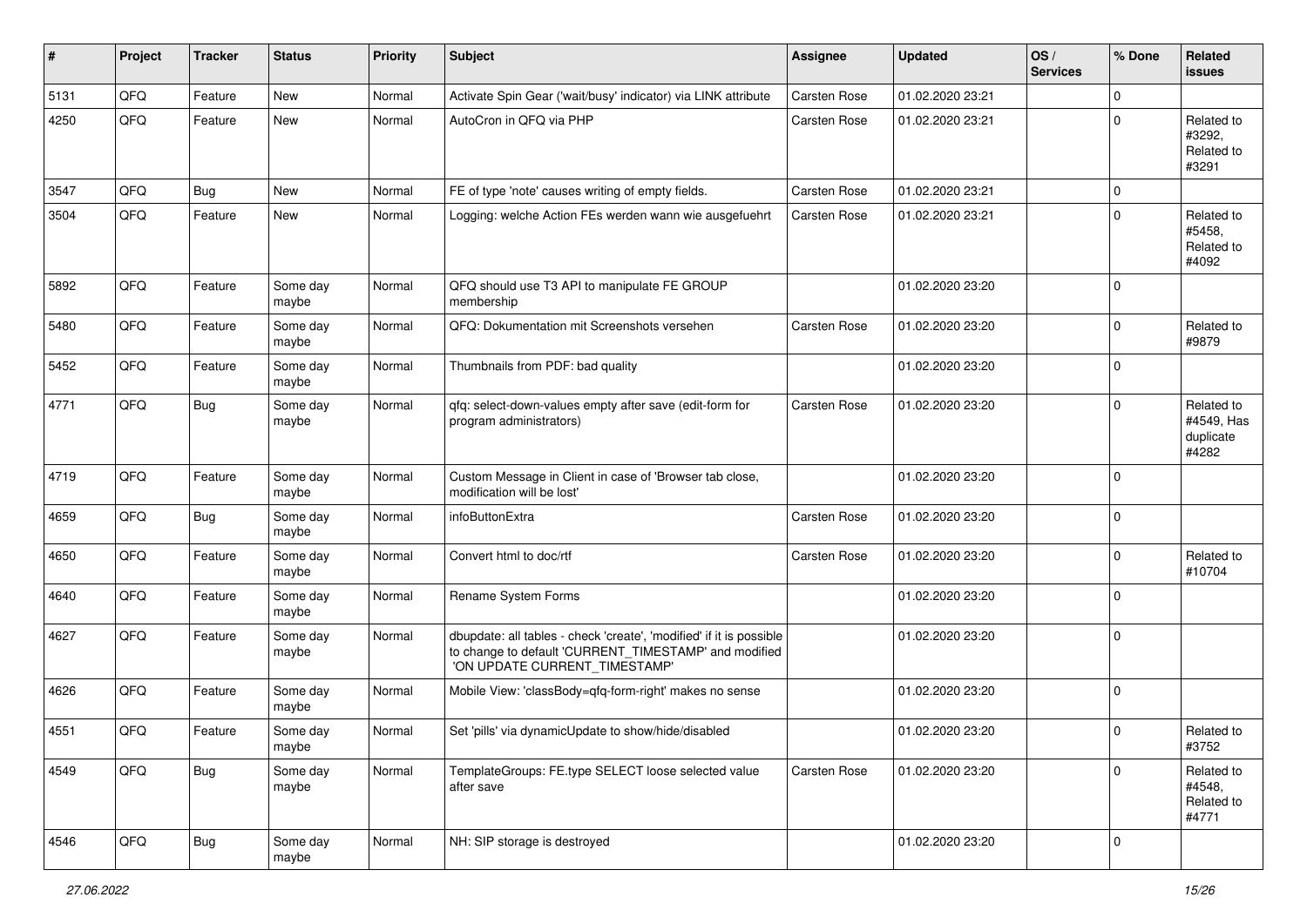| $\sharp$ | Project | <b>Tracker</b> | <b>Status</b>     | <b>Priority</b> | Subject                                                                                                                                                       | <b>Assignee</b> | <b>Updated</b>   | OS/<br><b>Services</b> | % Done      | Related<br><b>issues</b>                       |
|----------|---------|----------------|-------------------|-----------------|---------------------------------------------------------------------------------------------------------------------------------------------------------------|-----------------|------------------|------------------------|-------------|------------------------------------------------|
| 5131     | QFQ     | Feature        | <b>New</b>        | Normal          | Activate Spin Gear ('wait/busy' indicator) via LINK attribute                                                                                                 | Carsten Rose    | 01.02.2020 23:21 |                        | $\mathbf 0$ |                                                |
| 4250     | QFQ     | Feature        | New               | Normal          | AutoCron in QFQ via PHP                                                                                                                                       | Carsten Rose    | 01.02.2020 23:21 |                        | $\Omega$    | Related to<br>#3292,<br>Related to<br>#3291    |
| 3547     | QFQ     | Bug            | <b>New</b>        | Normal          | FE of type 'note' causes writing of empty fields.                                                                                                             | Carsten Rose    | 01.02.2020 23:21 |                        | $\mathbf 0$ |                                                |
| 3504     | QFQ     | Feature        | <b>New</b>        | Normal          | Logging: welche Action FEs werden wann wie ausgefuehrt                                                                                                        | Carsten Rose    | 01.02.2020 23:21 |                        | $\mathbf 0$ | Related to<br>#5458,<br>Related to<br>#4092    |
| 5892     | QFQ     | Feature        | Some day<br>maybe | Normal          | QFQ should use T3 API to manipulate FE GROUP<br>membership                                                                                                    |                 | 01.02.2020 23:20 |                        | $\Omega$    |                                                |
| 5480     | QFQ     | Feature        | Some day<br>maybe | Normal          | QFQ: Dokumentation mit Screenshots versehen                                                                                                                   | Carsten Rose    | 01.02.2020 23:20 |                        | $\Omega$    | Related to<br>#9879                            |
| 5452     | QFQ     | Feature        | Some day<br>maybe | Normal          | Thumbnails from PDF: bad quality                                                                                                                              |                 | 01.02.2020 23:20 |                        | $\mathbf 0$ |                                                |
| 4771     | QFQ     | Bug            | Some day<br>maybe | Normal          | qfq: select-down-values empty after save (edit-form for<br>program administrators)                                                                            | Carsten Rose    | 01.02.2020 23:20 |                        | $\mathbf 0$ | Related to<br>#4549, Has<br>duplicate<br>#4282 |
| 4719     | QFQ     | Feature        | Some day<br>maybe | Normal          | Custom Message in Client in case of 'Browser tab close,<br>modification will be lost'                                                                         |                 | 01.02.2020 23:20 |                        | $\mathbf 0$ |                                                |
| 4659     | QFQ     | Bug            | Some day<br>maybe | Normal          | infoButtonExtra                                                                                                                                               | Carsten Rose    | 01.02.2020 23:20 |                        | $\Omega$    |                                                |
| 4650     | QFQ     | Feature        | Some day<br>maybe | Normal          | Convert html to doc/rtf                                                                                                                                       | Carsten Rose    | 01.02.2020 23:20 |                        | $\Omega$    | Related to<br>#10704                           |
| 4640     | QFQ     | Feature        | Some day<br>maybe | Normal          | Rename System Forms                                                                                                                                           |                 | 01.02.2020 23:20 |                        | $\mathbf 0$ |                                                |
| 4627     | QFQ     | Feature        | Some day<br>maybe | Normal          | dbupdate: all tables - check 'create', 'modified' if it is possible<br>to change to default 'CURRENT_TIMESTAMP' and modified<br>'ON UPDATE CURRENT_TIMESTAMP' |                 | 01.02.2020 23:20 |                        | 0           |                                                |
| 4626     | QFQ     | Feature        | Some day<br>maybe | Normal          | Mobile View: 'classBody=qfq-form-right' makes no sense                                                                                                        |                 | 01.02.2020 23:20 |                        | 0           |                                                |
| 4551     | QFQ     | Feature        | Some day<br>maybe | Normal          | Set 'pills' via dynamicUpdate to show/hide/disabled                                                                                                           |                 | 01.02.2020 23:20 |                        | 0           | Related to<br>#3752                            |
| 4549     | QFG     | Bug            | Some day<br>maybe | Normal          | TemplateGroups: FE.type SELECT loose selected value<br>after save                                                                                             | Carsten Rose    | 01.02.2020 23:20 |                        | $\mathbf 0$ | Related to<br>#4548,<br>Related to<br>#4771    |
| 4546     | QFQ     | <b>Bug</b>     | Some day<br>maybe | Normal          | NH: SIP storage is destroyed                                                                                                                                  |                 | 01.02.2020 23:20 |                        | 0           |                                                |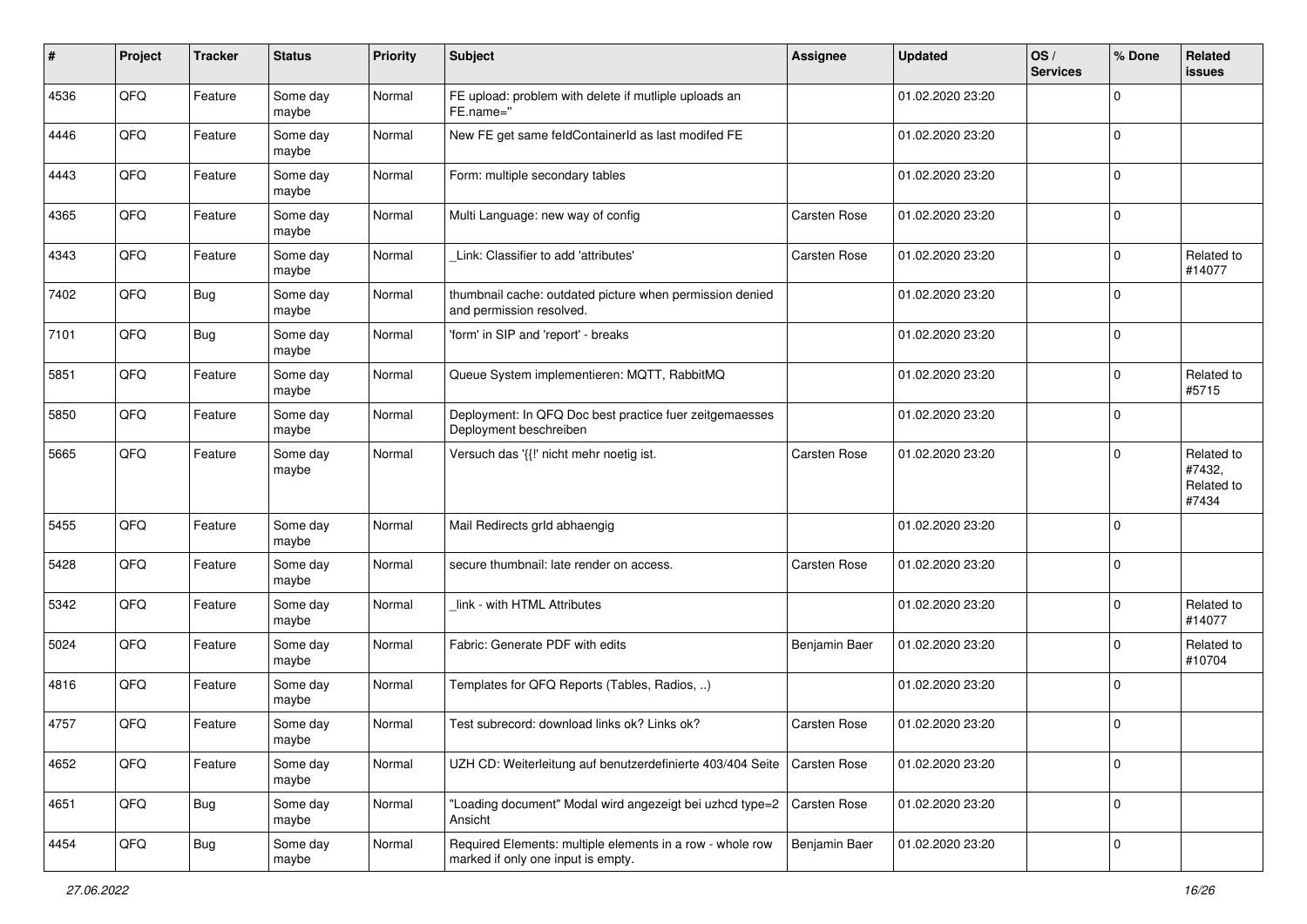| #    | Project | <b>Tracker</b> | <b>Status</b>     | <b>Priority</b> | Subject                                                                                         | Assignee            | <b>Updated</b>   | OS/<br><b>Services</b> | % Done      | Related<br>issues                           |
|------|---------|----------------|-------------------|-----------------|-------------------------------------------------------------------------------------------------|---------------------|------------------|------------------------|-------------|---------------------------------------------|
| 4536 | QFQ     | Feature        | Some day<br>maybe | Normal          | FE upload: problem with delete if mutliple uploads an<br>FE.name="                              |                     | 01.02.2020 23:20 |                        | $\Omega$    |                                             |
| 4446 | QFQ     | Feature        | Some day<br>maybe | Normal          | New FE get same feldContainerId as last modifed FE                                              |                     | 01.02.2020 23:20 |                        | 0           |                                             |
| 4443 | QFQ     | Feature        | Some day<br>maybe | Normal          | Form: multiple secondary tables                                                                 |                     | 01.02.2020 23:20 |                        | $\Omega$    |                                             |
| 4365 | QFQ     | Feature        | Some day<br>maybe | Normal          | Multi Language: new way of config                                                               | Carsten Rose        | 01.02.2020 23:20 |                        | 0           |                                             |
| 4343 | QFQ     | Feature        | Some day<br>maybe | Normal          | Link: Classifier to add 'attributes'                                                            | Carsten Rose        | 01.02.2020 23:20 |                        | $\Omega$    | Related to<br>#14077                        |
| 7402 | QFQ     | Bug            | Some day<br>maybe | Normal          | thumbnail cache: outdated picture when permission denied<br>and permission resolved.            |                     | 01.02.2020 23:20 |                        | $\Omega$    |                                             |
| 7101 | QFQ     | Bug            | Some day<br>maybe | Normal          | 'form' in SIP and 'report' - breaks                                                             |                     | 01.02.2020 23:20 |                        | $\Omega$    |                                             |
| 5851 | QFQ     | Feature        | Some day<br>maybe | Normal          | Queue System implementieren: MQTT, RabbitMQ                                                     |                     | 01.02.2020 23:20 |                        | $\Omega$    | Related to<br>#5715                         |
| 5850 | QFQ     | Feature        | Some day<br>maybe | Normal          | Deployment: In QFQ Doc best practice fuer zeitgemaesses<br>Deployment beschreiben               |                     | 01.02.2020 23:20 |                        | $\mathbf 0$ |                                             |
| 5665 | QFQ     | Feature        | Some day<br>maybe | Normal          | Versuch das '{{!' nicht mehr noetig ist.                                                        | Carsten Rose        | 01.02.2020 23:20 |                        | 0           | Related to<br>#7432,<br>Related to<br>#7434 |
| 5455 | QFQ     | Feature        | Some day<br>maybe | Normal          | Mail Redirects grld abhaengig                                                                   |                     | 01.02.2020 23:20 |                        | $\Omega$    |                                             |
| 5428 | QFQ     | Feature        | Some day<br>maybe | Normal          | secure thumbnail: late render on access.                                                        | Carsten Rose        | 01.02.2020 23:20 |                        | $\Omega$    |                                             |
| 5342 | QFQ     | Feature        | Some day<br>maybe | Normal          | link - with HTML Attributes                                                                     |                     | 01.02.2020 23:20 |                        | $\Omega$    | Related to<br>#14077                        |
| 5024 | QFQ     | Feature        | Some day<br>maybe | Normal          | Fabric: Generate PDF with edits                                                                 | Benjamin Baer       | 01.02.2020 23:20 |                        | $\Omega$    | Related to<br>#10704                        |
| 4816 | QFQ     | Feature        | Some day<br>maybe | Normal          | Templates for QFQ Reports (Tables, Radios, )                                                    |                     | 01.02.2020 23:20 |                        | $\Omega$    |                                             |
| 4757 | QFQ     | Feature        | Some day<br>maybe | Normal          | Test subrecord: download links ok? Links ok?                                                    | Carsten Rose        | 01.02.2020 23:20 |                        | $\Omega$    |                                             |
| 4652 | QFQ     | Feature        | Some day<br>maybe | Normal          | UZH CD: Weiterleitung auf benutzerdefinierte 403/404 Seite                                      | <b>Carsten Rose</b> | 01.02.2020 23:20 |                        | $\mathbf 0$ |                                             |
| 4651 | QFQ     | Bug            | Some day<br>maybe | Normal          | 'Loading document" Modal wird angezeigt bei uzhcd type=2<br>Ansicht                             | Carsten Rose        | 01.02.2020 23:20 |                        | $\mathbf 0$ |                                             |
| 4454 | QFQ     | <b>Bug</b>     | Some day<br>maybe | Normal          | Required Elements: multiple elements in a row - whole row<br>marked if only one input is empty. | Benjamin Baer       | 01.02.2020 23:20 |                        | $\mathbf 0$ |                                             |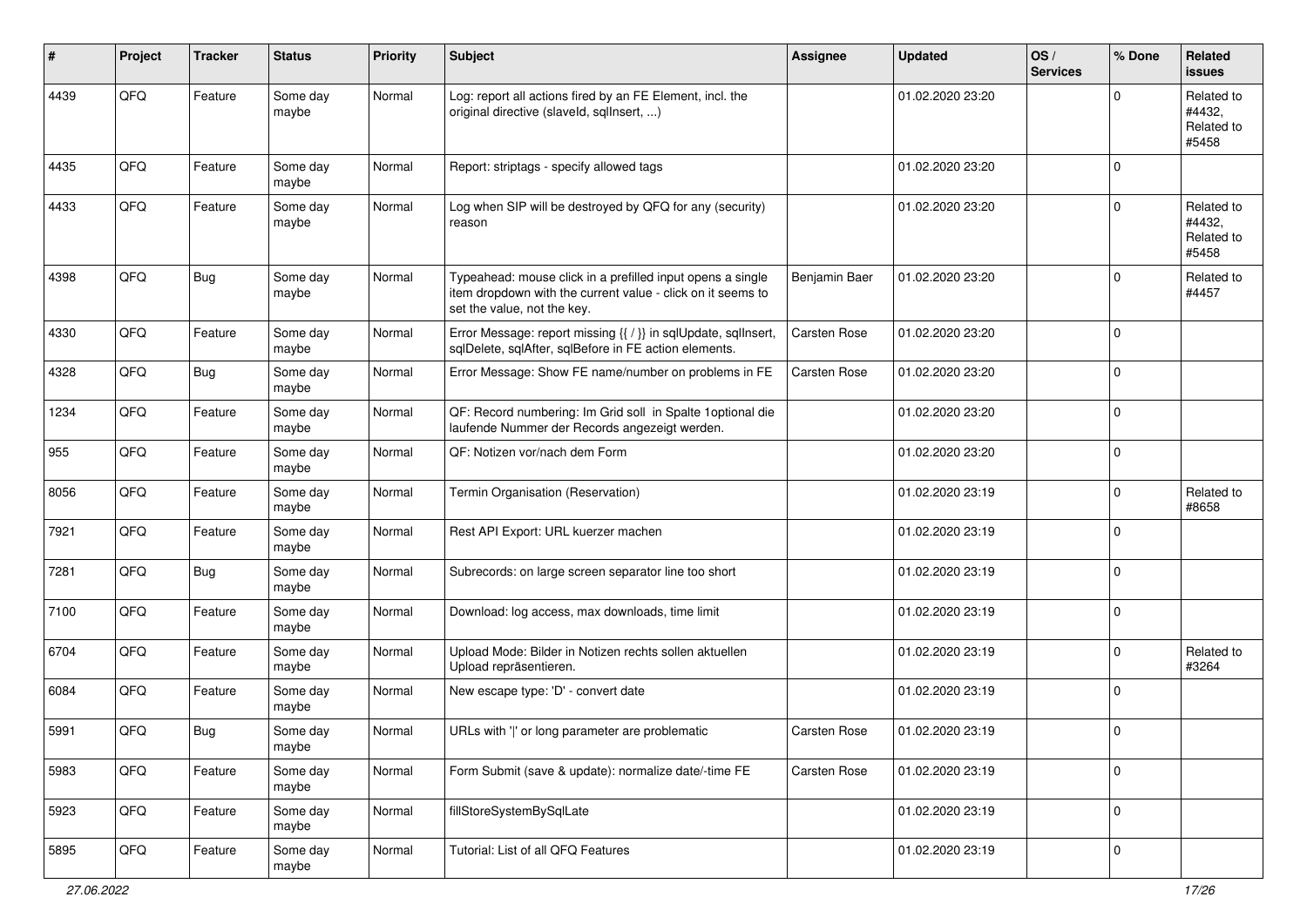| ∦    | Project | <b>Tracker</b> | <b>Status</b>     | <b>Priority</b> | Subject                                                                                                                                                  | <b>Assignee</b> | <b>Updated</b>   | OS/<br><b>Services</b> | % Done      | <b>Related</b><br><b>issues</b>             |
|------|---------|----------------|-------------------|-----------------|----------------------------------------------------------------------------------------------------------------------------------------------------------|-----------------|------------------|------------------------|-------------|---------------------------------------------|
| 4439 | QFQ     | Feature        | Some day<br>maybe | Normal          | Log: report all actions fired by an FE Element, incl. the<br>original directive (slaveld, sqllnsert, )                                                   |                 | 01.02.2020 23:20 |                        | $\Omega$    | Related to<br>#4432,<br>Related to<br>#5458 |
| 4435 | QFQ     | Feature        | Some day<br>maybe | Normal          | Report: striptags - specify allowed tags                                                                                                                 |                 | 01.02.2020 23:20 |                        | $\Omega$    |                                             |
| 4433 | QFQ     | Feature        | Some day<br>maybe | Normal          | Log when SIP will be destroyed by QFQ for any (security)<br>reason                                                                                       |                 | 01.02.2020 23:20 |                        | $\mathbf 0$ | Related to<br>#4432,<br>Related to<br>#5458 |
| 4398 | QFQ     | <b>Bug</b>     | Some day<br>maybe | Normal          | Typeahead: mouse click in a prefilled input opens a single<br>item dropdown with the current value - click on it seems to<br>set the value, not the key. | Benjamin Baer   | 01.02.2020 23:20 |                        | $\Omega$    | Related to<br>#4457                         |
| 4330 | QFQ     | Feature        | Some day<br>maybe | Normal          | Error Message: report missing {{ / }} in sqlUpdate, sqlInsert,<br>sqlDelete, sqlAfter, sqlBefore in FE action elements.                                  | Carsten Rose    | 01.02.2020 23:20 |                        | $\Omega$    |                                             |
| 4328 | QFQ     | <b>Bug</b>     | Some day<br>maybe | Normal          | Error Message: Show FE name/number on problems in FE                                                                                                     | Carsten Rose    | 01.02.2020 23:20 |                        | $\mathbf 0$ |                                             |
| 1234 | QFQ     | Feature        | Some day<br>maybe | Normal          | QF: Record numbering: Im Grid soll in Spalte 1 optional die<br>laufende Nummer der Records angezeigt werden.                                             |                 | 01.02.2020 23:20 |                        | $\mathbf 0$ |                                             |
| 955  | QFQ     | Feature        | Some day<br>maybe | Normal          | QF: Notizen vor/nach dem Form                                                                                                                            |                 | 01.02.2020 23:20 |                        | $\mathbf 0$ |                                             |
| 8056 | QFQ     | Feature        | Some day<br>maybe | Normal          | Termin Organisation (Reservation)                                                                                                                        |                 | 01.02.2020 23:19 |                        | $\Omega$    | Related to<br>#8658                         |
| 7921 | QFQ     | Feature        | Some day<br>maybe | Normal          | Rest API Export: URL kuerzer machen                                                                                                                      |                 | 01.02.2020 23:19 |                        | $\mathbf 0$ |                                             |
| 7281 | QFQ     | <b>Bug</b>     | Some day<br>maybe | Normal          | Subrecords: on large screen separator line too short                                                                                                     |                 | 01.02.2020 23:19 |                        | $\mathbf 0$ |                                             |
| 7100 | QFQ     | Feature        | Some day<br>maybe | Normal          | Download: log access, max downloads, time limit                                                                                                          |                 | 01.02.2020 23:19 |                        | $\mathbf 0$ |                                             |
| 6704 | QFQ     | Feature        | Some day<br>maybe | Normal          | Upload Mode: Bilder in Notizen rechts sollen aktuellen<br>Upload repräsentieren.                                                                         |                 | 01.02.2020 23:19 |                        | $\mathbf 0$ | Related to<br>#3264                         |
| 6084 | QFQ     | Feature        | Some day<br>maybe | Normal          | New escape type: 'D' - convert date                                                                                                                      |                 | 01.02.2020 23:19 |                        | $\mathbf 0$ |                                             |
| 5991 | QFQ     | Bug            | Some day<br>maybe | Normal          | URLs with ' ' or long parameter are problematic                                                                                                          | Carsten Rose    | 01.02.2020 23:19 |                        | $\mathbf 0$ |                                             |
| 5983 | QFQ     | Feature        | Some day<br>maybe | Normal          | Form Submit (save & update): normalize date/-time FE                                                                                                     | Carsten Rose    | 01.02.2020 23:19 |                        | $\mathbf 0$ |                                             |
| 5923 | QFQ     | Feature        | Some day<br>maybe | Normal          | fillStoreSystemBySqlLate                                                                                                                                 |                 | 01.02.2020 23:19 |                        | $\mathbf 0$ |                                             |
| 5895 | QFQ     | Feature        | Some day<br>maybe | Normal          | Tutorial: List of all QFQ Features                                                                                                                       |                 | 01.02.2020 23:19 |                        | $\mathbf 0$ |                                             |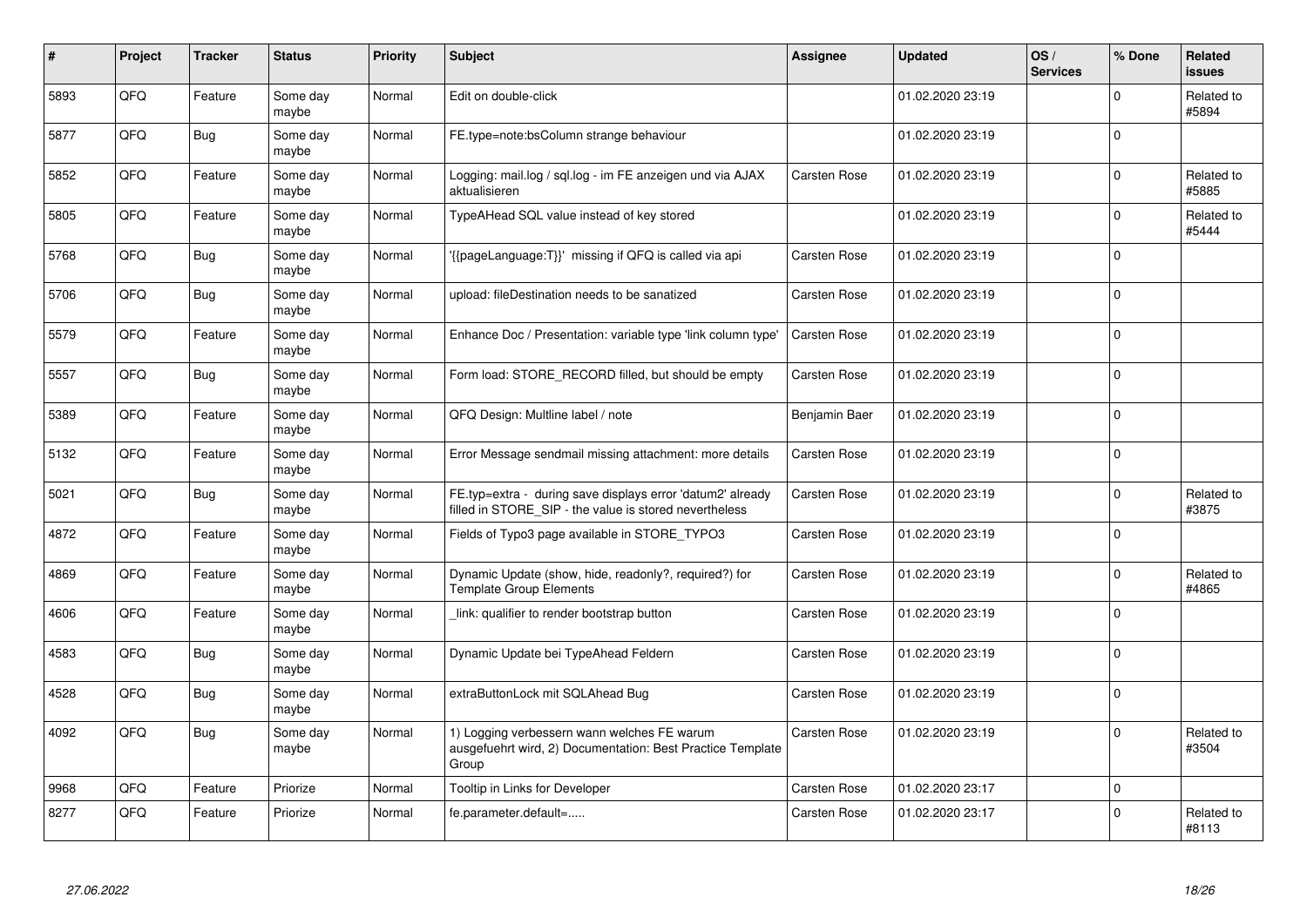| $\#$ | Project | <b>Tracker</b> | <b>Status</b>     | <b>Priority</b> | <b>Subject</b>                                                                                                       | <b>Assignee</b>     | <b>Updated</b>   | OS/<br><b>Services</b> | % Done      | Related<br><b>issues</b> |
|------|---------|----------------|-------------------|-----------------|----------------------------------------------------------------------------------------------------------------------|---------------------|------------------|------------------------|-------------|--------------------------|
| 5893 | QFQ     | Feature        | Some day<br>maybe | Normal          | Edit on double-click                                                                                                 |                     | 01.02.2020 23:19 |                        | $\Omega$    | Related to<br>#5894      |
| 5877 | QFQ     | <b>Bug</b>     | Some day<br>maybe | Normal          | FE.type=note:bsColumn strange behaviour                                                                              |                     | 01.02.2020 23:19 |                        | $\mathbf 0$ |                          |
| 5852 | QFQ     | Feature        | Some day<br>maybe | Normal          | Logging: mail.log / sql.log - im FE anzeigen und via AJAX<br>aktualisieren                                           | Carsten Rose        | 01.02.2020 23:19 |                        | $\Omega$    | Related to<br>#5885      |
| 5805 | QFQ     | Feature        | Some day<br>maybe | Normal          | TypeAHead SQL value instead of key stored                                                                            |                     | 01.02.2020 23:19 |                        | $\Omega$    | Related to<br>#5444      |
| 5768 | QFQ     | Bug            | Some day<br>maybe | Normal          | '{{pageLanguage:T}}' missing if QFQ is called via api                                                                | Carsten Rose        | 01.02.2020 23:19 |                        | $\mathbf 0$ |                          |
| 5706 | QFQ     | <b>Bug</b>     | Some day<br>maybe | Normal          | upload: fileDestination needs to be sanatized                                                                        | Carsten Rose        | 01.02.2020 23:19 |                        | $\Omega$    |                          |
| 5579 | QFQ     | Feature        | Some day<br>maybe | Normal          | Enhance Doc / Presentation: variable type 'link column type'                                                         | <b>Carsten Rose</b> | 01.02.2020 23:19 |                        | $\Omega$    |                          |
| 5557 | QFQ     | <b>Bug</b>     | Some day<br>maybe | Normal          | Form load: STORE RECORD filled, but should be empty                                                                  | Carsten Rose        | 01.02.2020 23:19 |                        | $\Omega$    |                          |
| 5389 | QFQ     | Feature        | Some day<br>maybe | Normal          | QFQ Design: Multline label / note                                                                                    | Benjamin Baer       | 01.02.2020 23:19 |                        | $\Omega$    |                          |
| 5132 | QFQ     | Feature        | Some day<br>maybe | Normal          | Error Message sendmail missing attachment: more details                                                              | Carsten Rose        | 01.02.2020 23:19 |                        | $\mathbf 0$ |                          |
| 5021 | QFQ     | Bug            | Some day<br>maybe | Normal          | FE.typ=extra - during save displays error 'datum2' already<br>filled in STORE SIP - the value is stored nevertheless | Carsten Rose        | 01.02.2020 23:19 |                        | $\Omega$    | Related to<br>#3875      |
| 4872 | QFQ     | Feature        | Some day<br>maybe | Normal          | Fields of Typo3 page available in STORE_TYPO3                                                                        | Carsten Rose        | 01.02.2020 23:19 |                        | $\Omega$    |                          |
| 4869 | QFQ     | Feature        | Some day<br>maybe | Normal          | Dynamic Update (show, hide, readonly?, required?) for<br><b>Template Group Elements</b>                              | Carsten Rose        | 01.02.2020 23:19 |                        | $\mathbf 0$ | Related to<br>#4865      |
| 4606 | QFQ     | Feature        | Some day<br>maybe | Normal          | link: qualifier to render bootstrap button                                                                           | Carsten Rose        | 01.02.2020 23:19 |                        | $\mathbf 0$ |                          |
| 4583 | QFQ     | <b>Bug</b>     | Some day<br>maybe | Normal          | Dynamic Update bei TypeAhead Feldern                                                                                 | Carsten Rose        | 01.02.2020 23:19 |                        | $\Omega$    |                          |
| 4528 | QFQ     | Bug            | Some day<br>maybe | Normal          | extraButtonLock mit SQLAhead Bug                                                                                     | Carsten Rose        | 01.02.2020 23:19 |                        | $\Omega$    |                          |
| 4092 | QFQ     | <b>Bug</b>     | Some day<br>maybe | Normal          | 1) Logging verbessern wann welches FE warum<br>ausgefuehrt wird, 2) Documentation: Best Practice Template<br>Group   | Carsten Rose        | 01.02.2020 23:19 |                        | $\Omega$    | Related to<br>#3504      |
| 9968 | QFQ     | Feature        | Priorize          | Normal          | Tooltip in Links for Developer                                                                                       | Carsten Rose        | 01.02.2020 23:17 |                        | 0           |                          |
| 8277 | QFQ     | Feature        | Priorize          | Normal          | fe.parameter.default=                                                                                                | <b>Carsten Rose</b> | 01.02.2020 23:17 |                        | $\Omega$    | Related to<br>#8113      |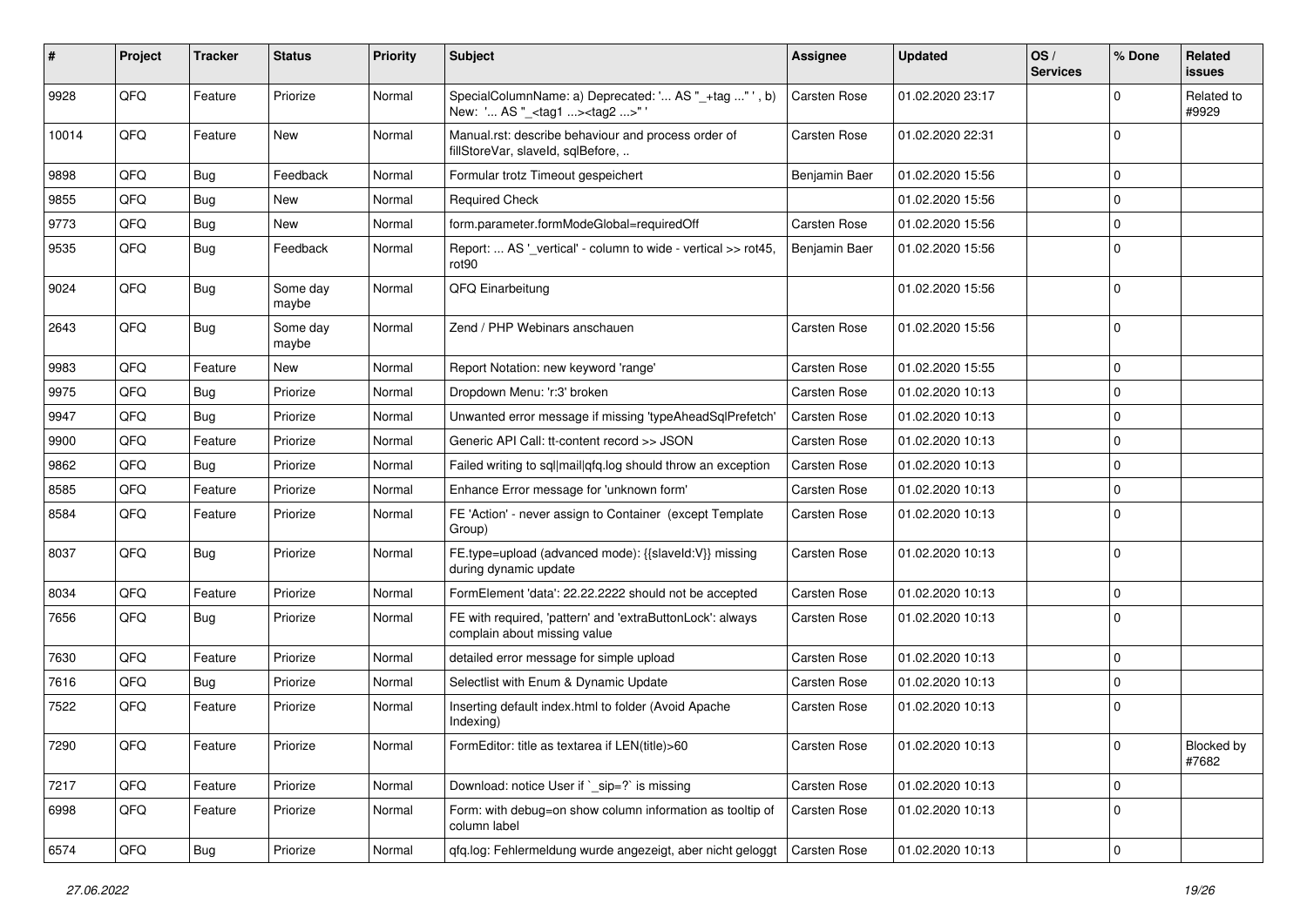| ∦     | Project | <b>Tracker</b> | <b>Status</b>     | <b>Priority</b> | <b>Subject</b>                                                                                    | Assignee            | <b>Updated</b>   | OS/<br><b>Services</b> | % Done      | Related<br>issues   |
|-------|---------|----------------|-------------------|-----------------|---------------------------------------------------------------------------------------------------|---------------------|------------------|------------------------|-------------|---------------------|
| 9928  | QFQ     | Feature        | Priorize          | Normal          | SpecialColumnName: a) Deprecated: ' AS "_+tag " ', b)<br>New: ' AS "_ <tag1><tag2>"</tag2></tag1> | <b>Carsten Rose</b> | 01.02.2020 23:17 |                        | $\Omega$    | Related to<br>#9929 |
| 10014 | QFQ     | Feature        | <b>New</b>        | Normal          | Manual.rst: describe behaviour and process order of<br>fillStoreVar, slaveId, sqlBefore,          | Carsten Rose        | 01.02.2020 22:31 |                        | $\Omega$    |                     |
| 9898  | QFQ     | Bug            | Feedback          | Normal          | Formular trotz Timeout gespeichert                                                                | Benjamin Baer       | 01.02.2020 15:56 |                        | 0           |                     |
| 9855  | QFQ     | Bug            | New               | Normal          | <b>Required Check</b>                                                                             |                     | 01.02.2020 15:56 |                        | $\mathbf 0$ |                     |
| 9773  | QFQ     | Bug            | New               | Normal          | form.parameter.formModeGlobal=requiredOff                                                         | Carsten Rose        | 01.02.2020 15:56 |                        | 0           |                     |
| 9535  | QFQ     | Bug            | Feedback          | Normal          | Report:  AS ' vertical' - column to wide - vertical >> rot45,<br>rot <sub>90</sub>                | Benjamin Baer       | 01.02.2020 15:56 |                        | $\Omega$    |                     |
| 9024  | QFQ     | Bug            | Some day<br>maybe | Normal          | QFQ Einarbeitung                                                                                  |                     | 01.02.2020 15:56 |                        | 0           |                     |
| 2643  | QFQ     | Bug            | Some day<br>maybe | Normal          | Zend / PHP Webinars anschauen                                                                     | Carsten Rose        | 01.02.2020 15:56 |                        | $\mathbf 0$ |                     |
| 9983  | QFQ     | Feature        | New               | Normal          | Report Notation: new keyword 'range'                                                              | Carsten Rose        | 01.02.2020 15:55 |                        | $\Omega$    |                     |
| 9975  | QFQ     | Bug            | Priorize          | Normal          | Dropdown Menu: 'r:3' broken                                                                       | Carsten Rose        | 01.02.2020 10:13 |                        | $\Omega$    |                     |
| 9947  | QFQ     | Bug            | Priorize          | Normal          | Unwanted error message if missing 'typeAheadSqlPrefetch'                                          | Carsten Rose        | 01.02.2020 10:13 |                        | $\Omega$    |                     |
| 9900  | QFQ     | Feature        | Priorize          | Normal          | Generic API Call: tt-content record >> JSON                                                       | Carsten Rose        | 01.02.2020 10:13 |                        | $\Omega$    |                     |
| 9862  | QFQ     | Bug            | Priorize          | Normal          | Failed writing to sql mail qfq.log should throw an exception                                      | Carsten Rose        | 01.02.2020 10:13 |                        | $\mathbf 0$ |                     |
| 8585  | QFQ     | Feature        | Priorize          | Normal          | Enhance Error message for 'unknown form'                                                          | Carsten Rose        | 01.02.2020 10:13 |                        | 0           |                     |
| 8584  | QFQ     | Feature        | Priorize          | Normal          | FE 'Action' - never assign to Container (except Template<br>Group)                                | Carsten Rose        | 01.02.2020 10:13 |                        | $\Omega$    |                     |
| 8037  | QFQ     | Bug            | Priorize          | Normal          | FE.type=upload (advanced mode): {{slaveId:V}} missing<br>during dynamic update                    | Carsten Rose        | 01.02.2020 10:13 |                        | $\mathbf 0$ |                     |
| 8034  | QFQ     | Feature        | Priorize          | Normal          | FormElement 'data': 22.22.2222 should not be accepted                                             | Carsten Rose        | 01.02.2020 10:13 |                        | $\Omega$    |                     |
| 7656  | QFQ     | <b>Bug</b>     | Priorize          | Normal          | FE with required, 'pattern' and 'extraButtonLock': always<br>complain about missing value         | Carsten Rose        | 01.02.2020 10:13 |                        | 0           |                     |
| 7630  | QFQ     | Feature        | Priorize          | Normal          | detailed error message for simple upload                                                          | Carsten Rose        | 01.02.2020 10:13 |                        | $\Omega$    |                     |
| 7616  | QFQ     | Bug            | Priorize          | Normal          | Selectlist with Enum & Dynamic Update                                                             | Carsten Rose        | 01.02.2020 10:13 |                        | 0           |                     |
| 7522  | QFQ     | Feature        | Priorize          | Normal          | Inserting default index.html to folder (Avoid Apache<br>Indexing)                                 | Carsten Rose        | 01.02.2020 10:13 |                        | $\Omega$    |                     |
| 7290  | QFQ     | Feature        | Priorize          | Normal          | FormEditor: title as textarea if LEN(title)>60                                                    | Carsten Rose        | 01.02.2020 10:13 |                        | l 0         | Blocked by<br>#7682 |
| 7217  | QFQ     | Feature        | Priorize          | Normal          | Download: notice User if `_sip=?` is missing                                                      | Carsten Rose        | 01.02.2020 10:13 |                        | 0           |                     |
| 6998  | QFQ     | Feature        | Priorize          | Normal          | Form: with debug=on show column information as tooltip of<br>column label                         | Carsten Rose        | 01.02.2020 10:13 |                        | 0           |                     |
| 6574  | QFQ     | <b>Bug</b>     | Priorize          | Normal          | qfq.log: Fehlermeldung wurde angezeigt, aber nicht geloggt                                        | Carsten Rose        | 01.02.2020 10:13 |                        | 0           |                     |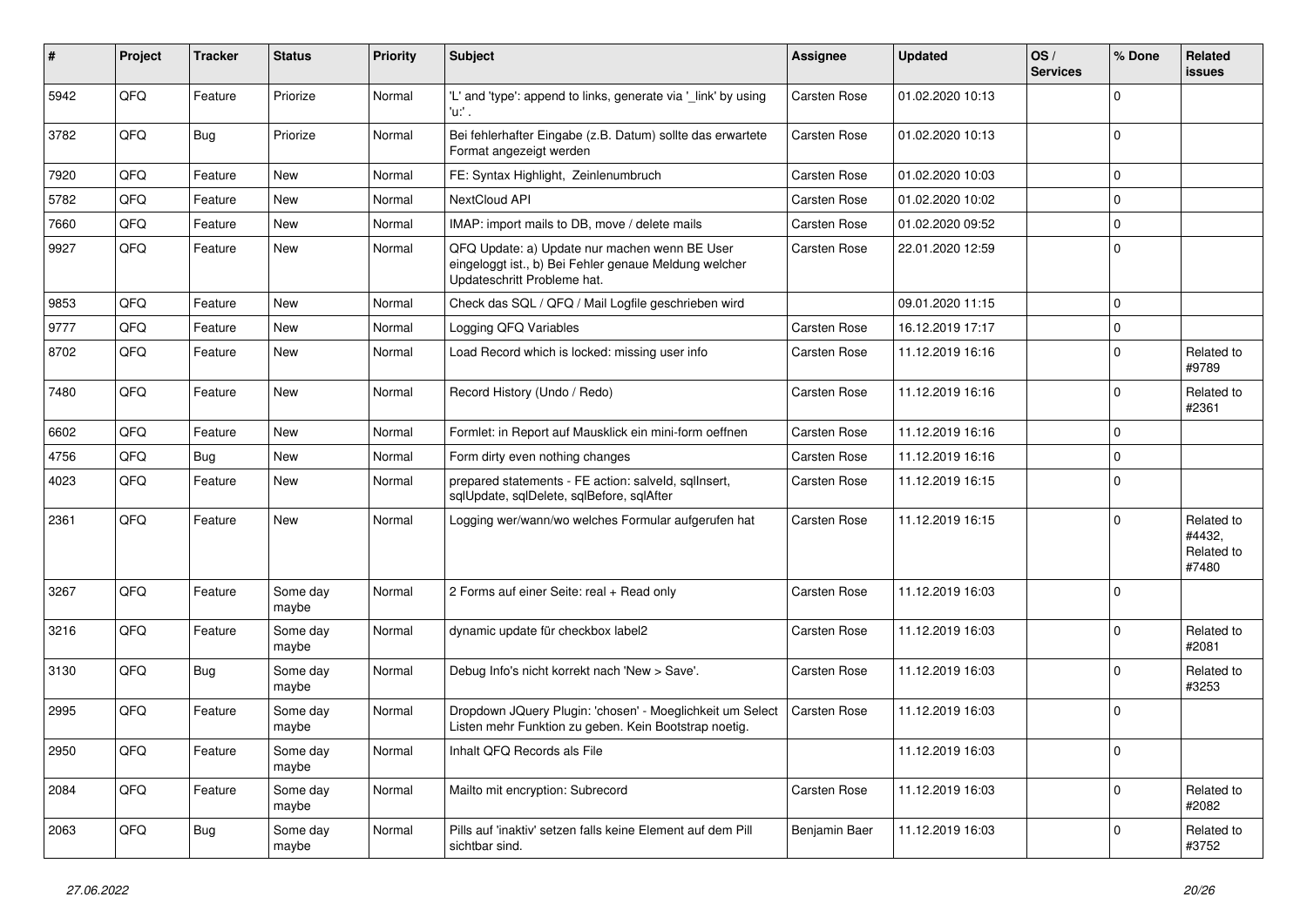| ∦    | Project | <b>Tracker</b> | <b>Status</b>     | <b>Priority</b> | Subject                                                                                                                               | Assignee      | <b>Updated</b>   | OS/<br><b>Services</b> | % Done       | Related<br>issues                           |
|------|---------|----------------|-------------------|-----------------|---------------------------------------------------------------------------------------------------------------------------------------|---------------|------------------|------------------------|--------------|---------------------------------------------|
| 5942 | QFQ     | Feature        | Priorize          | Normal          | 'L' and 'type': append to links, generate via '_link' by using<br>'u:' .                                                              | Carsten Rose  | 01.02.2020 10:13 |                        | $\Omega$     |                                             |
| 3782 | QFQ     | Bug            | Priorize          | Normal          | Bei fehlerhafter Eingabe (z.B. Datum) sollte das erwartete<br>Format angezeigt werden                                                 | Carsten Rose  | 01.02.2020 10:13 |                        | $\Omega$     |                                             |
| 7920 | QFQ     | Feature        | New               | Normal          | FE: Syntax Highlight, Zeinlenumbruch                                                                                                  | Carsten Rose  | 01.02.2020 10:03 |                        | $\Omega$     |                                             |
| 5782 | QFQ     | Feature        | <b>New</b>        | Normal          | NextCloud API                                                                                                                         | Carsten Rose  | 01.02.2020 10:02 |                        | $\Omega$     |                                             |
| 7660 | QFQ     | Feature        | New               | Normal          | IMAP: import mails to DB, move / delete mails                                                                                         | Carsten Rose  | 01.02.2020 09:52 |                        | $\mathbf 0$  |                                             |
| 9927 | QFQ     | Feature        | New               | Normal          | QFQ Update: a) Update nur machen wenn BE User<br>eingeloggt ist., b) Bei Fehler genaue Meldung welcher<br>Updateschritt Probleme hat. | Carsten Rose  | 22.01.2020 12:59 |                        | $\Omega$     |                                             |
| 9853 | QFQ     | Feature        | <b>New</b>        | Normal          | Check das SQL / QFQ / Mail Logfile geschrieben wird                                                                                   |               | 09.01.2020 11:15 |                        | $\Omega$     |                                             |
| 9777 | QFQ     | Feature        | <b>New</b>        | Normal          | Logging QFQ Variables                                                                                                                 | Carsten Rose  | 16.12.2019 17:17 |                        | 0            |                                             |
| 8702 | QFQ     | Feature        | <b>New</b>        | Normal          | Load Record which is locked: missing user info                                                                                        | Carsten Rose  | 11.12.2019 16:16 |                        | $\Omega$     | Related to<br>#9789                         |
| 7480 | QFQ     | Feature        | New               | Normal          | Record History (Undo / Redo)                                                                                                          | Carsten Rose  | 11.12.2019 16:16 |                        | $\Omega$     | Related to<br>#2361                         |
| 6602 | QFQ     | Feature        | <b>New</b>        | Normal          | Formlet: in Report auf Mausklick ein mini-form oeffnen                                                                                | Carsten Rose  | 11.12.2019 16:16 |                        | $\Omega$     |                                             |
| 4756 | QFQ     | Bug            | New               | Normal          | Form dirty even nothing changes                                                                                                       | Carsten Rose  | 11.12.2019 16:16 |                        | $\mathbf 0$  |                                             |
| 4023 | QFQ     | Feature        | New               | Normal          | prepared statements - FE action: salveld, sqllnsert,<br>sqlUpdate, sqlDelete, sqlBefore, sqlAfter                                     | Carsten Rose  | 11.12.2019 16:15 |                        | $\Omega$     |                                             |
| 2361 | QFQ     | Feature        | New               | Normal          | Logging wer/wann/wo welches Formular aufgerufen hat                                                                                   | Carsten Rose  | 11.12.2019 16:15 |                        | $\Omega$     | Related to<br>#4432,<br>Related to<br>#7480 |
| 3267 | QFQ     | Feature        | Some day<br>maybe | Normal          | 2 Forms auf einer Seite: real + Read only                                                                                             | Carsten Rose  | 11.12.2019 16:03 |                        | $\mathbf{0}$ |                                             |
| 3216 | QFQ     | Feature        | Some day<br>maybe | Normal          | dynamic update für checkbox label2                                                                                                    | Carsten Rose  | 11.12.2019 16:03 |                        | $\Omega$     | Related to<br>#2081                         |
| 3130 | QFQ     | Bug            | Some day<br>maybe | Normal          | Debug Info's nicht korrekt nach 'New > Save'.                                                                                         | Carsten Rose  | 11.12.2019 16:03 |                        | $\Omega$     | Related to<br>#3253                         |
| 2995 | QFQ     | Feature        | Some day<br>maybe | Normal          | Dropdown JQuery Plugin: 'chosen' - Moeglichkeit um Select<br>Listen mehr Funktion zu geben. Kein Bootstrap noetig.                    | Carsten Rose  | 11.12.2019 16:03 |                        | $\mathbf 0$  |                                             |
| 2950 | QFQ     | Feature        | Some day<br>maybe | Normal          | Inhalt QFQ Records als File                                                                                                           |               | 11.12.2019 16:03 |                        | $\mathbf 0$  |                                             |
| 2084 | QFQ     | Feature        | Some day<br>maybe | Normal          | Mailto mit encryption: Subrecord                                                                                                      | Carsten Rose  | 11.12.2019 16:03 |                        | $\Omega$     | Related to<br>#2082                         |
| 2063 | QFQ     | <b>Bug</b>     | Some day<br>maybe | Normal          | Pills auf 'inaktiv' setzen falls keine Element auf dem Pill<br>sichtbar sind.                                                         | Benjamin Baer | 11.12.2019 16:03 |                        | 0            | Related to<br>#3752                         |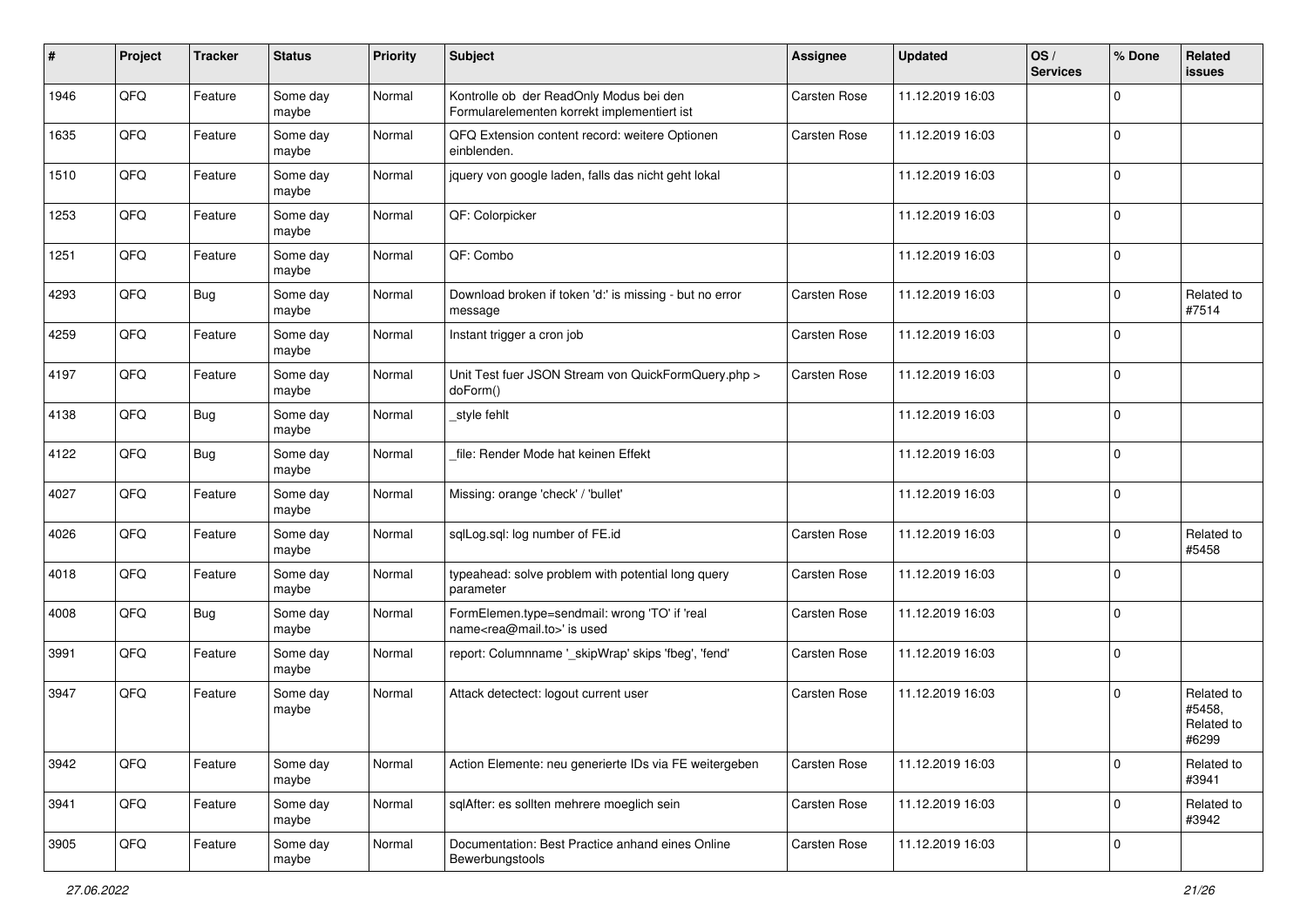| ∦    | Project | <b>Tracker</b> | <b>Status</b>     | <b>Priority</b> | Subject                                                                                    | <b>Assignee</b> | <b>Updated</b>   | OS/<br><b>Services</b> | % Done      | Related<br>issues                           |
|------|---------|----------------|-------------------|-----------------|--------------------------------------------------------------------------------------------|-----------------|------------------|------------------------|-------------|---------------------------------------------|
| 1946 | QFQ     | Feature        | Some day<br>maybe | Normal          | Kontrolle ob der ReadOnly Modus bei den<br>Formularelementen korrekt implementiert ist     | Carsten Rose    | 11.12.2019 16:03 |                        | $\Omega$    |                                             |
| 1635 | QFQ     | Feature        | Some day<br>maybe | Normal          | QFQ Extension content record: weitere Optionen<br>einblenden.                              | Carsten Rose    | 11.12.2019 16:03 |                        | $\mathbf 0$ |                                             |
| 1510 | QFQ     | Feature        | Some day<br>maybe | Normal          | jquery von google laden, falls das nicht geht lokal                                        |                 | 11.12.2019 16:03 |                        | $\Omega$    |                                             |
| 1253 | QFQ     | Feature        | Some day<br>maybe | Normal          | QF: Colorpicker                                                                            |                 | 11.12.2019 16:03 |                        | $\mathbf 0$ |                                             |
| 1251 | QFQ     | Feature        | Some day<br>maybe | Normal          | QF: Combo                                                                                  |                 | 11.12.2019 16:03 |                        | $\Omega$    |                                             |
| 4293 | QFQ     | Bug            | Some day<br>maybe | Normal          | Download broken if token 'd:' is missing - but no error<br>message                         | Carsten Rose    | 11.12.2019 16:03 |                        | $\Omega$    | Related to<br>#7514                         |
| 4259 | QFQ     | Feature        | Some day<br>maybe | Normal          | Instant trigger a cron job                                                                 | Carsten Rose    | 11.12.2019 16:03 |                        | $\Omega$    |                                             |
| 4197 | QFQ     | Feature        | Some day<br>maybe | Normal          | Unit Test fuer JSON Stream von QuickFormQuery.php ><br>doForm()                            | Carsten Rose    | 11.12.2019 16:03 |                        | $\mathbf 0$ |                                             |
| 4138 | QFQ     | Bug            | Some day<br>maybe | Normal          | style fehlt                                                                                |                 | 11.12.2019 16:03 |                        | $\mathbf 0$ |                                             |
| 4122 | QFQ     | Bug            | Some day<br>maybe | Normal          | file: Render Mode hat keinen Effekt                                                        |                 | 11.12.2019 16:03 |                        | $\Omega$    |                                             |
| 4027 | QFQ     | Feature        | Some day<br>maybe | Normal          | Missing: orange 'check' / 'bullet'                                                         |                 | 11.12.2019 16:03 |                        | $\Omega$    |                                             |
| 4026 | QFQ     | Feature        | Some day<br>maybe | Normal          | sqlLog.sql: log number of FE.id                                                            | Carsten Rose    | 11.12.2019 16:03 |                        | $\Omega$    | Related to<br>#5458                         |
| 4018 | QFQ     | Feature        | Some day<br>maybe | Normal          | typeahead: solve problem with potential long query<br>parameter                            | Carsten Rose    | 11.12.2019 16:03 |                        | $\Omega$    |                                             |
| 4008 | QFQ     | Bug            | Some day<br>maybe | Normal          | FormElemen.type=sendmail: wrong 'TO' if 'real<br>name <rea@mail.to>' is used</rea@mail.to> | Carsten Rose    | 11.12.2019 16:03 |                        | $\Omega$    |                                             |
| 3991 | QFQ     | Feature        | Some day<br>maybe | Normal          | report: Columnname '_skipWrap' skips 'fbeg', 'fend'                                        | Carsten Rose    | 11.12.2019 16:03 |                        | $\mathbf 0$ |                                             |
| 3947 | QFQ     | Feature        | Some day<br>maybe | Normal          | Attack detectect: logout current user                                                      | Carsten Rose    | 11.12.2019 16:03 |                        | $\mathbf 0$ | Related to<br>#5458,<br>Related to<br>#6299 |
| 3942 | QFQ     | Feature        | Some day<br>maybe | Normal          | Action Elemente: neu generierte IDs via FE weitergeben                                     | Carsten Rose    | 11.12.2019 16:03 |                        | $\mathbf 0$ | Related to<br>#3941                         |
| 3941 | QFQ     | Feature        | Some day<br>maybe | Normal          | sqlAfter: es sollten mehrere moeglich sein                                                 | Carsten Rose    | 11.12.2019 16:03 |                        | $\mathbf 0$ | Related to<br>#3942                         |
| 3905 | QFQ     | Feature        | Some day<br>maybe | Normal          | Documentation: Best Practice anhand eines Online<br>Bewerbungstools                        | Carsten Rose    | 11.12.2019 16:03 |                        | $\mathbf 0$ |                                             |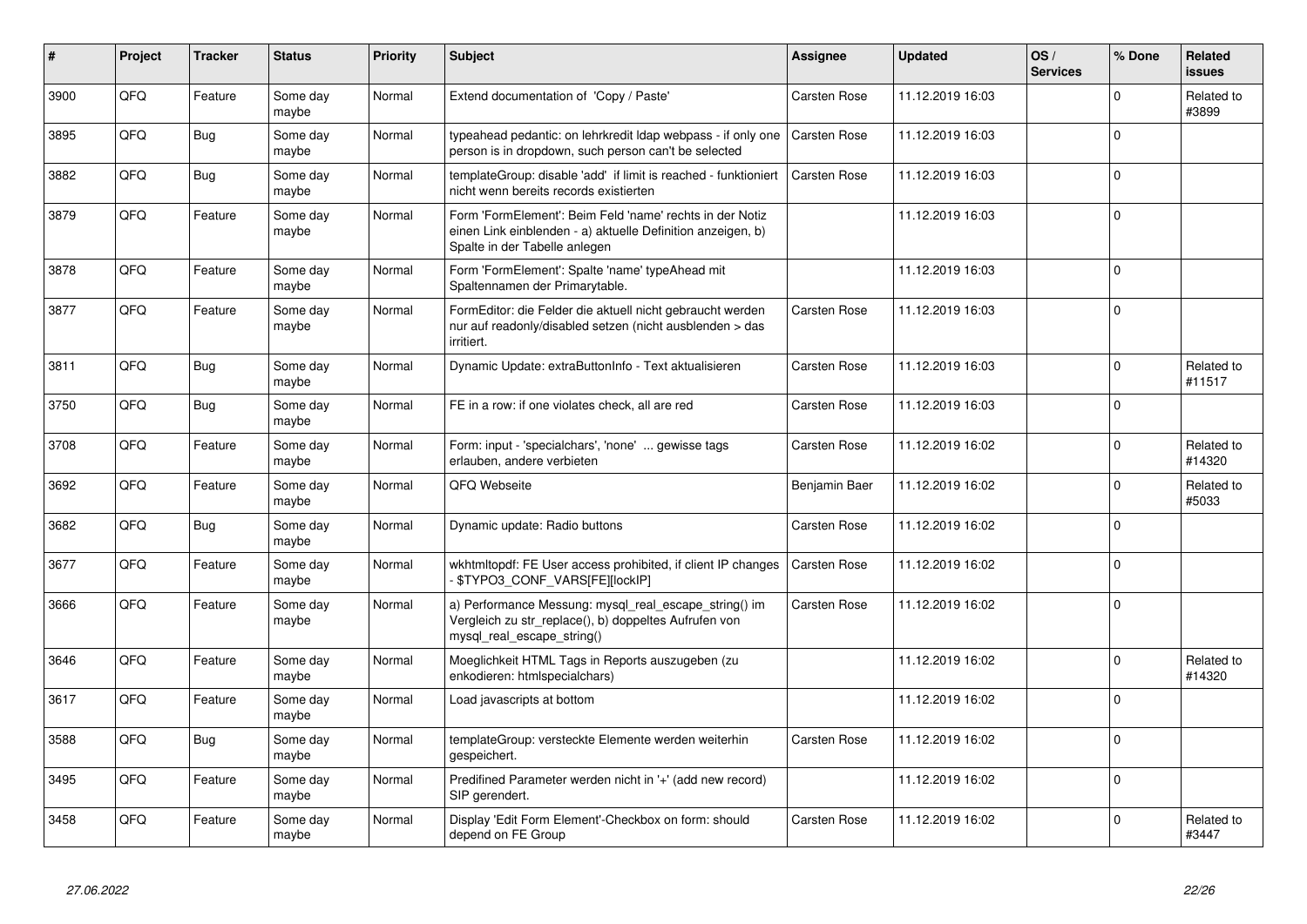| $\vert$ # | Project | <b>Tracker</b> | <b>Status</b>     | <b>Priority</b> | <b>Subject</b>                                                                                                                                           | Assignee            | <b>Updated</b>   | OS/<br><b>Services</b> | % Done      | Related<br><b>issues</b> |
|-----------|---------|----------------|-------------------|-----------------|----------------------------------------------------------------------------------------------------------------------------------------------------------|---------------------|------------------|------------------------|-------------|--------------------------|
| 3900      | QFQ     | Feature        | Some day<br>maybe | Normal          | Extend documentation of 'Copy / Paste'                                                                                                                   | Carsten Rose        | 11.12.2019 16:03 |                        | $\Omega$    | Related to<br>#3899      |
| 3895      | QFQ     | Bug            | Some day<br>maybe | Normal          | typeahead pedantic: on lehrkredit Idap webpass - if only one<br>person is in dropdown, such person can't be selected                                     | Carsten Rose        | 11.12.2019 16:03 |                        | $\Omega$    |                          |
| 3882      | QFQ     | <b>Bug</b>     | Some day<br>maybe | Normal          | templateGroup: disable 'add' if limit is reached - funktioniert<br>nicht wenn bereits records existierten                                                | Carsten Rose        | 11.12.2019 16:03 |                        | $\Omega$    |                          |
| 3879      | QFQ     | Feature        | Some day<br>maybe | Normal          | Form 'FormElement': Beim Feld 'name' rechts in der Notiz<br>einen Link einblenden - a) aktuelle Definition anzeigen, b)<br>Spalte in der Tabelle anlegen |                     | 11.12.2019 16:03 |                        | $\Omega$    |                          |
| 3878      | QFQ     | Feature        | Some day<br>maybe | Normal          | Form 'FormElement': Spalte 'name' typeAhead mit<br>Spaltennamen der Primarytable.                                                                        |                     | 11.12.2019 16:03 |                        | $\Omega$    |                          |
| 3877      | QFQ     | Feature        | Some day<br>maybe | Normal          | FormEditor: die Felder die aktuell nicht gebraucht werden<br>nur auf readonly/disabled setzen (nicht ausblenden > das<br>irritiert.                      | Carsten Rose        | 11.12.2019 16:03 |                        | $\Omega$    |                          |
| 3811      | QFQ     | Bug            | Some day<br>maybe | Normal          | Dynamic Update: extraButtonInfo - Text aktualisieren                                                                                                     | Carsten Rose        | 11.12.2019 16:03 |                        | $\Omega$    | Related to<br>#11517     |
| 3750      | QFQ     | <b>Bug</b>     | Some day<br>maybe | Normal          | FE in a row: if one violates check, all are red                                                                                                          | Carsten Rose        | 11.12.2019 16:03 |                        | $\Omega$    |                          |
| 3708      | QFQ     | Feature        | Some day<br>maybe | Normal          | Form: input - 'specialchars', 'none'  gewisse tags<br>erlauben, andere verbieten                                                                         | Carsten Rose        | 11.12.2019 16:02 |                        | $\Omega$    | Related to<br>#14320     |
| 3692      | QFQ     | Feature        | Some day<br>maybe | Normal          | QFQ Webseite                                                                                                                                             | Benjamin Baer       | 11.12.2019 16:02 |                        | $\Omega$    | Related to<br>#5033      |
| 3682      | QFQ     | Bug            | Some day<br>maybe | Normal          | Dynamic update: Radio buttons                                                                                                                            | Carsten Rose        | 11.12.2019 16:02 |                        | $\Omega$    |                          |
| 3677      | QFQ     | Feature        | Some day<br>maybe | Normal          | wkhtmltopdf: FE User access prohibited, if client IP changes<br>\$TYPO3_CONF_VARS[FE][lockIP]                                                            | Carsten Rose        | 11.12.2019 16:02 |                        | $\Omega$    |                          |
| 3666      | QFQ     | Feature        | Some day<br>maybe | Normal          | a) Performance Messung: mysql real escape string() im<br>Vergleich zu str_replace(), b) doppeltes Aufrufen von<br>mysql_real_escape_string()             | <b>Carsten Rose</b> | 11.12.2019 16:02 |                        | $\Omega$    |                          |
| 3646      | QFQ     | Feature        | Some day<br>maybe | Normal          | Moeglichkeit HTML Tags in Reports auszugeben (zu<br>enkodieren: htmlspecialchars)                                                                        |                     | 11.12.2019 16:02 |                        | $\Omega$    | Related to<br>#14320     |
| 3617      | QFQ     | Feature        | Some day<br>maybe | Normal          | Load javascripts at bottom                                                                                                                               |                     | 11.12.2019 16:02 |                        | $\Omega$    |                          |
| 3588      | QFQ     | <b>Bug</b>     | Some day<br>maybe | Normal          | templateGroup: versteckte Elemente werden weiterhin<br>gespeichert.                                                                                      | <b>Carsten Rose</b> | 11.12.2019 16:02 |                        | $\Omega$    |                          |
| 3495      | QFQ     | Feature        | Some day<br>maybe | Normal          | Predifined Parameter werden nicht in '+' (add new record)<br>SIP gerendert.                                                                              |                     | 11.12.2019 16:02 |                        | $\mathbf 0$ |                          |
| 3458      | QFQ     | Feature        | Some day<br>maybe | Normal          | Display 'Edit Form Element'-Checkbox on form: should<br>depend on FE Group                                                                               | Carsten Rose        | 11.12.2019 16:02 |                        | $\Omega$    | Related to<br>#3447      |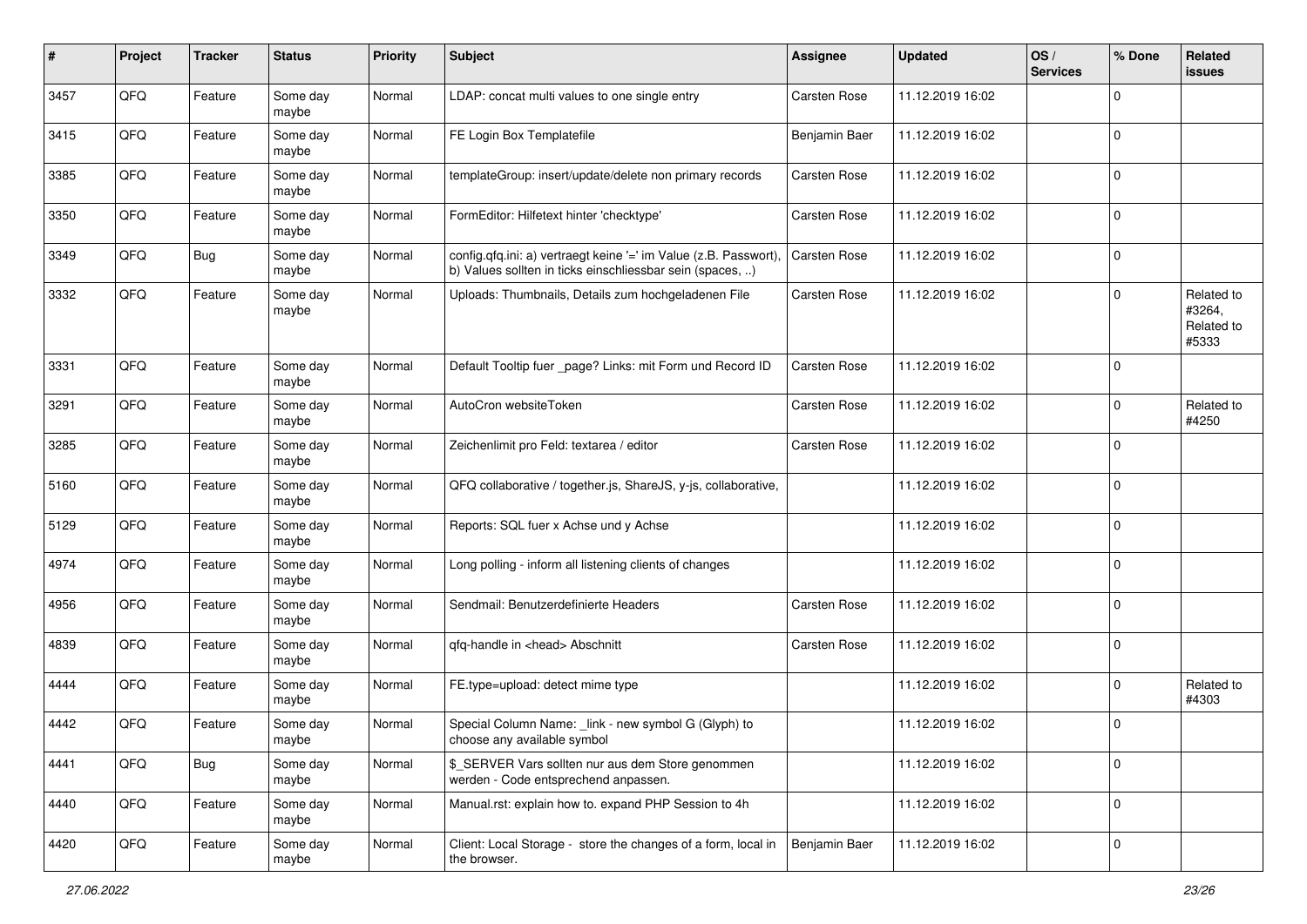| #    | Project | <b>Tracker</b> | <b>Status</b>     | <b>Priority</b> | <b>Subject</b>                                                                                                                | <b>Assignee</b>     | <b>Updated</b>   | OS/<br><b>Services</b> | % Done      | Related<br>issues                           |
|------|---------|----------------|-------------------|-----------------|-------------------------------------------------------------------------------------------------------------------------------|---------------------|------------------|------------------------|-------------|---------------------------------------------|
| 3457 | QFQ     | Feature        | Some day<br>maybe | Normal          | LDAP: concat multi values to one single entry                                                                                 | Carsten Rose        | 11.12.2019 16:02 |                        | $\Omega$    |                                             |
| 3415 | QFQ     | Feature        | Some day<br>maybe | Normal          | FE Login Box Templatefile                                                                                                     | Benjamin Baer       | 11.12.2019 16:02 |                        | $\mathbf 0$ |                                             |
| 3385 | QFQ     | Feature        | Some day<br>maybe | Normal          | templateGroup: insert/update/delete non primary records                                                                       | Carsten Rose        | 11.12.2019 16:02 |                        | 0           |                                             |
| 3350 | QFQ     | Feature        | Some day<br>maybe | Normal          | FormEditor: Hilfetext hinter 'checktype'                                                                                      | Carsten Rose        | 11.12.2019 16:02 |                        | 0           |                                             |
| 3349 | QFQ     | Bug            | Some day<br>maybe | Normal          | config.qfq.ini: a) vertraegt keine '=' im Value (z.B. Passwort),<br>b) Values sollten in ticks einschliessbar sein (spaces, ) | <b>Carsten Rose</b> | 11.12.2019 16:02 |                        | $\mathbf 0$ |                                             |
| 3332 | QFQ     | Feature        | Some day<br>maybe | Normal          | Uploads: Thumbnails, Details zum hochgeladenen File                                                                           | Carsten Rose        | 11.12.2019 16:02 |                        | $\Omega$    | Related to<br>#3264,<br>Related to<br>#5333 |
| 3331 | QFQ     | Feature        | Some day<br>maybe | Normal          | Default Tooltip fuer _page? Links: mit Form und Record ID                                                                     | Carsten Rose        | 11.12.2019 16:02 |                        | $\Omega$    |                                             |
| 3291 | QFQ     | Feature        | Some day<br>maybe | Normal          | AutoCron websiteToken                                                                                                         | Carsten Rose        | 11.12.2019 16:02 |                        | $\Omega$    | Related to<br>#4250                         |
| 3285 | QFQ     | Feature        | Some day<br>maybe | Normal          | Zeichenlimit pro Feld: textarea / editor                                                                                      | Carsten Rose        | 11.12.2019 16:02 |                        | $\Omega$    |                                             |
| 5160 | QFQ     | Feature        | Some day<br>maybe | Normal          | QFQ collaborative / together.js, ShareJS, y-js, collaborative,                                                                |                     | 11.12.2019 16:02 |                        | $\mathbf 0$ |                                             |
| 5129 | QFQ     | Feature        | Some day<br>maybe | Normal          | Reports: SQL fuer x Achse und y Achse                                                                                         |                     | 11.12.2019 16:02 |                        | $\mathbf 0$ |                                             |
| 4974 | QFQ     | Feature        | Some day<br>maybe | Normal          | Long polling - inform all listening clients of changes                                                                        |                     | 11.12.2019 16:02 |                        | $\Omega$    |                                             |
| 4956 | QFQ     | Feature        | Some day<br>maybe | Normal          | Sendmail: Benutzerdefinierte Headers                                                                                          | Carsten Rose        | 11.12.2019 16:02 |                        | $\Omega$    |                                             |
| 4839 | QFQ     | Feature        | Some day<br>maybe | Normal          | qfq-handle in <head> Abschnitt</head>                                                                                         | Carsten Rose        | 11.12.2019 16:02 |                        | $\Omega$    |                                             |
| 4444 | QFQ     | Feature        | Some day<br>maybe | Normal          | FE.type=upload: detect mime type                                                                                              |                     | 11.12.2019 16:02 |                        | $\Omega$    | Related to<br>#4303                         |
| 4442 | QFQ     | Feature        | Some day<br>maybe | Normal          | Special Column Name: _link - new symbol G (Glyph) to<br>choose any available symbol                                           |                     | 11.12.2019 16:02 |                        | 0           |                                             |
| 4441 | QFQ     | <b>Bug</b>     | Some day<br>maybe | Normal          | \$ SERVER Vars sollten nur aus dem Store genommen<br>werden - Code entsprechend anpassen.                                     |                     | 11.12.2019 16:02 |                        | $\mathbf 0$ |                                             |
| 4440 | QFQ     | Feature        | Some day<br>maybe | Normal          | Manual.rst: explain how to. expand PHP Session to 4h                                                                          |                     | 11.12.2019 16:02 |                        | $\mathbf 0$ |                                             |
| 4420 | QFQ     | Feature        | Some day<br>maybe | Normal          | Client: Local Storage - store the changes of a form, local in<br>the browser.                                                 | Benjamin Baer       | 11.12.2019 16:02 |                        | 0           |                                             |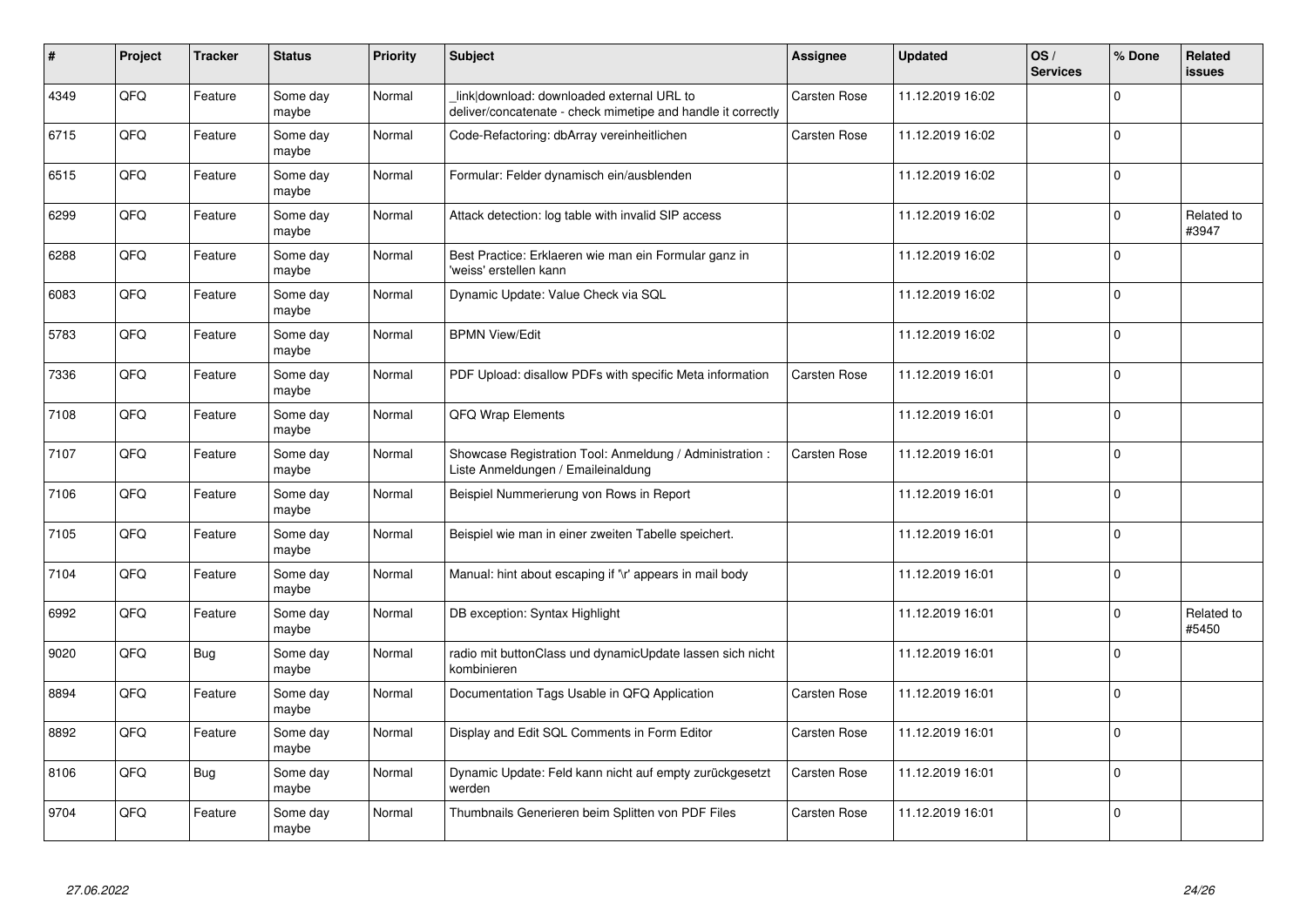| #    | Project | <b>Tracker</b> | <b>Status</b>     | <b>Priority</b> | <b>Subject</b>                                                                                            | <b>Assignee</b>     | <b>Updated</b>   | OS/<br><b>Services</b> | % Done      | Related<br><b>issues</b> |
|------|---------|----------------|-------------------|-----------------|-----------------------------------------------------------------------------------------------------------|---------------------|------------------|------------------------|-------------|--------------------------|
| 4349 | QFQ     | Feature        | Some day<br>maybe | Normal          | link download: downloaded external URL to<br>deliver/concatenate - check mimetipe and handle it correctly | Carsten Rose        | 11.12.2019 16:02 |                        | $\Omega$    |                          |
| 6715 | QFQ     | Feature        | Some day<br>maybe | Normal          | Code-Refactoring: dbArray vereinheitlichen                                                                | <b>Carsten Rose</b> | 11.12.2019 16:02 |                        | $\Omega$    |                          |
| 6515 | QFQ     | Feature        | Some day<br>maybe | Normal          | Formular: Felder dynamisch ein/ausblenden                                                                 |                     | 11.12.2019 16:02 |                        | $\Omega$    |                          |
| 6299 | QFQ     | Feature        | Some day<br>maybe | Normal          | Attack detection: log table with invalid SIP access                                                       |                     | 11.12.2019 16:02 |                        | $\Omega$    | Related to<br>#3947      |
| 6288 | QFQ     | Feature        | Some day<br>maybe | Normal          | Best Practice: Erklaeren wie man ein Formular ganz in<br>'weiss' erstellen kann                           |                     | 11.12.2019 16:02 |                        | $\Omega$    |                          |
| 6083 | QFQ     | Feature        | Some day<br>maybe | Normal          | Dynamic Update: Value Check via SQL                                                                       |                     | 11.12.2019 16:02 |                        | $\Omega$    |                          |
| 5783 | QFQ     | Feature        | Some day<br>maybe | Normal          | <b>BPMN View/Edit</b>                                                                                     |                     | 11.12.2019 16:02 |                        | $\mathbf 0$ |                          |
| 7336 | QFQ     | Feature        | Some day<br>maybe | Normal          | PDF Upload: disallow PDFs with specific Meta information                                                  | <b>Carsten Rose</b> | 11.12.2019 16:01 |                        | $\Omega$    |                          |
| 7108 | QFQ     | Feature        | Some day<br>maybe | Normal          | QFQ Wrap Elements                                                                                         |                     | 11.12.2019 16:01 |                        | $\Omega$    |                          |
| 7107 | QFQ     | Feature        | Some day<br>maybe | Normal          | Showcase Registration Tool: Anmeldung / Administration :<br>Liste Anmeldungen / Emaileinaldung            | <b>Carsten Rose</b> | 11.12.2019 16:01 |                        | $\Omega$    |                          |
| 7106 | QFQ     | Feature        | Some day<br>maybe | Normal          | Beispiel Nummerierung von Rows in Report                                                                  |                     | 11.12.2019 16:01 |                        | $\Omega$    |                          |
| 7105 | QFQ     | Feature        | Some day<br>maybe | Normal          | Beispiel wie man in einer zweiten Tabelle speichert.                                                      |                     | 11.12.2019 16:01 |                        | $\Omega$    |                          |
| 7104 | QFQ     | Feature        | Some day<br>maybe | Normal          | Manual: hint about escaping if '\r' appears in mail body                                                  |                     | 11.12.2019 16:01 |                        | $\mathbf 0$ |                          |
| 6992 | QFQ     | Feature        | Some day<br>maybe | Normal          | DB exception: Syntax Highlight                                                                            |                     | 11.12.2019 16:01 |                        | 0           | Related to<br>#5450      |
| 9020 | QFQ     | Bug            | Some day<br>maybe | Normal          | radio mit buttonClass und dynamicUpdate lassen sich nicht<br>kombinieren                                  |                     | 11.12.2019 16:01 |                        | $\Omega$    |                          |
| 8894 | QFQ     | Feature        | Some day<br>maybe | Normal          | Documentation Tags Usable in QFQ Application                                                              | Carsten Rose        | 11.12.2019 16:01 |                        | $\Omega$    |                          |
| 8892 | QFQ     | Feature        | Some day<br>maybe | Normal          | Display and Edit SQL Comments in Form Editor                                                              | <b>Carsten Rose</b> | 11.12.2019 16:01 |                        | $\Omega$    |                          |
| 8106 | QFQ     | Bug            | Some day<br>maybe | Normal          | Dynamic Update: Feld kann nicht auf empty zurückgesetzt<br>werden                                         | Carsten Rose        | 11.12.2019 16:01 |                        | $\mathbf 0$ |                          |
| 9704 | QFQ     | Feature        | Some day<br>maybe | Normal          | Thumbnails Generieren beim Splitten von PDF Files                                                         | <b>Carsten Rose</b> | 11.12.2019 16:01 |                        | $\Omega$    |                          |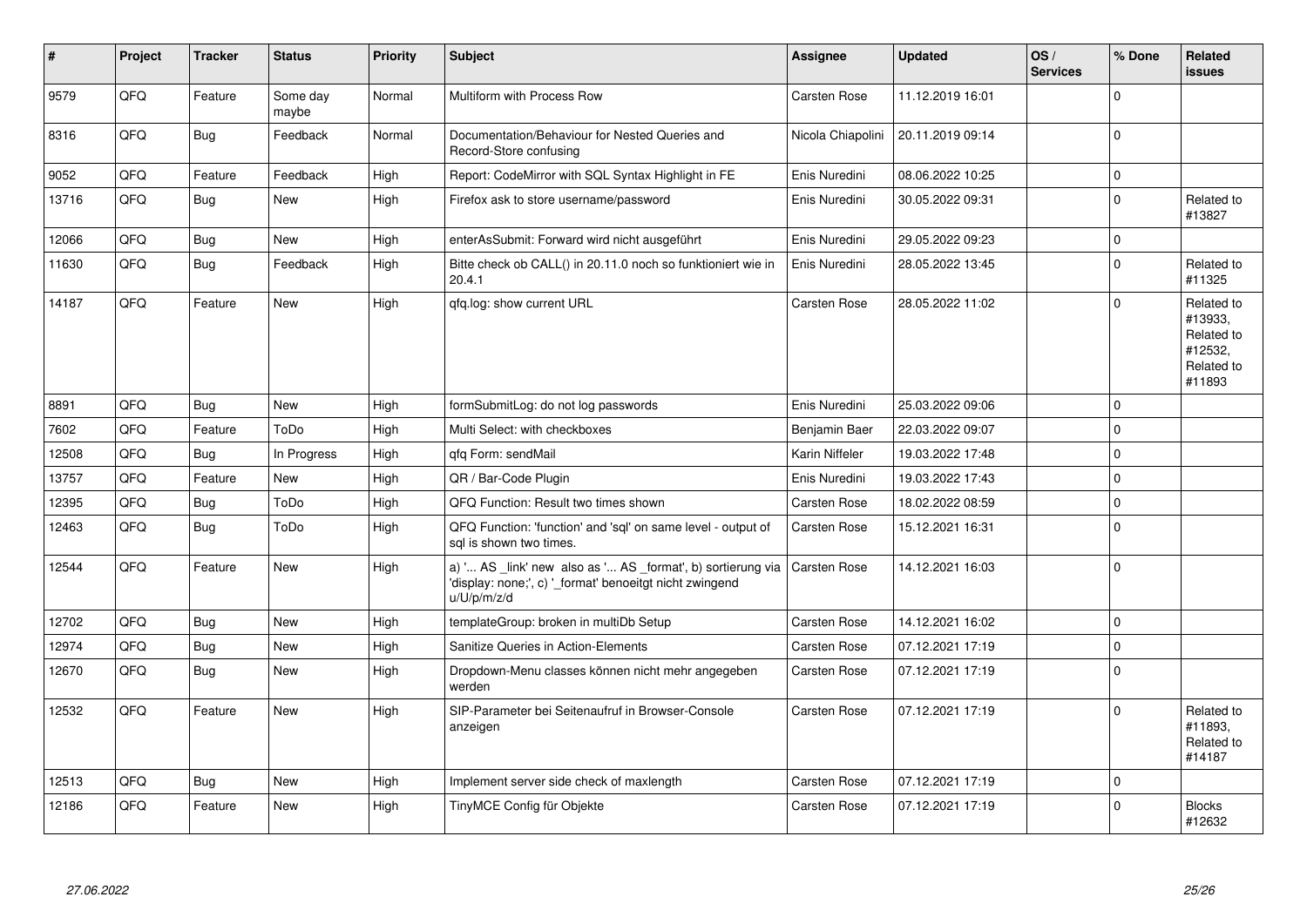| $\pmb{\sharp}$ | Project | <b>Tracker</b> | <b>Status</b>     | <b>Priority</b> | <b>Subject</b>                                                                                                                        | Assignee            | <b>Updated</b>   | OS/<br><b>Services</b> | % Done      | Related<br><b>issues</b>                                               |
|----------------|---------|----------------|-------------------|-----------------|---------------------------------------------------------------------------------------------------------------------------------------|---------------------|------------------|------------------------|-------------|------------------------------------------------------------------------|
| 9579           | QFQ     | Feature        | Some day<br>maybe | Normal          | Multiform with Process Row                                                                                                            | Carsten Rose        | 11.12.2019 16:01 |                        | $\Omega$    |                                                                        |
| 8316           | QFQ     | <b>Bug</b>     | Feedback          | Normal          | Documentation/Behaviour for Nested Queries and<br>Record-Store confusing                                                              | Nicola Chiapolini   | 20.11.2019 09:14 |                        | $\Omega$    |                                                                        |
| 9052           | QFQ     | Feature        | Feedback          | High            | Report: CodeMirror with SQL Syntax Highlight in FE                                                                                    | Enis Nuredini       | 08.06.2022 10:25 |                        | $\pmb{0}$   |                                                                        |
| 13716          | QFQ     | Bug            | New               | High            | Firefox ask to store username/password                                                                                                | Enis Nuredini       | 30.05.2022 09:31 |                        | $\mathbf 0$ | Related to<br>#13827                                                   |
| 12066          | QFQ     | <b>Bug</b>     | <b>New</b>        | High            | enterAsSubmit: Forward wird nicht ausgeführt                                                                                          | Enis Nuredini       | 29.05.2022 09:23 |                        | $\pmb{0}$   |                                                                        |
| 11630          | QFQ     | <b>Bug</b>     | Feedback          | High            | Bitte check ob CALL() in 20.11.0 noch so funktioniert wie in<br>20.4.1                                                                | Enis Nuredini       | 28.05.2022 13:45 |                        | $\mathbf 0$ | Related to<br>#11325                                                   |
| 14187          | QFQ     | Feature        | <b>New</b>        | High            | gfg.log: show current URL                                                                                                             | Carsten Rose        | 28.05.2022 11:02 |                        | $\Omega$    | Related to<br>#13933,<br>Related to<br>#12532,<br>Related to<br>#11893 |
| 8891           | QFQ     | <b>Bug</b>     | <b>New</b>        | High            | formSubmitLog: do not log passwords                                                                                                   | Enis Nuredini       | 25.03.2022 09:06 |                        | $\mathbf 0$ |                                                                        |
| 7602           | QFQ     | Feature        | ToDo              | High            | Multi Select: with checkboxes                                                                                                         | Benjamin Baer       | 22.03.2022 09:07 |                        | $\mathbf 0$ |                                                                        |
| 12508          | QFQ     | Bug            | In Progress       | High            | gfg Form: sendMail                                                                                                                    | Karin Niffeler      | 19.03.2022 17:48 |                        | $\mathbf 0$ |                                                                        |
| 13757          | QFQ     | Feature        | <b>New</b>        | High            | QR / Bar-Code Plugin                                                                                                                  | Enis Nuredini       | 19.03.2022 17:43 |                        | $\mathbf 0$ |                                                                        |
| 12395          | QFQ     | <b>Bug</b>     | ToDo              | High            | QFQ Function: Result two times shown                                                                                                  | Carsten Rose        | 18.02.2022 08:59 |                        | $\mathbf 0$ |                                                                        |
| 12463          | QFQ     | Bug            | ToDo              | High            | QFQ Function: 'function' and 'sql' on same level - output of<br>sal is shown two times.                                               | Carsten Rose        | 15.12.2021 16:31 |                        | $\Omega$    |                                                                        |
| 12544          | QFQ     | Feature        | <b>New</b>        | High            | a) ' AS _link' new also as ' AS _format', b) sortierung via<br>'display: none;', c) '_format' benoeitgt nicht zwingend<br>u/U/p/m/z/d | <b>Carsten Rose</b> | 14.12.2021 16:03 |                        | $\mathbf 0$ |                                                                        |
| 12702          | QFQ     | <b>Bug</b>     | <b>New</b>        | High            | templateGroup: broken in multiDb Setup                                                                                                | Carsten Rose        | 14.12.2021 16:02 |                        | $\mathbf 0$ |                                                                        |
| 12974          | QFQ     | Bug            | <b>New</b>        | High            | Sanitize Queries in Action-Elements                                                                                                   | Carsten Rose        | 07.12.2021 17:19 |                        | $\mathbf 0$ |                                                                        |
| 12670          | QFQ     | Bug            | <b>New</b>        | High            | Dropdown-Menu classes können nicht mehr angegeben<br>werden                                                                           | Carsten Rose        | 07.12.2021 17:19 |                        | $\mathbf 0$ |                                                                        |
| 12532          | QFQ     | Feature        | <b>New</b>        | High            | SIP-Parameter bei Seitenaufruf in Browser-Console<br>anzeigen                                                                         | Carsten Rose        | 07.12.2021 17:19 |                        | $\Omega$    | Related to<br>#11893.<br>Related to<br>#14187                          |
| 12513          | QFQ     | <b>Bug</b>     | <b>New</b>        | High            | Implement server side check of maxlength                                                                                              | <b>Carsten Rose</b> | 07.12.2021 17:19 |                        | $\mathbf 0$ |                                                                        |
| 12186          | QFQ     | Feature        | <b>New</b>        | High            | TinyMCE Config für Objekte                                                                                                            | Carsten Rose        | 07.12.2021 17:19 |                        | $\mathbf 0$ | <b>Blocks</b><br>#12632                                                |